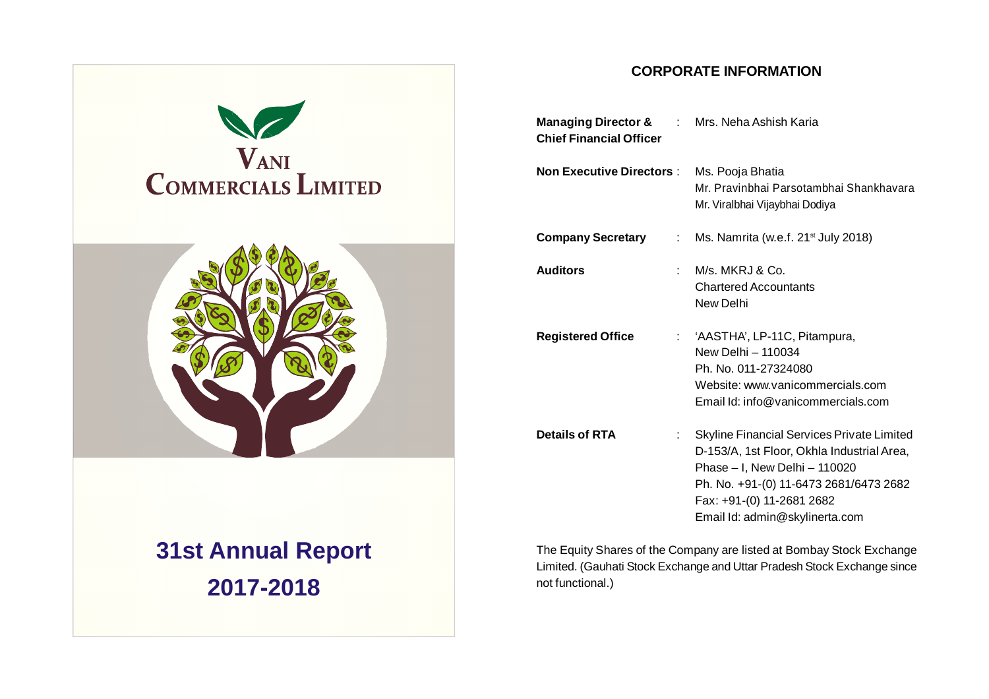

# **31st Annual Report 2017-2018**

### **CORPORATE INFORMATION**

| <b>Managing Director &amp; Fig. 1. Mrs. Neha Ashish Karia</b><br><b>Chief Financial Officer</b> |                                                                                                                                                                                                                                    |
|-------------------------------------------------------------------------------------------------|------------------------------------------------------------------------------------------------------------------------------------------------------------------------------------------------------------------------------------|
| <b>Non Executive Directors:</b>                                                                 | Ms. Pooja Bhatia<br>Mr. Pravinbhai Parsotambhai Shankhavara<br>Mr. Viralbhai Vijaybhai Dodiya                                                                                                                                      |
| <b>Company Secretary</b><br>$\mathbb{R}^{\mathbb{Z}}$                                           | Ms. Namrita (w.e.f. 21 <sup>st</sup> July 2018)                                                                                                                                                                                    |
| <b>Auditors</b><br>t.                                                                           | M/s. MKRJ & Co.<br><b>Chartered Accountants</b><br>New Delhi                                                                                                                                                                       |
| <b>Registered Office</b>                                                                        | 'AASTHA', LP-11C, Pitampura,<br>New Delhi - 110034<br>Ph. No. 011-27324080<br>Website: www.vanicommercials.com<br>Email Id: info@vanicommercials.com                                                                               |
| <b>Details of RTA</b><br>÷                                                                      | Skyline Financial Services Private Limited<br>D-153/A, 1st Floor, Okhla Industrial Area,<br>Phase - I, New Delhi - 110020<br>Ph. No. +91-(0) 11-6473 2681/6473 2682<br>Fax: +91-(0) 11-2681 2682<br>Email Id: admin@skylinerta.com |

The Equity Shares of the Company are listed at Bombay Stock Exchange Limited. (Gauhati Stock Exchange and Uttar Pradesh Stock Exchange since not functional.)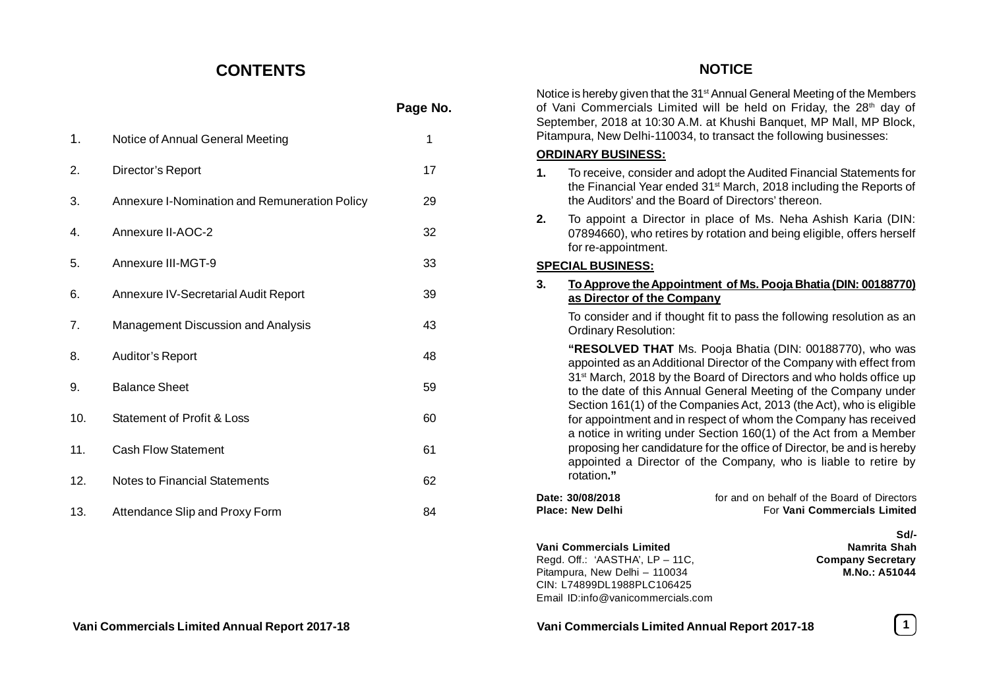### **CONTENTS**

|     |                                               | Page No. |
|-----|-----------------------------------------------|----------|
| 1.  | Notice of Annual General Meeting              | 1        |
| 2.  | Director's Report                             | 17       |
| 3.  | Annexure I-Nomination and Remuneration Policy | 29       |
| 4.  | Annexure II-AOC-2                             | 32       |
| 5.  | Annexure III-MGT-9                            | 33       |
| 6.  | Annexure IV-Secretarial Audit Report          | 39       |
| 7.  | Management Discussion and Analysis            | 43       |
| 8.  | Auditor's Report                              | 48       |
| 9.  | <b>Balance Sheet</b>                          | 59       |
| 10. | <b>Statement of Profit &amp; Loss</b>         | 60       |
| 11. | <b>Cash Flow Statement</b>                    | 61       |
| 12. | <b>Notes to Financial Statements</b>          | 62       |
| 13. | Attendance Slip and Proxy Form                | 84       |

### Notice is hereby given that the 31<sup>st</sup> Annual General Meeting of the Members of Vani Commercials Limited will be held on Friday, the  $28<sup>th</sup>$  day of September, 2018 at 10:30 A.M. at Khushi Banquet, MP Mall, MP Block, Pitampura, New Delhi-110034, to transact the following businesses: **ORDINARY BUSINESS: 1.** To receive, consider and adopt the Audited Financial Statements for the Financial Year ended 31st March, 2018 including the Reports of the Auditors' and the Board of Directors' thereon. **2.** To appoint a Director in place of Ms. Neha Ashish Karia (DIN: 07894660), who retires by rotation and being eligible, offers herself for re-appointment. **SPECIAL BUSINESS: 3. To Approve the Appointment of Ms. Pooja Bhatia (DIN: 00188770) as Director of the Company** To consider and if thought fit to pass the following resolution as an Ordinary Resolution: **"RESOLVED THAT** Ms. Pooja Bhatia (DIN: 00188770), who was appointed as an Additional Director of the Company with effect from 31<sup>st</sup> March, 2018 by the Board of Directors and who holds office up to the date of this Annual General Meeting of the Company under Section 161(1) of the Companies Act, 2013 (the Act), who is eligible for appointment and in respect of whom the Company has received a notice in writing under Section 160(1) of the Act from a Member proposing her candidature for the office of Director, be and is hereby appointed a Director of the Company, who is liable to retire by rotation**." Date: 30/08/2018 for and on behalf of the Board of Directors Place: New Delhi For Vani Commercials Limited Sd/- Vani Commercials Limited Mamrita Shah**<br>Read. Off.: 'AASTHA', LP – 11C, **Company Secretary** Regd. Off.: 'AASTHA', LP - 11C, Pitampura, New Delhi – 110034 **M.No.: A51044** CIN: L74899DL1988PLC106425 Email ID:info@vanicommercials.com

**NOTICE**

**Vani Commercials Limited Annual Report 2017-18 Vani Commercials Limited Annual Report 2017-18 1**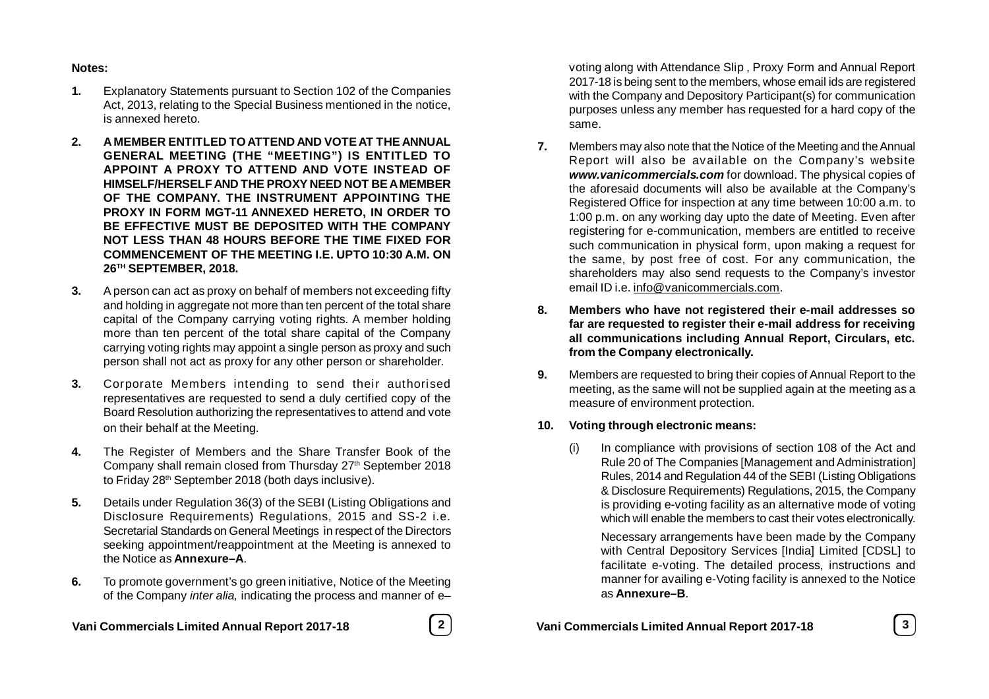#### **Notes:**

- **1.** Explanatory Statements pursuant to Section 102 of the Companies Act, 2013, relating to the Special Business mentioned in the notice, is annexed hereto.
- **2. A MEMBER ENTITLED TO ATTEND AND VOTE AT THE ANNUAL GENERAL MEETING (THE "MEETING") IS ENTITLED TO APPOINT A PROXY TO ATTEND AND VOTE INSTEAD OF HIMSELF/HERSELF AND THE PROXY NEED NOT BE A MEMBER OF THE COMPANY. THE INSTRUMENT APPOINTING THE PROXY IN FORM MGT-11 ANNEXED HERETO, IN ORDER TO BE EFFECTIVE MUST BE DEPOSITED WITH THE COMPANY NOT LESS THAN 48 HOURS BEFORE THE TIME FIXED FOR COMMENCEMENT OF THE MEETING I.E. UPTO 10:30 A.M. ON 26TH SEPTEMBER, 2018.**
- **3.** A person can act as proxy on behalf of members not exceeding fifty and holding in aggregate not more than ten percent of the total share capital of the Company carrying voting rights. A member holding more than ten percent of the total share capital of the Company carrying voting rights may appoint a single person as proxy and such person shall not act as proxy for any other person or shareholder.
- **3.** Corporate Members intending to send their authorised representatives are requested to send a duly certified copy of the Board Resolution authorizing the representatives to attend and vote on their behalf at the Meeting.
- **4.** The Register of Members and the Share Transfer Book of the Company shall remain closed from Thursday 27<sup>th</sup> September 2018 to Friday 28<sup>th</sup> September 2018 (both days inclusive).
- **5.** Details under Regulation 36(3) of the SEBI (Listing Obligations and Disclosure Requirements) Regulations, 2015 and SS-2 i.e. Secretarial Standards on General Meetings in respect of the Directors seeking appointment/reappointment at the Meeting is annexed to the Notice as **Annexure–A**.
- **6.** To promote government's go green initiative, Notice of the Meeting of the Company *inter alia,* indicating the process and manner of e–

**Vani Commercials Limited Annual Report 2017-18 2 Vani Commercials Limited Annual Report 2017-18 3**

voting along with Attendance Slip , Proxy Form and Annual Report 2017-18 is being sent to the members, whose email ids are registered with the Company and Depository Participant(s) for communication purposes unless any member has requested for a hard copy of the same.

- **7.** Members may also note that the Notice of the Meeting and the Annual Report will also be available on the Company's website *www.vanicommercials.com* for download. The physical copies of the aforesaid documents will also be available at the Company's Registered Office for inspection at any time between 10:00 a.m. to 1:00 p.m. on any working day upto the date of Meeting. Even after registering for e-communication, members are entitled to receive such communication in physical form, upon making a request for the same, by post free of cost. For any communication, the shareholders may also send requests to the Company's investor email ID i.e. info@vanicommercials.com.
- **8. Members who have not registered their e-mail addresses so far are requested to register their e-mail address for receiving all communications including Annual Report, Circulars, etc. from the Company electronically.**
- **9.** Members are requested to bring their copies of Annual Report to the meeting, as the same will not be supplied again at the meeting as a measure of environment protection.

### **10. Voting through electronic means:**

(i) In compliance with provisions of section 108 of the Act and Rule 20 of The Companies [Management and Administration] Rules, 2014 and Regulation 44 of the SEBI (Listing Obligations & Disclosure Requirements) Regulations, 2015, the Company is providing e-voting facility as an alternative mode of voting which will enable the members to cast their votes electronically.

Necessary arrangements have been made by the Company with Central Depository Services [India] Limited [CDSL] to facilitate e-voting. The detailed process, instructions and manner for availing e-Voting facility is annexed to the Notice as **Annexure–B**.

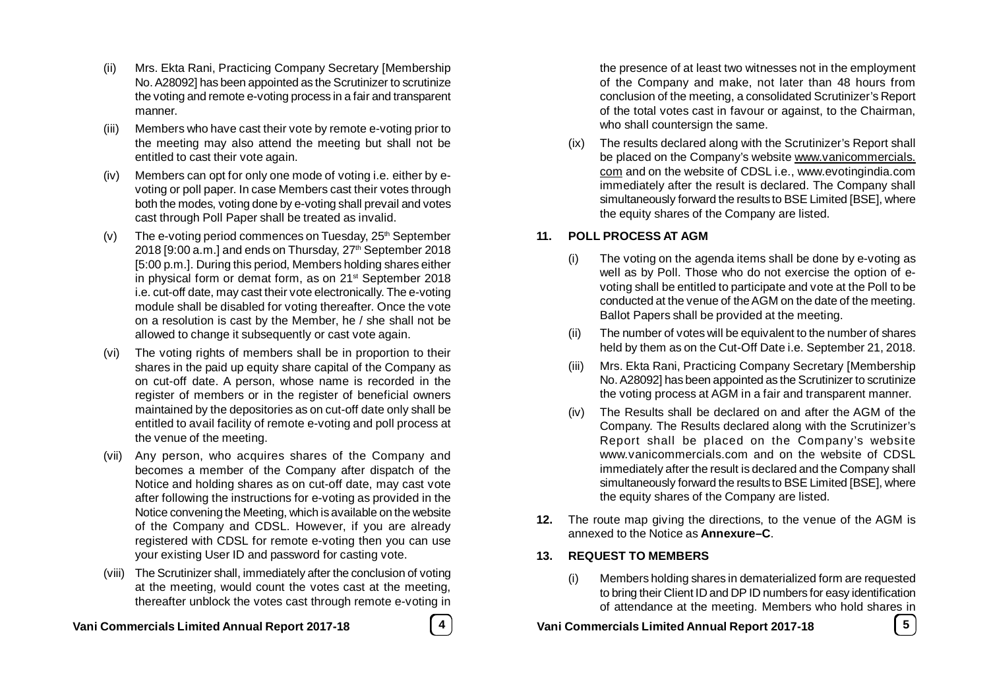- (ii) Mrs. Ekta Rani, Practicing Company Secretary [Membership No. A28092] has been appointed as the Scrutinizer to scrutinize the voting and remote e-voting process in a fair and transparent manner.
- (iii) Members who have cast their vote by remote e-voting prior to the meeting may also attend the meeting but shall not be entitled to cast their vote again.
- (iv) Members can opt for only one mode of voting i.e. either by evoting or poll paper. In case Members cast their votes through both the modes, voting done by e-voting shall prevail and votes cast through Poll Paper shall be treated as invalid.
- (v) The e-voting period commences on Tuesday,  $25<sup>th</sup>$  September 2018 [9:00 a.m.] and ends on Thursday, 27<sup>th</sup> September 2018 [5:00 p.m.]. During this period, Members holding shares either in physical form or demat form, as on 21<sup>st</sup> September 2018 i.e. cut-off date, may cast their vote electronically. The e-voting module shall be disabled for voting thereafter. Once the vote on a resolution is cast by the Member, he / she shall not be allowed to change it subsequently or cast vote again.
- (vi) The voting rights of members shall be in proportion to their shares in the paid up equity share capital of the Company as on cut-off date. A person, whose name is recorded in the register of members or in the register of beneficial owners maintained by the depositories as on cut-off date only shall be entitled to avail facility of remote e-voting and poll process at the venue of the meeting.
- (vii) Any person, who acquires shares of the Company and becomes a member of the Company after dispatch of the Notice and holding shares as on cut-off date, may cast vote after following the instructions for e-voting as provided in the Notice convening the Meeting, which is available on the website of the Company and CDSL. However, if you are already registered with CDSL for remote e-voting then you can use your existing User ID and password for casting vote.
- (viii) The Scrutinizer shall, immediately after the conclusion of voting at the meeting, would count the votes cast at the meeting, thereafter unblock the votes cast through remote e-voting in

**Vani Commercials Limited Annual Report 2017-18 4 Vani Commercials Limited Annual Report 2017-18 5**

the presence of at least two witnesses not in the employment of the Company and make, not later than 48 hours from conclusion of the meeting, a consolidated Scrutinizer's Report of the total votes cast in favour or against, to the Chairman, who shall countersign the same.

(ix) The results declared along with the Scrutinizer's Report shall be placed on the Company's website www.vanicommercials. com and on the website of CDSL i.e., www.evotingindia.com immediately after the result is declared. The Company shall simultaneously forward the results to BSE Limited [BSE], where the equity shares of the Company are listed.

### **11. POLL PROCESS AT AGM**

- (i) The voting on the agenda items shall be done by e-voting as well as by Poll. Those who do not exercise the option of evoting shall be entitled to participate and vote at the Poll to be conducted at the venue of the AGM on the date of the meeting. Ballot Papers shall be provided at the meeting.
- (ii) The number of votes will be equivalent to the number of shares held by them as on the Cut-Off Date i.e. September 21, 2018.
- (iii) Mrs. Ekta Rani, Practicing Company Secretary [Membership No. A28092] has been appointed as the Scrutinizer to scrutinize the voting process at AGM in a fair and transparent manner.
- (iv) The Results shall be declared on and after the AGM of the Company. The Results declared along with the Scrutinizer's Report shall be placed on the Company's website www.vanicommercials.com and on the website of CDSL immediately after the result is declared and the Company shall simultaneously forward the results to BSE Limited [BSE], where the equity shares of the Company are listed.
- **12.** The route map giving the directions, to the venue of the AGM is annexed to the Notice as **Annexure–C**.

### **13. REQUEST TO MEMBERS**

(i) Members holding shares in dematerialized form are requested to bring their Client ID and DP ID numbers for easy identification of attendance at the meeting. Members who hold shares in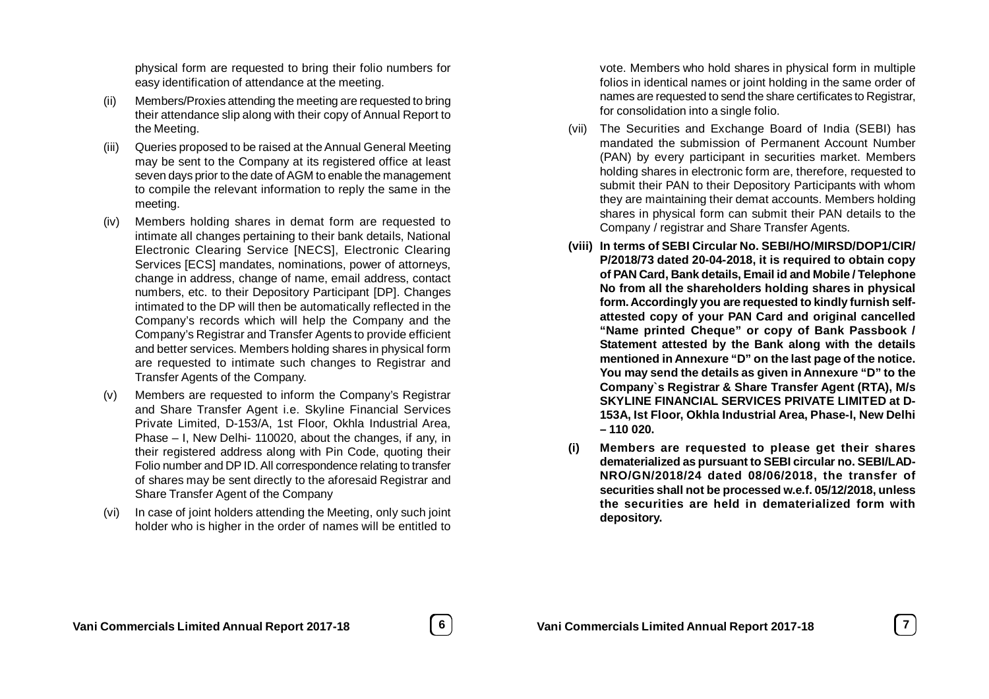physical form are requested to bring their folio numbers for easy identification of attendance at the meeting.

- (ii) Members/Proxies attending the meeting are requested to bring their attendance slip along with their copy of Annual Report to the Meeting.
- (iii) Queries proposed to be raised at the Annual General Meeting may be sent to the Company at its registered office at least seven days prior to the date of AGM to enable the management to compile the relevant information to reply the same in the meeting.
- (iv) Members holding shares in demat form are requested to intimate all changes pertaining to their bank details, National Electronic Clearing Service [NECS], Electronic Clearing Services [ECS] mandates, nominations, power of attorneys, change in address, change of name, email address, contact numbers, etc. to their Depository Participant [DP]. Changes intimated to the DP will then be automatically reflected in the Company's records which will help the Company and the Company's Registrar and Transfer Agents to provide efficient and better services. Members holding shares in physical form are requested to intimate such changes to Registrar and Transfer Agents of the Company.
- (v) Members are requested to inform the Company's Registrar and Share Transfer Agent i.e. Skyline Financial Services Private Limited, D-153/A, 1st Floor, Okhla Industrial Area, Phase – I, New Delhi- 110020, about the changes, if any, in their registered address along with Pin Code, quoting their Folio number and DP ID. All correspondence relating to transfer of shares may be sent directly to the aforesaid Registrar and Share Transfer Agent of the Company
- (vi) In case of joint holders attending the Meeting, only such joint holder who is higher in the order of names will be entitled to

vote. Members who hold shares in physical form in multiple folios in identical names or joint holding in the same order of names are requested to send the share certificates to Registrar, for consolidation into a single folio.

- (vii) The Securities and Exchange Board of India (SEBI) has mandated the submission of Permanent Account Number (PAN) by every participant in securities market. Members holding shares in electronic form are, therefore, requested to submit their PAN to their Depository Participants with whom they are maintaining their demat accounts. Members holding shares in physical form can submit their PAN details to the Company / registrar and Share Transfer Agents.
- **(viii) In terms of SEBI Circular No. SEBI/HO/MIRSD/DOP1/CIR/ P/2018/73 dated 20-04-2018, it is required to obtain copy of PAN Card, Bank details, Email id and Mobile / Telephone No from all the shareholders holding shares in physical form. Accordingly you are requested to kindly furnish selfattested copy of your PAN Card and original cancelled "Name printed Cheque" or copy of Bank Passbook / Statement attested by the Bank along with the details mentioned in Annexure "D" on the last page of the notice. You may send the details as given in Annexure "D" to the Company`s Registrar & Share Transfer Agent (RTA), M/s SKYLINE FINANCIAL SERVICES PRIVATE LIMITED at D-153A, Ist Floor, Okhla Industrial Area, Phase-I, New Delhi – 110 020.**
- **(i) Members are requested to please get their shares dematerialized as pursuant to SEBI circular no. SEBI/LAD-NRO/GN/2018/24 dated 08/06/2018, the transfer of securities shall not be processed w.e.f. 05/12/2018, unless the securities are held in dematerialized form with depository.**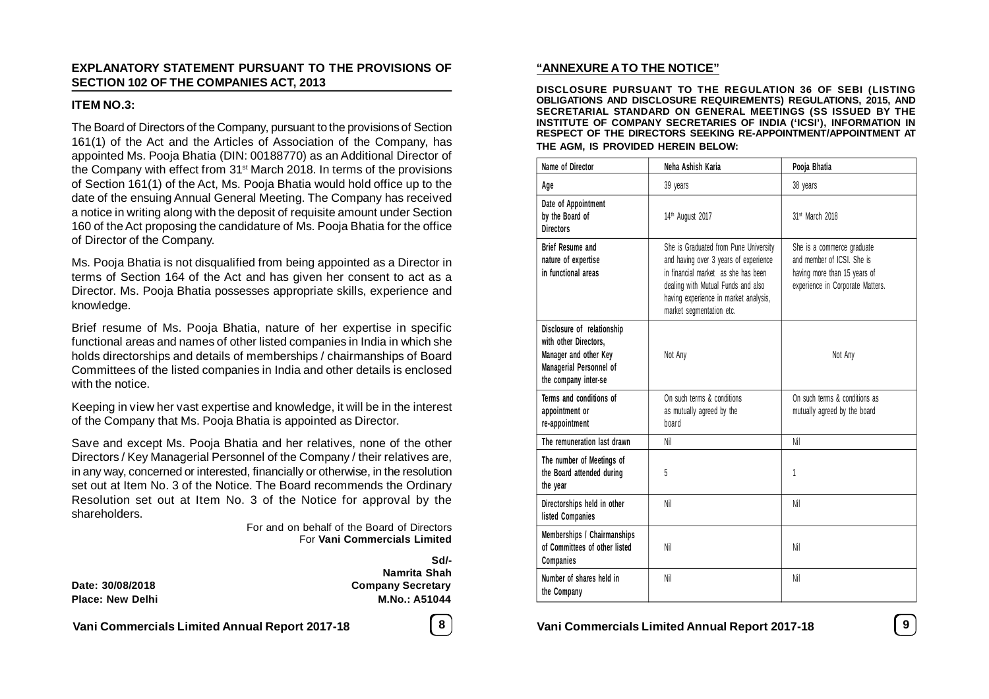### **EXPLANATORY STATEMENT PURSUANT TO THE PROVISIONS OF SECTION 102 OF THE COMPANIES ACT, 2013**

### **ITEM NO.3:**

The Board of Directors of the Company, pursuant to the provisions of Section 161(1) of the Act and the Articles of Association of the Company, has appointed Ms. Pooja Bhatia (DIN: 00188770) as an Additional Director of the Company with effect from 31<sup>st</sup> March 2018. In terms of the provisions of Section 161(1) of the Act, Ms. Pooja Bhatia would hold office up to the date of the ensuing Annual General Meeting. The Company has received a notice in writing along with the deposit of requisite amount under Section 160 of the Act proposing the candidature of Ms. Pooja Bhatia for the office of Director of the Company.

Ms. Pooja Bhatia is not disqualified from being appointed as a Director in terms of Section 164 of the Act and has given her consent to act as a Director. Ms. Pooja Bhatia possesses appropriate skills, experience and knowledge.

Brief resume of Ms. Pooja Bhatia, nature of her expertise in specific functional areas and names of other listed companies in India in which she holds directorships and details of memberships / chairmanships of Board Committees of the listed companies in India and other details is enclosed with the notice.

Keeping in view her vast expertise and knowledge, it will be in the interest of the Company that Ms. Pooja Bhatia is appointed as Director.

Save and except Ms. Pooja Bhatia and her relatives, none of the other Directors / Key Managerial Personnel of the Company / their relatives are, in any way, concerned or interested, financially or otherwise, in the resolution set out at Item No. 3 of the Notice. The Board recommends the Ordinary Resolution set out at Item No. 3 of the Notice for approval by the shareholders.

> For and on behalf of the Board of Directors For **Vani Commercials Limited**

| Date: 30/08/2018        |  |
|-------------------------|--|
| <b>Place: New Delhi</b> |  |

**Sd/- Namrita Shah Company Secretary Place: New Delhi M.No.: A51044**

**Vani Commercials Limited Annual Report 2017-18 8 Vani Commercials Limited Annual Report 2017-18 9**

### **"ANNEXURE A TO THE NOTICE"**

**DISCLOSURE PURSUANT TO THE REGULATION 36 OF SEBI (LISTING OBLIGATIONS AND DISCLOSURE REQUIREMENTS) REGULATIONS, 2015, AND SECRETARIAL STANDARD ON GENERAL MEETINGS (SS ISSUED BY THE INSTITUTE OF COMPANY SECRETARIES OF INDIA ('ICSI'), INFORMATION IN RESPECT OF THE DIRECTORS SEEKING RE-APPOINTMENT/APPOINTMENT AT THE AGM, IS PROVIDED HEREIN BELOW:**

| <b>Name of Director</b>                                                                                                         | Neha Ashish Karia                                                                                                                                                                                                                | Pooja Bhatia                                                                                                                 |
|---------------------------------------------------------------------------------------------------------------------------------|----------------------------------------------------------------------------------------------------------------------------------------------------------------------------------------------------------------------------------|------------------------------------------------------------------------------------------------------------------------------|
| Age                                                                                                                             | 39 years                                                                                                                                                                                                                         | 38 years                                                                                                                     |
| Date of Appointment<br>by the Board of<br><b>Directors</b>                                                                      | 14th August 2017                                                                                                                                                                                                                 | 31st March 2018                                                                                                              |
| <b>Brief Resume and</b><br>nature of expertise<br>in functional areas                                                           | She is Graduated from Pune University<br>and having over 3 years of experience<br>in financial market as she has been<br>dealing with Mutual Funds and also<br>having experience in market analysis,<br>market segmentation etc. | She is a commerce graduate<br>and member of ICSI. She is<br>having more than 15 years of<br>experience in Corporate Matters. |
| Disclosure of relationship<br>with other Directors,<br>Manager and other Key<br>Managerial Personnel of<br>the company inter-se | Not Any                                                                                                                                                                                                                          | Not Any                                                                                                                      |
| Terms and conditions of<br>appointment or<br>re-appointment                                                                     | On such terms & conditions<br>as mutually agreed by the<br>board                                                                                                                                                                 | On such terms & conditions as<br>mutually agreed by the board                                                                |
| The remuneration last drawn                                                                                                     | Nil                                                                                                                                                                                                                              | Nil                                                                                                                          |
| The number of Meetings of<br>the Board attended during<br>the year                                                              | 5                                                                                                                                                                                                                                | 1                                                                                                                            |
| Directorships held in other<br><b>listed Companies</b>                                                                          | Nil                                                                                                                                                                                                                              | Nil                                                                                                                          |
| Memberships / Chairmanships<br>of Committees of other listed<br>Companies                                                       | Nil                                                                                                                                                                                                                              | Nil                                                                                                                          |
| Number of shares held in<br>the Company                                                                                         | Nil                                                                                                                                                                                                                              | Nil                                                                                                                          |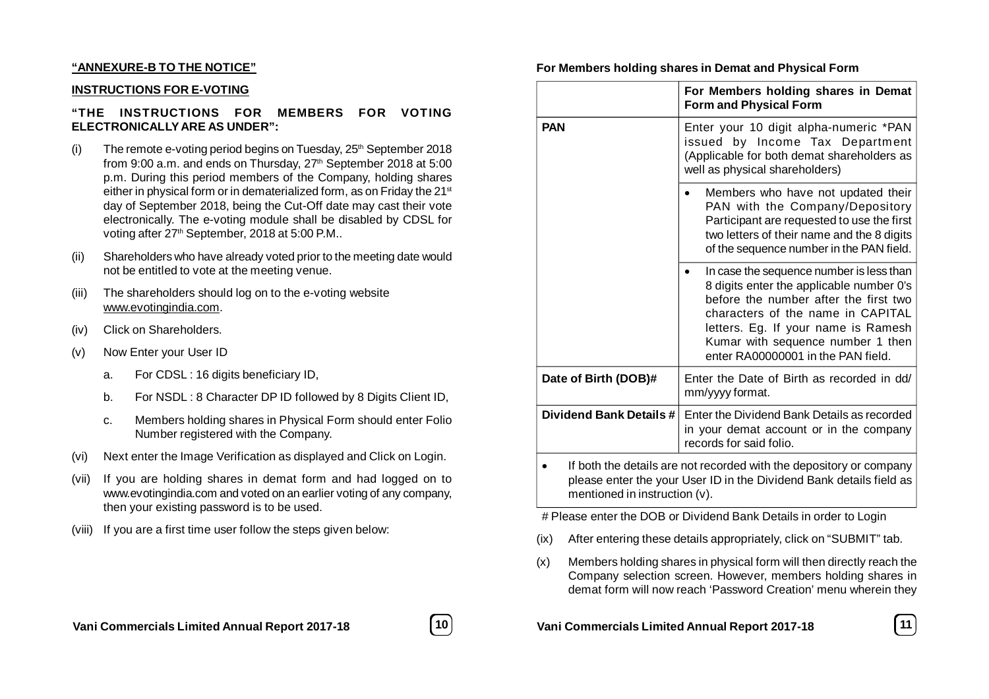#### **"ANNEXURE-B TO THE NOTICE"**

#### **INSTRUCTIONS FOR E-VOTING**

### **"THE INSTRUCTIONS FOR MEMBERS FOR VOTING ELECTRONICALLY ARE AS UNDER":**

- (i) The remote e-voting period begins on Tuesday,  $25<sup>th</sup>$  September 2018 from 9:00 a.m. and ends on Thursday, 27th September 2018 at 5:00 p.m. During this period members of the Company, holding shares either in physical form or in dematerialized form, as on Friday the 21<sup>st</sup> day of September 2018, being the Cut-Off date may cast their vote electronically. The e-voting module shall be disabled by CDSL for voting after 27th September, 2018 at 5:00 P.M..
- (ii) Shareholders who have already voted prior to the meeting date would not be entitled to vote at the meeting venue.
- (iii) The shareholders should log on to the e-voting website www.evotingindia.com.
- (iv) Click on Shareholders.
- (v) Now Enter your User ID
	- a. For CDSL : 16 digits beneficiary ID,
	- b. For NSDL : 8 Character DP ID followed by 8 Digits Client ID,
	- c. Members holding shares in Physical Form should enter Folio Number registered with the Company.
- (vi) Next enter the Image Verification as displayed and Click on Login.
- (vii) If you are holding shares in demat form and had logged on to www.evotingindia.com and voted on an earlier voting of any company, then your existing password is to be used.
- (viii) If you are a first time user follow the steps given below:

|            | For Members holding shares in Demat<br>Form and Physical Form             |
|------------|---------------------------------------------------------------------------|
| <b>PAN</b> | Enter your 10 digit alpha-numeric *PAN<br>issued by Income Tax Department |
|            |                                                                           |

**For Members holding shares in Demat and Physical Form**

|                         | (Applicable for both demat shareholders as<br>well as physical shareholders)                                                                                                                                                                                                         |
|-------------------------|--------------------------------------------------------------------------------------------------------------------------------------------------------------------------------------------------------------------------------------------------------------------------------------|
|                         | Members who have not updated their<br>PAN with the Company/Depository<br>Participant are requested to use the first<br>two letters of their name and the 8 digits<br>of the sequence number in the PAN field.                                                                        |
|                         | In case the sequence number is less than<br>8 digits enter the applicable number 0's<br>before the number after the first two<br>characters of the name in CAPITAL<br>letters. Eg. If your name is Ramesh<br>Kumar with sequence number 1 then<br>enter RA00000001 in the PAN field. |
| Date of Birth (DOB)#    | Enter the Date of Birth as recorded in dd/<br>mm/yyyy format.                                                                                                                                                                                                                        |
| Dividend Bank Details # | Enter the Dividend Bank Details as recorded<br>in your demat account or in the company<br>records for said folio.                                                                                                                                                                    |
|                         | If both the details are not recorded with the depository or company                                                                                                                                                                                                                  |

please enter the your User ID in the Dividend Bank details field as mentioned in instruction (v).

# Please enter the DOB or Dividend Bank Details in order to Login

- (ix) After entering these details appropriately, click on "SUBMIT" tab.
- (x) Members holding shares in physical form will then directly reach the Company selection screen. However, members holding shares in demat form will now reach 'Password Creation' menu wherein they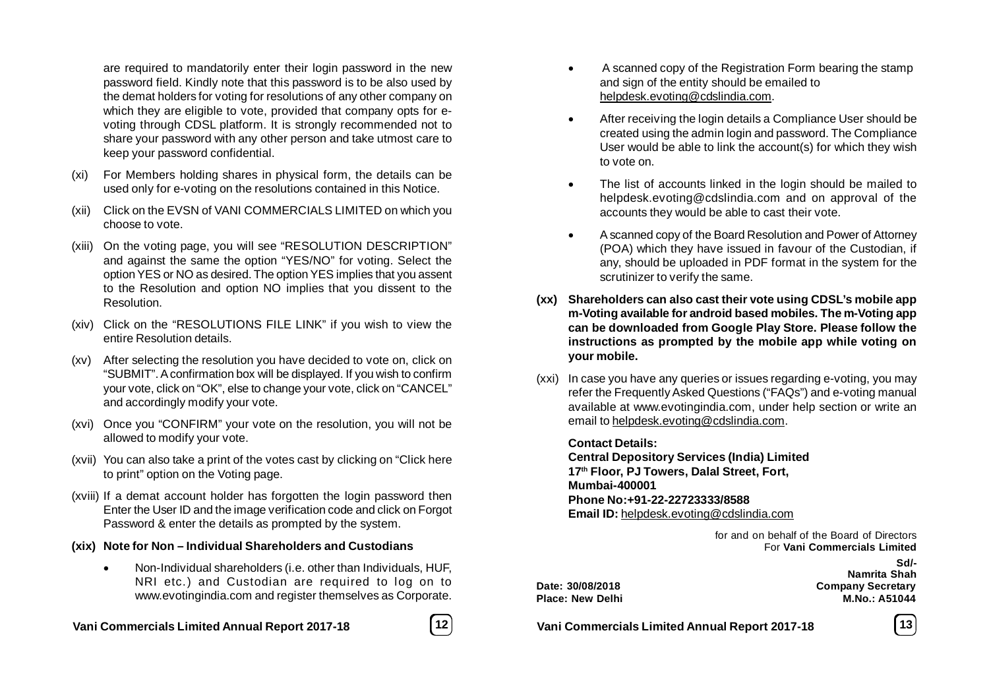are required to mandatorily enter their login password in the new password field. Kindly note that this password is to be also used by the demat holders for voting for resolutions of any other company on which they are eligible to vote, provided that company opts for evoting through CDSL platform. It is strongly recommended not to share your password with any other person and take utmost care to keep your password confidential.

- (xi) For Members holding shares in physical form, the details can be used only for e-voting on the resolutions contained in this Notice.
- (xii) Click on the EVSN of VANI COMMERCIALS LIMITED on which you choose to vote.
- (xiii) On the voting page, you will see "RESOLUTION DESCRIPTION" and against the same the option "YES/NO" for voting. Select the option YES or NO as desired. The option YES implies that you assent to the Resolution and option NO implies that you dissent to the Resolution.
- (xiv) Click on the "RESOLUTIONS FILE LINK" if you wish to view the entire Resolution details.
- (xv) After selecting the resolution you have decided to vote on, click on "SUBMIT". A confirmation box will be displayed. If you wish to confirm your vote, click on "OK", else to change your vote, click on "CANCEL" and accordingly modify your vote.
- (xvi) Once you "CONFIRM" your vote on the resolution, you will not be allowed to modify your vote.
- (xvii) You can also take a print of the votes cast by clicking on "Click here to print" option on the Voting page.
- (xviii) If a demat account holder has forgotten the login password then Enter the User ID and the image verification code and click on Forgot Password & enter the details as prompted by the system.

#### **(xix) Note for Non – Individual Shareholders and Custodians**

 Non-Individual shareholders (i.e. other than Individuals, HUF, NRI etc.) and Custodian are required to log on to www.evotingindia.com and register themselves as Corporate.

**Vani Commercials Limited Annual Report 2017-18 12 Vani Commercials Limited Annual Report 2017-18 13**



- A scanned copy of the Registration Form bearing the stamp and sign of the entity should be emailed to helpdesk.evoting@cdslindia.com.
- After receiving the login details a Compliance User should be created using the admin login and password. The Compliance User would be able to link the account(s) for which they wish to vote on.
- The list of accounts linked in the login should be mailed to helpdesk.evoting@cdslindia.com and on approval of the accounts they would be able to cast their vote.
- A scanned copy of the Board Resolution and Power of Attorney (POA) which they have issued in favour of the Custodian, if any, should be uploaded in PDF format in the system for the scrutinizer to verify the same.
- **(xx) Shareholders can also cast their vote using CDSL's mobile app m-Voting available for android based mobiles. The m-Voting app can be downloaded from Google Play Store. Please follow the instructions as prompted by the mobile app while voting on your mobile.**
- (xxi) In case you have any queries or issues regarding e-voting, you may refer the Frequently Asked Questions ("FAQs") and e-voting manual available at www.evotingindia.com, under help section or write an email to helpdesk.evoting@cdslindia.com.

#### **Contact Details:**

**Central Depository Services (India) Limited 17th Floor, PJ Towers, Dalal Street, Fort, Mumbai-400001 Phone No:+91-22-22723333/8588 Email ID:** helpdesk.evoting@cdslindia.com

> for and on behalf of the Board of Directors For **Vani Commercials Limited Sd/-**

**Namrita Shah Date: 30/08/2018 Company Secretary Place: New Delhi M.No.: A51044**

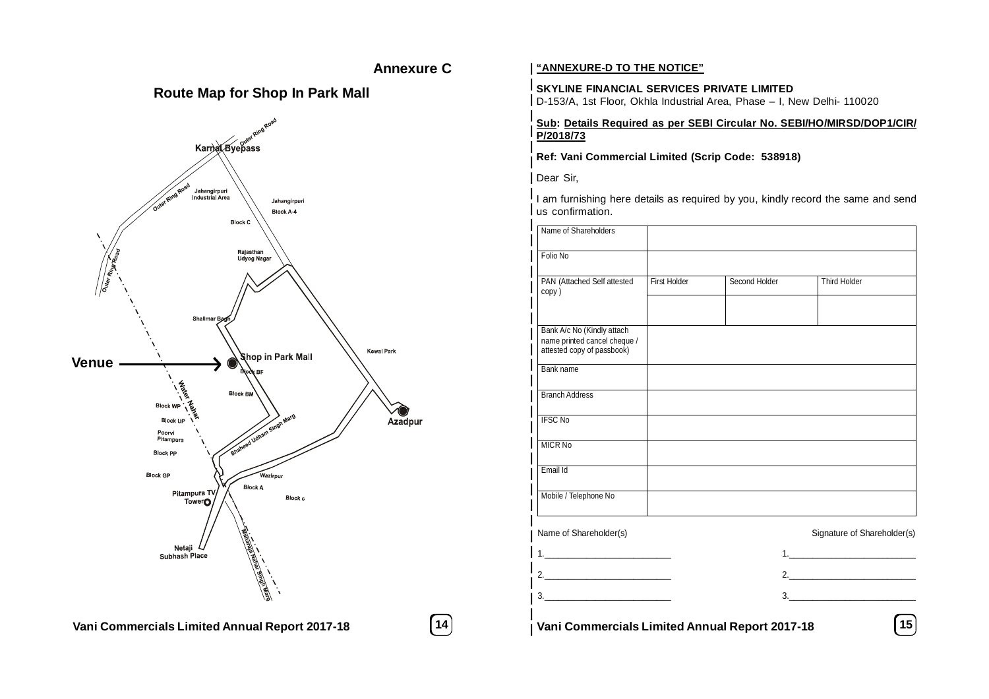### **Annexure C**

### **Route Map for Shop In Park Mall**



### **"ANNEXURE-D TO THE NOTICE"**

### **SKYLINE FINANCIAL SERVICES PRIVATE LIMITED**

D-153/A, 1st Floor, Okhla Industrial Area, Phase – I, New Delhi- 110020

#### **Sub: Details Required as per SEBI Circular No. SEBI/HO/MIRSD/DOP1/CIR/ P/2018/73**

**Ref: Vani Commercial Limited (Scrip Code: 538918)**

Dear Sir,

 $\frac{1}{2}$ I am furnishing here details as required by you, kindly record the same and send us confirmation.

|                  | <b>DIOCK C</b>                                                                     | Name of Shareholders                                                                                  |              |                                                |                             |
|------------------|------------------------------------------------------------------------------------|-------------------------------------------------------------------------------------------------------|--------------|------------------------------------------------|-----------------------------|
|                  | Rajasthan<br>Udyog Nagar                                                           | Folio No                                                                                              |              |                                                |                             |
| Outer Rings Road | Shalimar B                                                                         | PAN (Attached Self attested<br>copy)                                                                  | First Holder | Second Holder                                  | <b>Third Holder</b>         |
| <b>Venue</b>     | <b>Kewal Park</b><br>Shop in Park Mall                                             | Bank A/c No (Kindly attach<br>name printed cancel cheque /<br>attested copy of passbook)<br>Bank name |              |                                                |                             |
|                  | <b>BIOOK BF</b><br>Block BM<br><b>Block WP</b><br><b>Block UP</b>                  | <b>Branch Address</b><br><b>IFSC No</b><br>Azadpur                                                    |              |                                                |                             |
|                  | aheed Uaham Singh Marg<br>Poorvi<br>Pitampura<br><b>Block PP</b>                   | <b>MICR No</b>                                                                                        |              |                                                |                             |
|                  | <b>Block GP</b><br>Wazirpur<br><b>Block A</b><br>Pitampura TV<br>TowerO<br>Block c | Email Id<br>Mobile / Telephone No                                                                     |              |                                                |                             |
|                  | Netaji<br>Subhash Place                                                            | Name of Shareholder(s)                                                                                |              |                                                | Signature of Shareholder(s) |
|                  | All Principal Corporation Corporation                                              | 2.<br>3.                                                                                              |              | 3.                                             |                             |
|                  | Vani Commercials Limited Annual Report 2017-18                                     | 14                                                                                                    |              | Vani Commercials Limited Annual Report 2017-18 | $\boxed{15}$                |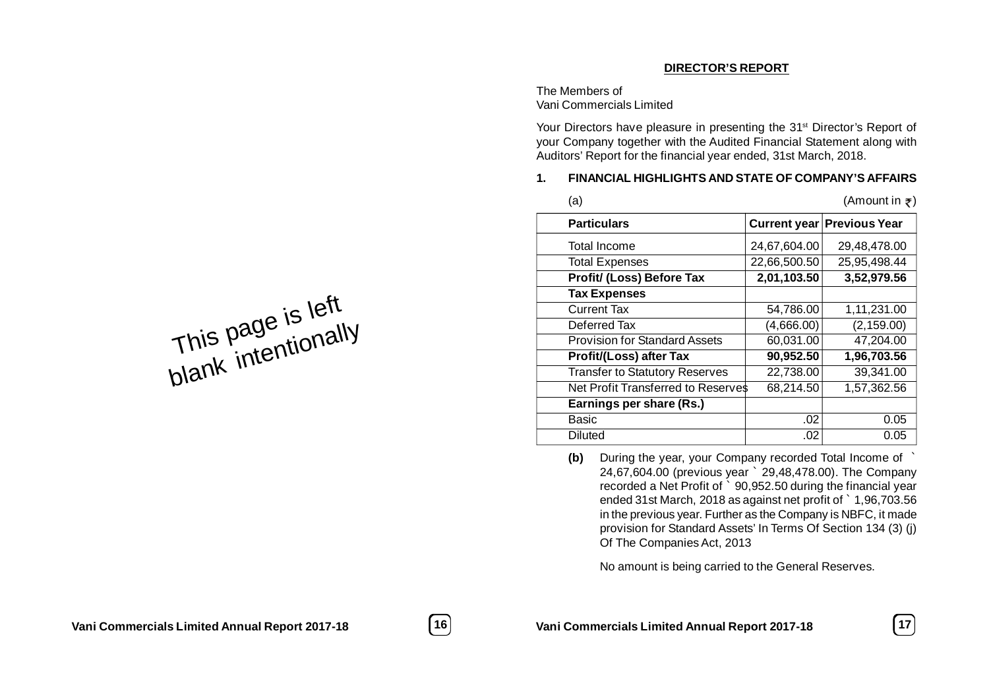### **DIRECTOR'S REPORT**

The Members of Vani Commercials Limited

Your Directors have pleasure in presenting the 31<sup>st</sup> Director's Report of your Company together with the Audited Financial Statement along with Auditors' Report for the financial year ended, 31st March, 2018.

### **1. FINANCIAL HIGHLIGHTS AND STATE OF COMPANY'S AFFAIRS**

| (a)                                   |              | (Amount in $\bar{z}$ )            |
|---------------------------------------|--------------|-----------------------------------|
| <b>Particulars</b>                    |              | <b>Current year Previous Year</b> |
| Total Income                          | 24,67,604.00 | 29,48,478.00                      |
| <b>Total Expenses</b>                 | 22,66,500.50 | 25,95,498.44                      |
| Profit/ (Loss) Before Tax             | 2,01,103.50  | 3,52,979.56                       |
| <b>Tax Expenses</b>                   |              |                                   |
| <b>Current Tax</b>                    | 54,786.00    | 1,11,231.00                       |
| Deferred Tax                          | (4,666.00)   | (2, 159.00)                       |
| <b>Provision for Standard Assets</b>  | 60,031.00    | 47,204.00                         |
| <b>Profit/(Loss) after Tax</b>        | 90,952.50    | 1,96,703.56                       |
| <b>Transfer to Statutory Reserves</b> | 22,738.00    | 39,341.00                         |
| Net Profit Transferred to Reserves    | 68,214.50    | 1,57,362.56                       |
| Earnings per share (Rs.)              |              |                                   |
| Basic                                 | .02          | 0.05                              |
| <b>Diluted</b>                        | .02          | 0.05                              |
|                                       |              |                                   |

**(b)** During the year, your Company recorded Total Income of ` 24,67,604.00 (previous year ` 29,48,478.00). The Company recorded a Net Profit of ` 90,952.50 during the financial year ended 31st March, 2018 as against net profit of ` 1,96,703.56 in the previous year. Further as the Company is NBFC, it made provision for Standard Assets' In Terms Of Section 134 (3) (j) Of The Companies Act, 2013

No amount is being carried to the General Reserves.

This page is left<br>This page is left This page is nally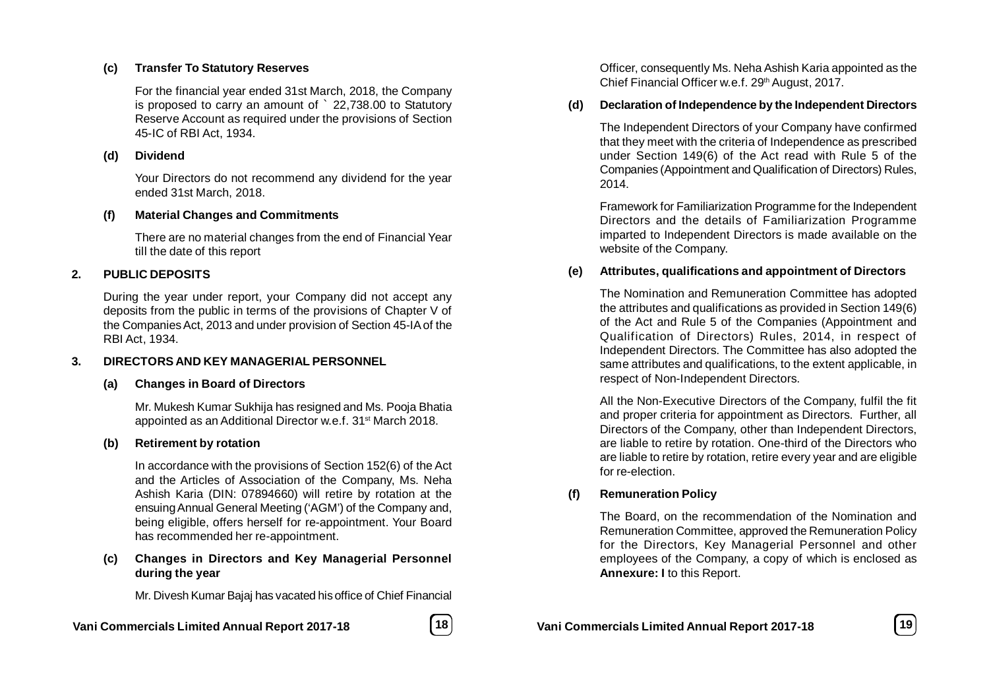### **(c) Transfer To Statutory Reserves**

For the financial year ended 31st March, 2018, the Company is proposed to carry an amount of ` 22,738.00 to Statutory Reserve Account as required under the provisions of Section 45-IC of RBI Act, 1934.

### **(d) Dividend**

Your Directors do not recommend any dividend for the year ended 31st March, 2018.

### **(f) Material Changes and Commitments**

There are no material changes from the end of Financial Year till the date of this report

### **2. PUBLIC DEPOSITS**

During the year under report, your Company did not accept any deposits from the public in terms of the provisions of Chapter V of the Companies Act, 2013 and under provision of Section 45-IA of the RBI Act, 1934.

### **3. DIRECTORS AND KEY MANAGERIAL PERSONNEL**

### **(a) Changes in Board of Directors**

Mr. Mukesh Kumar Sukhija has resigned and Ms. Pooja Bhatia appointed as an Additional Director w.e.f. 31<sup>st</sup> March 2018.

### **(b) Retirement by rotation**

In accordance with the provisions of Section 152(6) of the Act and the Articles of Association of the Company, Ms. Neha Ashish Karia (DIN: 07894660) will retire by rotation at the ensuing Annual General Meeting ('AGM') of the Company and, being eligible, offers herself for re-appointment. Your Board has recommended her re-appointment.

### **(c) Changes in Directors and Key Managerial Personnel during the year**

Mr. Divesh Kumar Bajaj has vacated his office of Chief Financial

### **Vani Commercials Limited Annual Report 2017-18 18 Vani Commercials Limited Annual Report 2017-18 19**

Officer, consequently Ms. Neha Ashish Karia appointed as the Chief Financial Officer w.e.f. 29th August, 2017.

### **(d) Declaration of Independence by the Independent Directors**

The Independent Directors of your Company have confirmed that they meet with the criteria of Independence as prescribed under Section 149(6) of the Act read with Rule 5 of the Companies (Appointment and Qualification of Directors) Rules, 2014.

Framework for Familiarization Programme for the Independent Directors and the details of Familiarization Programme imparted to Independent Directors is made available on the website of the Company.

### **(e) Attributes, qualifications and appointment of Directors**

The Nomination and Remuneration Committee has adopted the attributes and qualifications as provided in Section 149(6) of the Act and Rule 5 of the Companies (Appointment and Qualification of Directors) Rules, 2014, in respect of Independent Directors. The Committee has also adopted the same attributes and qualifications, to the extent applicable, in respect of Non-Independent Directors.

All the Non-Executive Directors of the Company, fulfil the fit and proper criteria for appointment as Directors. Further, all Directors of the Company, other than Independent Directors, are liable to retire by rotation. One-third of the Directors who are liable to retire by rotation, retire every year and are eligible for re-election.

### **(f) Remuneration Policy**

The Board, on the recommendation of the Nomination and Remuneration Committee, approved the Remuneration Policy for the Directors, Key Managerial Personnel and other employees of the Company, a copy of which is enclosed as **Annexure: I** to this Report.

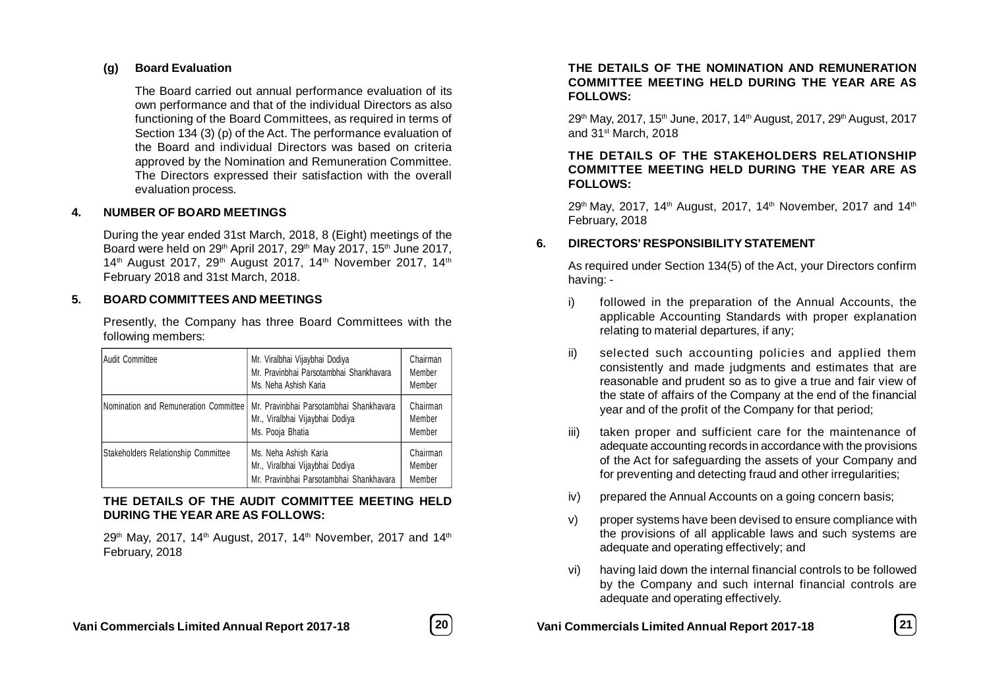### **(g) Board Evaluation**

The Board carried out annual performance evaluation of its own performance and that of the individual Directors as also functioning of the Board Committees, as required in terms of Section 134 (3) (p) of the Act. The performance evaluation of the Board and individual Directors was based on criteria approved by the Nomination and Remuneration Committee. The Directors expressed their satisfaction with the overall evaluation process.

### **4. NUMBER OF BOARD MEETINGS**

During the year ended 31st March, 2018, 8 (Eight) meetings of the Board were held on 29<sup>th</sup> April 2017, 29<sup>th</sup> May 2017, 15<sup>th</sup> June 2017, 14<sup>th</sup> August 2017, 29<sup>th</sup> August 2017, 14<sup>th</sup> November 2017, 14<sup>th</sup> February 2018 and 31st March, 2018.

### **5. BOARD COMMITTEES AND MEETINGS**

Presently, the Company has three Board Committees with the following members:

| Audit Committee                       | Mr. Viralbhai Vijaybhai Dodiya<br>Mr. Pravinbhai Parsotambhai Shankhavara<br>Ms. Neha Ashish Karia  | Chairman<br>Member<br>Member |
|---------------------------------------|-----------------------------------------------------------------------------------------------------|------------------------------|
| Nomination and Remuneration Committee | Mr. Pravinbhai Parsotambhai Shankhavara<br>Mr., Viralbhai Vijaybhai Dodiya<br>Ms. Pooja Bhatia      | Chairman<br>Member<br>Member |
| Stakeholders Relationship Committee   | Ms. Neha Ashish Karia<br>Mr., Viralbhai Vijaybhai Dodiya<br>Mr. Pravinbhai Parsotambhai Shankhavara | Chairman<br>Member<br>Member |

### **THE DETAILS OF THE AUDIT COMMITTEE MEETING HELD DURING THE YEAR ARE AS FOLLOWS:**

29<sup>th</sup> May, 2017, 14<sup>th</sup> August, 2017, 14<sup>th</sup> November, 2017 and 14<sup>th</sup> February, 2018

### **THE DETAILS OF THE NOMINATION AND REMUNERATION COMMITTEE MEETING HELD DURING THE YEAR ARE AS FOLLOWS:**

29<sup>th</sup> May, 2017, 15<sup>th</sup> June, 2017, 14<sup>th</sup> August, 2017, 29<sup>th</sup> August, 2017 and 31st March, 2018

#### **THE DETAILS OF THE STAKEHOLDERS RELATIONSHIP COMMITTEE MEETING HELD DURING THE YEAR ARE AS FOLLOWS:**

 $29<sup>th</sup>$  May, 2017, 14<sup>th</sup> August, 2017, 14<sup>th</sup> November, 2017 and 14<sup>th</sup> February, 2018

### **6. DIRECTORS' RESPONSIBILITY STATEMENT**

As required under Section 134(5) of the Act, your Directors confirm having: -

- i) followed in the preparation of the Annual Accounts, the applicable Accounting Standards with proper explanation relating to material departures, if any;
- ii) selected such accounting policies and applied them consistently and made judgments and estimates that are reasonable and prudent so as to give a true and fair view of the state of affairs of the Company at the end of the financial year and of the profit of the Company for that period;
- iii) taken proper and sufficient care for the maintenance of adequate accounting records in accordance with the provisions of the Act for safeguarding the assets of your Company and for preventing and detecting fraud and other irregularities;
- iv) prepared the Annual Accounts on a going concern basis;
- v) proper systems have been devised to ensure compliance with the provisions of all applicable laws and such systems are adequate and operating effectively; and
- vi) having laid down the internal financial controls to be followed by the Company and such internal financial controls are adequate and operating effectively.

**Vani Commercials Limited Annual Report 2017-18 20 Vani Commercials Limited Annual Report 2017-18 21**

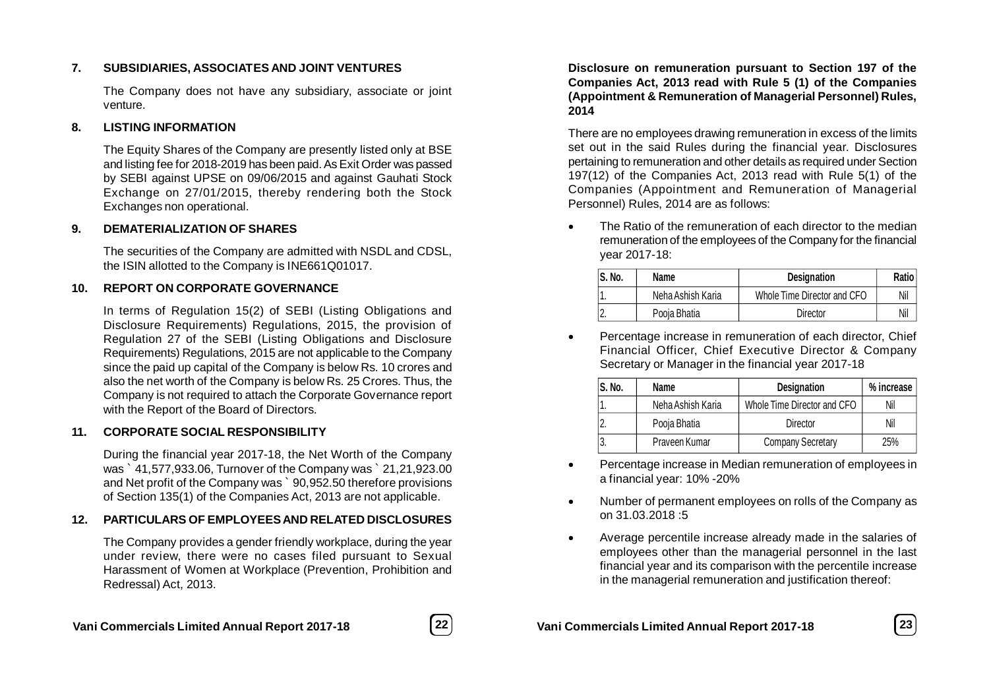### **7. SUBSIDIARIES, ASSOCIATES AND JOINT VENTURES**

The Company does not have any subsidiary, associate or joint venture.

### **8. LISTING INFORMATION**

The Equity Shares of the Company are presently listed only at BSE and listing fee for 2018-2019 has been paid. As Exit Order was passed by SEBI against UPSE on 09/06/2015 and against Gauhati Stock Exchange on 27/01/2015, thereby rendering both the Stock Exchanges non operational.

### **9. DEMATERIALIZATION OF SHARES**

The securities of the Company are admitted with NSDL and CDSL, the ISIN allotted to the Company is INE661Q01017.

### **10. REPORT ON CORPORATE GOVERNANCE**

In terms of Regulation 15(2) of SEBI (Listing Obligations and Disclosure Requirements) Regulations, 2015, the provision of Regulation 27 of the SEBI (Listing Obligations and Disclosure Requirements) Regulations, 2015 are not applicable to the Company since the paid up capital of the Company is below Rs. 10 crores and also the net worth of the Company is below Rs. 25 Crores. Thus, the Company is not required to attach the Corporate Governance report with the Report of the Board of Directors.

### **11. CORPORATE SOCIAL RESPONSIBILITY**

During the financial year 2017-18, the Net Worth of the Company was ` 41,577,933.06, Turnover of the Company was ` 21,21,923.00 and Net profit of the Company was ` 90,952.50 therefore provisions of Section 135(1) of the Companies Act, 2013 are not applicable.

### **12. PARTICULARS OF EMPLOYEES AND RELATED DISCLOSURES**

The Company provides a gender friendly workplace, during the year under review, there were no cases filed pursuant to Sexual Harassment of Women at Workplace (Prevention, Prohibition and Redressal) Act, 2013.



#### **Disclosure on remuneration pursuant to Section 197 of the Companies Act, 2013 read with Rule 5 (1) of the Companies (Appointment & Remuneration of Managerial Personnel) Rules, 2014**

There are no employees drawing remuneration in excess of the limits set out in the said Rules during the financial year. Disclosures pertaining to remuneration and other details as required under Section 197(12) of the Companies Act, 2013 read with Rule 5(1) of the Companies (Appointment and Remuneration of Managerial Personnel) Rules, 2014 are as follows:

 The Ratio of the remuneration of each director to the median remuneration of the employees of the Company for the financial year 2017-18:

| S. No. | Name              | <b>Designation</b>          | Ratio |
|--------|-------------------|-----------------------------|-------|
|        | Neha Ashish Karia | Whole Time Director and CFO | Nil   |
|        | Pooia Bhatia      | Director                    | Nil   |

 Percentage increase in remuneration of each director, Chief Financial Officer, Chief Executive Director & Company Secretary or Manager in the financial year 2017-18

| S. No.           | Name              | <b>Designation</b>          | % increase |
|------------------|-------------------|-----------------------------|------------|
|                  | Neha Ashish Karia | Whole Time Director and CFO | Nil        |
| $\overline{2}$ . | Pooja Bhatia      | <b>Director</b>             | Nil        |
| 3.               | Praveen Kumar     | <b>Company Secretary</b>    | 25%        |

- Percentage increase in Median remuneration of employees in a financial year: 10% -20%
- Number of permanent employees on rolls of the Company as on 31.03.2018 :5
- Average percentile increase already made in the salaries of employees other than the managerial personnel in the last financial year and its comparison with the percentile increase in the managerial remuneration and justification thereof: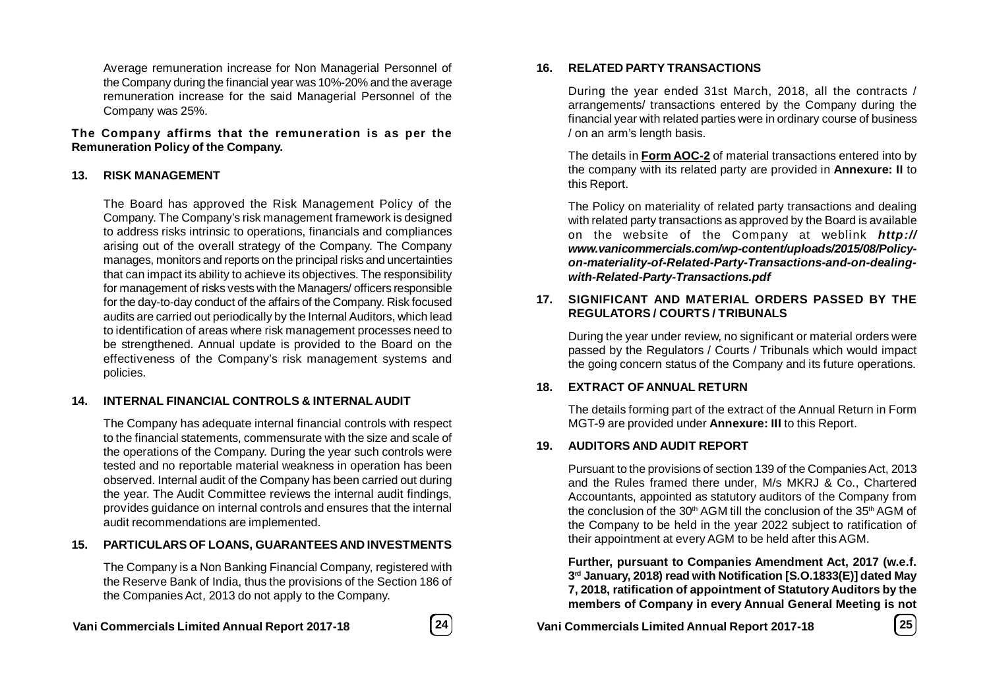Average remuneration increase for Non Managerial Personnel of the Company during the financial year was 10%-20% and the average remuneration increase for the said Managerial Personnel of the Company was 25%.

**The Company affirms that the remuneration is as per the Remuneration Policy of the Company.**

### **13. RISK MANAGEMENT**

The Board has approved the Risk Management Policy of the Company. The Company's risk management framework is designed to address risks intrinsic to operations, financials and compliances arising out of the overall strategy of the Company. The Company manages, monitors and reports on the principal risks and uncertainties that can impact its ability to achieve its objectives. The responsibility for management of risks vests with the Managers/ officers responsible for the day-to-day conduct of the affairs of the Company. Risk focused audits are carried out periodically by the Internal Auditors, which lead to identification of areas where risk management processes need to be strengthened. Annual update is provided to the Board on the effectiveness of the Company's risk management systems and policies.

### **14. INTERNAL FINANCIAL CONTROLS & INTERNAL AUDIT**

The Company has adequate internal financial controls with respect to the financial statements, commensurate with the size and scale of the operations of the Company. During the year such controls were tested and no reportable material weakness in operation has been observed. Internal audit of the Company has been carried out during the year. The Audit Committee reviews the internal audit findings, provides guidance on internal controls and ensures that the internal audit recommendations are implemented.

### **15. PARTICULARS OF LOANS, GUARANTEES AND INVESTMENTS**

The Company is a Non Banking Financial Company, registered with the Reserve Bank of India, thus the provisions of the Section 186 of the Companies Act, 2013 do not apply to the Company.



#### **16. RELATED PARTY TRANSACTIONS**

During the year ended 31st March, 2018, all the contracts / arrangements/ transactions entered by the Company during the financial year with related parties were in ordinary course of business / on an arm's length basis.

The details in **Form AOC-2** of material transactions entered into by the company with its related party are provided in **Annexure: II** to this Report.

The Policy on materiality of related party transactions and dealing with related party transactions as approved by the Board is available on the website of the Company at weblink *http:// www.vanicommercials.com/wp-content/uploads/2015/08/Policyon-materiality-of-Related-Party-Transactions-and-on-dealingwith-Related-Party-Transactions.pdf*

### **17. SIGNIFICANT AND MATERIAL ORDERS PASSED BY THE REGULATORS / COURTS / TRIBUNALS**

During the year under review, no significant or material orders were passed by the Regulators / Courts / Tribunals which would impact the going concern status of the Company and its future operations.

### **18. EXTRACT OF ANNUAL RETURN**

The details forming part of the extract of the Annual Return in Form MGT-9 are provided under **Annexure: III** to this Report.

### **19. AUDITORS AND AUDIT REPORT**

Pursuant to the provisions of section 139 of the Companies Act, 2013 and the Rules framed there under, M/s MKRJ & Co., Chartered Accountants, appointed as statutory auditors of the Company from the conclusion of the 30<sup>th</sup> AGM till the conclusion of the 35<sup>th</sup> AGM of the Company to be held in the year 2022 subject to ratification of their appointment at every AGM to be held after this AGM.

**Further, pursuant to Companies Amendment Act, 2017 (w.e.f. 3 rd January, 2018) read with Notification [S.O.1833(E)] dated May 7, 2018, ratification of appointment of Statutory Auditors by the members of Company in every Annual General Meeting is not**

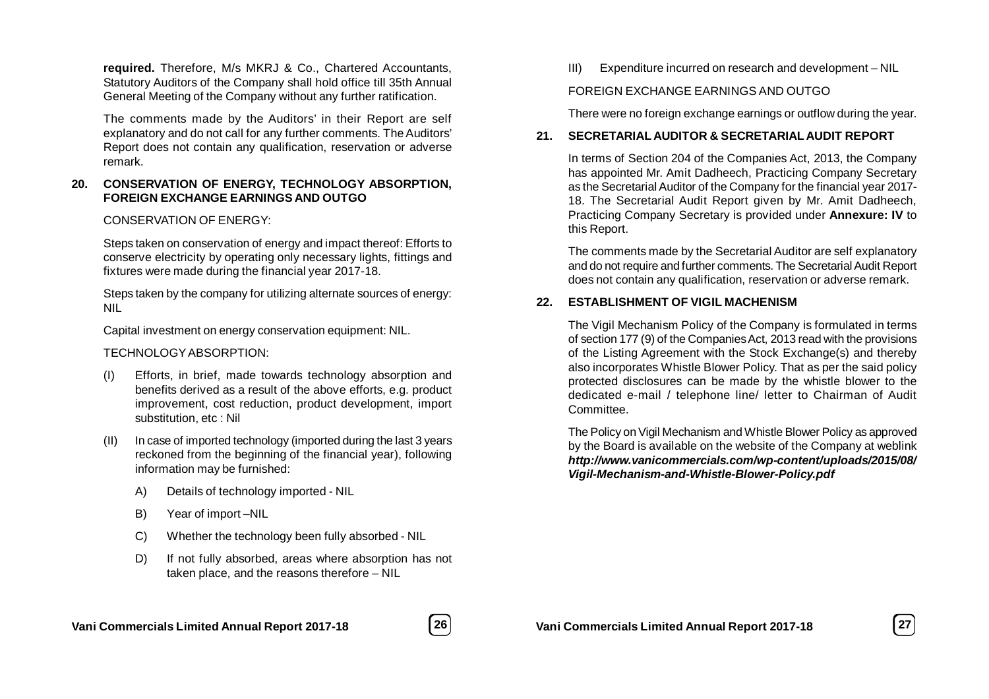**required.** Therefore, M/s MKRJ & Co., Chartered Accountants, Statutory Auditors of the Company shall hold office till 35th Annual General Meeting of the Company without any further ratification.

The comments made by the Auditors' in their Report are self explanatory and do not call for any further comments. The Auditors' Report does not contain any qualification, reservation or adverse remark.

### **20. CONSERVATION OF ENERGY, TECHNOLOGY ABSORPTION, FOREIGN EXCHANGE EARNINGS AND OUTGO**

### CONSERVATION OF ENERGY:

Steps taken on conservation of energy and impact thereof: Efforts to conserve electricity by operating only necessary lights, fittings and fixtures were made during the financial year 2017-18.

Steps taken by the company for utilizing alternate sources of energy: NIL

Capital investment on energy conservation equipment: NIL.

### TECHNOLOGYABSORPTION:

- (I) Efforts, in brief, made towards technology absorption and benefits derived as a result of the above efforts, e.g. product improvement, cost reduction, product development, import substitution, etc : Nil
- (II) In case of imported technology (imported during the last 3 years reckoned from the beginning of the financial year), following information may be furnished:
	- A) Details of technology imported NIL
	- B) Year of import –NIL
	- C) Whether the technology been fully absorbed NIL
	- D) If not fully absorbed, areas where absorption has not taken place, and the reasons therefore – NIL

III) Expenditure incurred on research and development – NIL

### FOREIGN EXCHANGE EARNINGS AND OUTGO

There were no foreign exchange earnings or outflow during the year.

### **21. SECRETARIAL AUDITOR & SECRETARIAL AUDIT REPORT**

In terms of Section 204 of the Companies Act, 2013, the Company has appointed Mr. Amit Dadheech, Practicing Company Secretary as the Secretarial Auditor of the Company for the financial year 2017- 18. The Secretarial Audit Report given by Mr. Amit Dadheech, Practicing Company Secretary is provided under **Annexure: IV** to this Report.

The comments made by the Secretarial Auditor are self explanatory and do not require and further comments. The Secretarial Audit Report does not contain any qualification, reservation or adverse remark.

### **22. ESTABLISHMENT OF VIGIL MACHENISM**

The Vigil Mechanism Policy of the Company is formulated in terms of section 177 (9) of the Companies Act, 2013 read with the provisions of the Listing Agreement with the Stock Exchange(s) and thereby also incorporates Whistle Blower Policy. That as per the said policy protected disclosures can be made by the whistle blower to the dedicated e-mail / telephone line/ letter to Chairman of Audit Committee.

The Policy on Vigil Mechanism and Whistle Blower Policy as approved by the Board is available on the website of the Company at weblink *http://www.vanicommercials.com/wp-content/uploads/2015/08/ Vigil-Mechanism-and-Whistle-Blower-Policy.pdf*

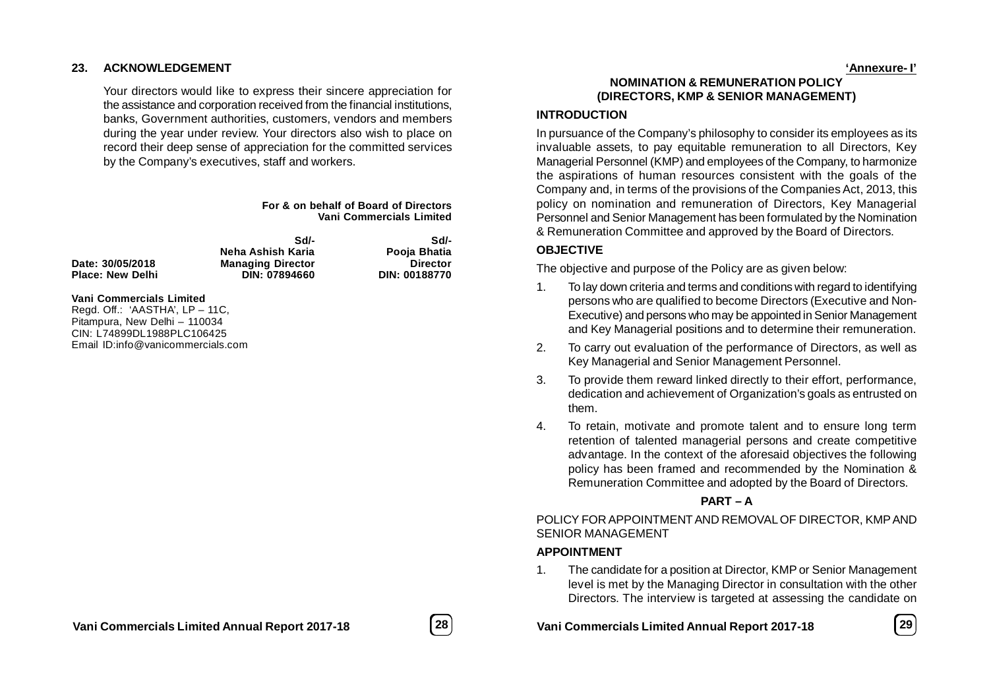#### **23. ACKNOWLEDGEMENT**

Your directors would like to express their sincere appreciation for the assistance and corporation received from the financial institutions, banks, Government authorities, customers, vendors and members during the year under review. Your directors also wish to place on record their deep sense of appreciation for the committed services by the Company's executives, staff and workers.

#### **For & on behalf of Board of Directors Vani Commercials Limited**

 $Place: New Delhi$ 

**Sd/- Sd/- Neha Ashish Karia Pooja Bhatia Date: 30/05/2018 Managing Director Director**

#### **Vani Commercials Limited**

Regd. Off.: 'AASTHA', LP – 11C, Pitampura, New Delhi – 110034 CIN: L74899DL1988PLC106425 Email ID:info@vanicommercials.com

**NOMINATION & REMUNERATION POLICY (DIRECTORS, KMP & SENIOR MANAGEMENT)**

#### **INTRODUCTION**

In pursuance of the Company's philosophy to consider its employees as its invaluable assets, to pay equitable remuneration to all Directors, Key Managerial Personnel (KMP) and employees of the Company, to harmonize the aspirations of human resources consistent with the goals of the Company and, in terms of the provisions of the Companies Act, 2013, this policy on nomination and remuneration of Directors, Key Managerial Personnel and Senior Management has been formulated by the Nomination & Remuneration Committee and approved by the Board of Directors.

#### **OBJECTIVE**

The objective and purpose of the Policy are as given below:

- 1. To lay down criteria and terms and conditions with regard to identifying persons who are qualified to become Directors (Executive and Non-Executive) and persons who may be appointed in Senior Management and Key Managerial positions and to determine their remuneration.
- 2. To carry out evaluation of the performance of Directors, as well as Key Managerial and Senior Management Personnel.
- 3. To provide them reward linked directly to their effort, performance, dedication and achievement of Organization's goals as entrusted on them.
- 4. To retain, motivate and promote talent and to ensure long term retention of talented managerial persons and create competitive advantage. In the context of the aforesaid objectives the following policy has been framed and recommended by the Nomination & Remuneration Committee and adopted by the Board of Directors.

#### **PART – A**

POLICY FOR APPOINTMENT AND REMOVAL OF DIRECTOR, KMP AND SENIOR MANAGEMENT

#### **APPOINTMENT**

1. The candidate for a position at Director, KMP or Senior Management level is met by the Managing Director in consultation with the other Directors. The interview is targeted at assessing the candidate on

**Vani Commercials Limited Annual Report 2017-18 28 Vani Commercials Limited Annual Report 2017-18 29**



**'Annexure- I'**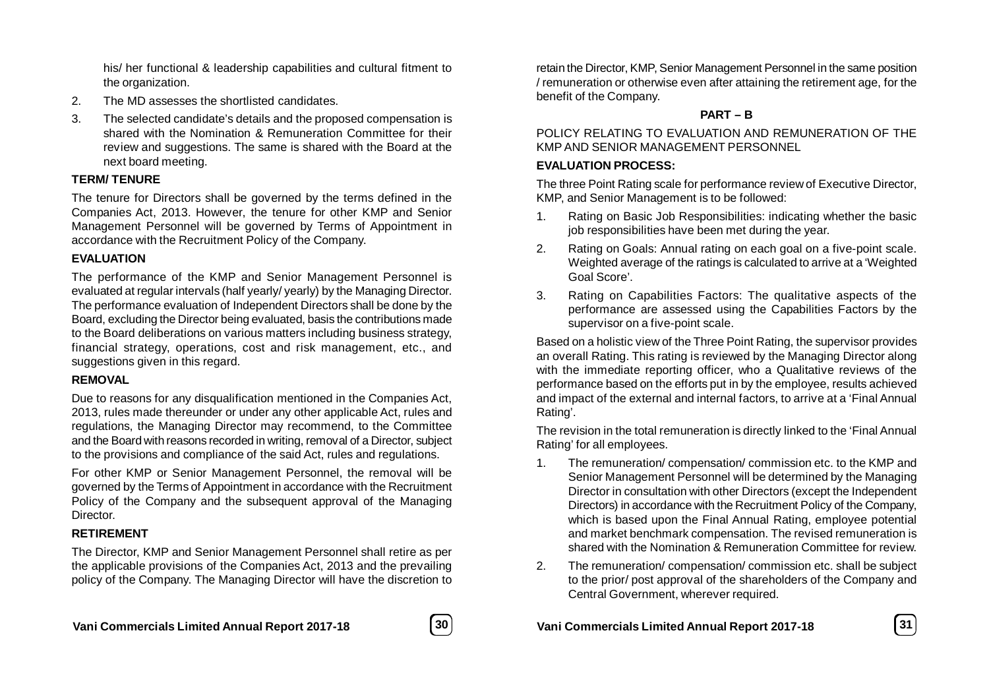his/ her functional & leadership capabilities and cultural fitment to the organization.

- 2. The MD assesses the shortlisted candidates.
- 3. The selected candidate's details and the proposed compensation is shared with the Nomination & Remuneration Committee for their review and suggestions. The same is shared with the Board at the next board meeting.

### **TERM/ TENURE**

The tenure for Directors shall be governed by the terms defined in the Companies Act, 2013. However, the tenure for other KMP and Senior Management Personnel will be governed by Terms of Appointment in accordance with the Recruitment Policy of the Company.

### **EVALUATION**

The performance of the KMP and Senior Management Personnel is evaluated at regular intervals (half yearly/ yearly) by the Managing Director. The performance evaluation of Independent Directors shall be done by the Board, excluding the Director being evaluated, basis the contributions made to the Board deliberations on various matters including business strategy, financial strategy, operations, cost and risk management, etc., and suggestions given in this regard.

### **REMOVAL**

Due to reasons for any disqualification mentioned in the Companies Act, 2013, rules made thereunder or under any other applicable Act, rules and regulations, the Managing Director may recommend, to the Committee and the Board with reasons recorded in writing, removal of a Director, subject to the provisions and compliance of the said Act, rules and regulations.

For other KMP or Senior Management Personnel, the removal will be governed by the Terms of Appointment in accordance with the Recruitment Policy of the Company and the subsequent approval of the Managing Director.

### **RETIREMENT**

The Director, KMP and Senior Management Personnel shall retire as per the applicable provisions of the Companies Act, 2013 and the prevailing policy of the Company. The Managing Director will have the discretion to



retain the Director, KMP, Senior Management Personnel in the same position / remuneration or otherwise even after attaining the retirement age, for the benefit of the Company.

### **PART – B**

POLICY RELATING TO EVALUATION AND REMUNERATION OF THE KMP AND SENIOR MANAGEMENT PERSONNEL

### **EVALUATION PROCESS:**

The three Point Rating scale for performance review of Executive Director, KMP, and Senior Management is to be followed:

- 1. Rating on Basic Job Responsibilities: indicating whether the basic job responsibilities have been met during the year.
- 2. Rating on Goals: Annual rating on each goal on a five-point scale. Weighted average of the ratings is calculated to arrive at a 'Weighted Goal Score'.
- 3. Rating on Capabilities Factors: The qualitative aspects of the performance are assessed using the Capabilities Factors by the supervisor on a five-point scale.

Based on a holistic view of the Three Point Rating, the supervisor provides an overall Rating. This rating is reviewed by the Managing Director along with the immediate reporting officer, who a Qualitative reviews of the performance based on the efforts put in by the employee, results achieved and impact of the external and internal factors, to arrive at a 'Final Annual Rating'.

The revision in the total remuneration is directly linked to the 'Final Annual Rating' for all employees.

- 1. The remuneration/ compensation/ commission etc. to the KMP and Senior Management Personnel will be determined by the Managing Director in consultation with other Directors (except the Independent Directors) in accordance with the Recruitment Policy of the Company, which is based upon the Final Annual Rating, employee potential and market benchmark compensation. The revised remuneration is shared with the Nomination & Remuneration Committee for review.
- 2. The remuneration/ compensation/ commission etc. shall be subject to the prior/ post approval of the shareholders of the Company and Central Government, wherever required.

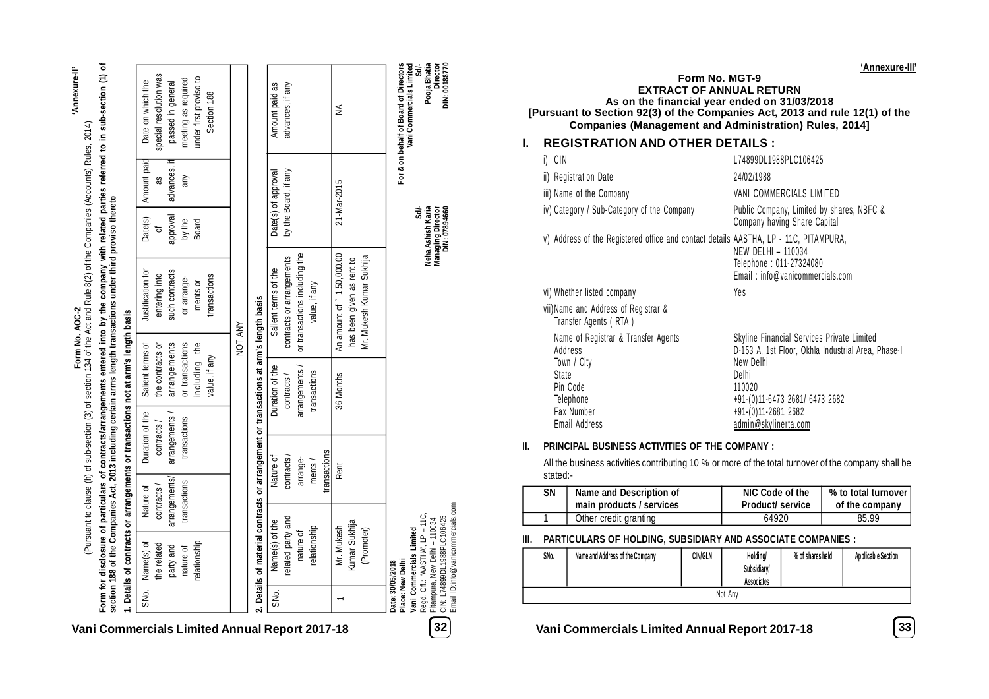**'Annexure-II'**

|      | party and         | arrangements/ | arrangements / | arrangements                                                                          |         | such contracts                | approval        | advances, if         | passed in general      |
|------|-------------------|---------------|----------------|---------------------------------------------------------------------------------------|---------|-------------------------------|-----------------|----------------------|------------------------|
|      | nature of         | transactions  | transactions   | or transactions                                                                       |         | or arrange-                   | by the<br>Board | any                  | meeting as required    |
|      | relationship      |               |                | including the                                                                         |         | ments or                      |                 |                      | under first proviso to |
|      |                   |               |                | value, if any                                                                         |         | transactions                  |                 |                      | Section 188            |
|      |                   |               |                |                                                                                       | NOT ANY |                               |                 |                      |                        |
|      |                   |               |                | 2. Details of material contracts or arrangement or transactions at arm's length basis |         |                               |                 |                      |                        |
| SNo. | Name(s) of the    |               | Nature of      | Duration of the                                                                       |         | Salient terms of the          |                 | Date(s) of approval  | Amount paid as         |
|      | related party and |               | contracts/     | contracts /                                                                           |         | contracts or arrangements     |                 | by the Board, if any | advances, if any       |
|      | nature of         |               | arrange-       | arrangements /                                                                        |         | or transactions including the |                 |                      |                        |
|      | relationship      |               | ments/         | transactions                                                                          |         | value, if any                 |                 |                      |                        |
|      |                   |               | ransactions    |                                                                                       |         |                               |                 |                      |                        |
|      | Mr. Mukesh        |               | Rent           | 36 Months                                                                             |         | An amount of 1,50,000.00      |                 | 21-Mar-2015          | ≶                      |
|      | Kumar Sukhija     |               |                |                                                                                       |         | has been given as rent to     |                 |                      |                        |
|      | (Promoter)        |               |                |                                                                                       |         | Mr. Mukesh Kumar Sukhija      |                 |                      |                        |
|      |                   |               |                |                                                                                       |         |                               |                 |                      |                        |

Pitampura, New Delhi – 110034 CIN: L74899DL1988PLC106425 Email ID:info@vanicommercials.com **Managing Director Director DIN: 07894660 DIN: 00188770**

**Date: 30/05/2018 Place: New Delhi**

**For & on behalf of Board of Directors Vani Commercials Limited**

 **Sd/- Sd/- Neha Ashish Karia Pooja Bhatia**

**Vani Commercials Limited** Regd. Off.: 'AASTHA', LP – 11C,

**Form No. MGT-9 EXTRACT OF ANNUAL RETURN As on the financial year ended on 31/03/2018 [Pursuant to Section 92(3) of the Companies Act, 2013 and rule 12(1) of the Companies (Management and Administration) Rules, 2014] I. REGISTRATION AND OTHER DETAILS :** i) CIN 174899DI 1988PI C106425 ii) Registration Date 24/02/1988 iii) Name of the Company variable van COMMERCIALS LIMITED iv) Category / Sub-Category of the Company Public Company, Limited by shares, NBFC & Company having Share Capital v) Address of the Registered office and contact details AASTHA, LP - 11C, PITAMPURA, NEW DELHI – 110034 Telephone : 011-27324080 Email : info@vanicommercials.com vi) Whether listed company Ves vii)Name and Address of Registrar & Transfer Agents ( RTA ) Name of Registrar & Transfer Agents Skyline Financial Services Private Limited Address (a) Address D-153 A, 1st Floor, Okhla Industrial Area, Phase-I<br>Town / City Town / City<br>State State Delhi Pin Code 110020 Telephone +91-(0)11-6473 2681/ 6473 2682<br>Fax Number +91-(0)11-2681 2682  $+91-(0)11-26812$ Email Address admin@skylinerta .com **II. PRINCIPAL BUSINESS ACTIVITIES OF THE COMPANY : EXAMPLE 12 A SUBARU A CONTRACTOR ANNUAL RETURN IN CONTRACTOR ANNUAL RETURN IN CONTRACTOR ANNUAL RETURN IN CONTRACTOR ANNUAL RETURN IN CONTRACTOR ANNUAL RETURN IN CONTRACTOR ANNUAL RETURN IN CONTRACTOR ANNUAL RETURN IN CO** 

All the business activities contributing 10 % or more of the total turnover of the company shall be stated:-

| SΝ | Name and Description of  | NIC Code of the         | % to total turnover |
|----|--------------------------|-------------------------|---------------------|
|    | main products / services | <b>Product/ service</b> | of the company      |
|    | Other credit granting    | 64920                   | 85.99               |

#### **III. PARTICULARS OF HOLDING, SUBSIDIARY AND ASSOCIATE COMPANIES :**

| SNo. | Name and Address of the Company | CIN/GLN | Holding/<br>Subsidiary/<br><b>Associates</b> | % of shares held | <b>Applicable Section</b> |
|------|---------------------------------|---------|----------------------------------------------|------------------|---------------------------|
|      |                                 |         | Not Any                                      |                  |                           |

**'Annexure-III'**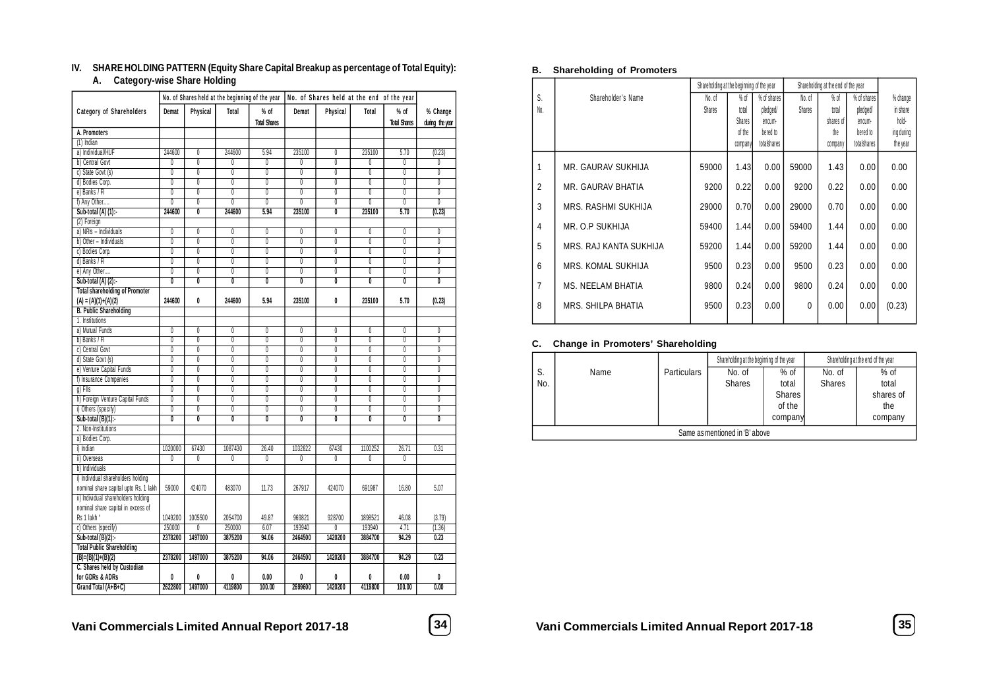### **IV. SHARE HOLDING PATTERN (Equity Share Capital Breakup as percentage of Total Equity):**

### **A. Category-wise Share Holding**

| Category of Shareholders<br>$%$ of<br>Demat<br>Physical<br>Total<br>% of<br>Demat<br>Physical<br>Total<br>% Change<br><b>Total Shares</b><br><b>Total Shares</b><br>during the year<br>A. Promoters<br>$(1)$ Indian<br>a) Individual/HUF<br>0<br>244600<br>5.94<br>235100<br>235100<br>5.70<br>(0.23)<br>244600<br>$\theta$<br>b) Central Govt<br>$\overline{0}$<br>0<br>0<br>0<br>0<br>0<br>0<br>0<br>$\theta$<br>c) State Govt (s)<br>$\overline{0}$<br>$\overline{0}$<br>0<br>0<br>0<br>0<br>0<br>$\overline{0}$<br>$\overline{0}$<br>$\overline{0}$<br>$\overline{0}$<br>$\overline{0}$<br>$\overline{0}$<br>$\overline{0}$<br>$\overline{0}$<br>$\overline{0}$<br>d) Bodies Corp.<br>$\overline{0}$<br>$\overline{0}$<br>e) Banks / Fl<br>$\overline{0}$<br>$\overline{0}$<br>$\overline{0}$<br>$\overline{0}$<br>$\overline{0}$<br>$\overline{0}$<br>$\overline{0}$<br>$\overline{0}$<br>$\overline{0}$<br>f) Any Other<br>0<br>0<br>0<br>0<br>0<br>0<br>0<br>0<br>$\overline{0}$<br>Sub-total $(A)$ $(1)$ :-<br>244600<br>$\overline{0}$<br>5.94<br>235100<br>$\overline{\mathbf{0}}$<br>235100<br>(0.23)<br>244600<br>5.70<br>(2) Foreign<br>a) NRIs - Individuals<br>$\overline{0}$<br>0<br>$\overline{0}$<br>$\overline{0}$<br>$\overline{0}$<br>$\overline{0}$<br>$\overline{0}$<br>$\overline{0}$<br>$\overline{0}$<br>b) Other - Individuals<br>$\overline{0}$<br>$\overline{0}$<br>$\overline{0}$<br>$\overline{0}$<br>$\overline{0}$<br>$\overline{0}$<br>$\overline{\mathbb{0}}$<br>$\overline{0}$<br>$\overline{0}$<br>0<br>$\overline{0}$<br>0<br>0<br>$\overline{0}$<br>0<br>0<br>Ō<br>c) Bodies Corp.<br>$\overline{0}$<br>d) Banks / FI<br>0<br>$\overline{0}$<br>$\overline{0}$<br>$\overline{0}$<br>0<br>$\overline{0}$<br>0<br>$\overline{0}$<br>$\overline{0}$<br>e) Any Other<br>$\overline{0}$<br>0<br>0<br>0<br>0<br>0<br>0<br>0<br>0<br>$\overline{0}$<br>$\overline{0}$<br>$\overline{0}$<br>$\overline{\mathbf{0}}$<br>$\overline{0}$<br>Sub-total $(A)$ $(2)$ :-<br>$\overline{\mathbf{0}}$<br>$\overline{\mathfrak{o}}$<br>$\overline{\mathbf{0}}$<br>$\overline{0}$<br><b>Total shareholding of Promoter</b><br>$(A) = (A)(1)+(A)(2)$<br>0<br>0<br>244600<br>244600<br>5.94<br>235100<br>235100<br>5.70<br>(0.23)<br><b>B. Public Shareholding</b><br>1. Institutions<br>a) Mutual Funds<br>$\overline{0}$<br>$\overline{0}$<br>$\overline{0}$<br>$\overline{0}$<br>$\overline{0}$<br>$\overline{0}$<br>$\overline{0}$<br>0<br>0<br>b) Banks / FI<br>$\overline{0}$<br>$\overline{0}$<br>$\overline{0}$<br>$\overline{0}$<br>0<br>0<br>0<br>$\overline{0}$<br>0<br>c) Central Govt<br>0<br>$\overline{0}$<br>$\overline{0}$<br>0<br>0<br>$\overline{0}$<br>0<br>0<br>$\overline{0}$<br>$\overline{0}$<br>d) State Govt (s)<br>$\overline{0}$<br>$\overline{0}$<br>$\overline{0}$<br>$\overline{0}$<br>$\overline{0}$<br>$\overline{0}$<br>$\overline{0}$<br>$\overline{0}$<br>$\overline{0}$<br>e) Venture Capital Funds<br>0<br>0<br>0<br>0<br>$\overline{0}$<br>0<br>0<br>$\overline{0}$<br>$\overline{0}$<br>$\overline{0}$<br>f) Insurance Companies<br>$\overline{0}$<br>$\overline{0}$<br>$\overline{0}$<br>$\overline{0}$<br>$\overline{0}$<br>$\overline{0}$<br>0<br>$\overline{0}$<br>$\overline{0}$<br>$\overline{0}$<br>$\overline{0}$<br>$q$ ) Flls<br>0<br>0<br>0<br>0<br>0<br>$\overline{0}$<br>h) Foreign Venture Capital Funds<br>0<br>$\overline{0}$<br>0<br>0<br>$\overline{0}$<br>$\overline{0}$<br>$\overline{0}$<br>0<br>$\overline{0}$<br>$\overline{0}$<br>$\overline{0}$<br>$\overline{0}$<br>$\overline{0}$<br>i) Others (specify)<br>$\overline{0}$<br>$\overline{0}$<br>$\overline{0}$<br>$\overline{0}$<br>$\overline{0}$<br>$\overline{0}$<br>Sub-total (B)(1):-<br>Ō<br>$\overline{\mathbf{0}}$<br>Ō<br>$\overline{\mathbf{0}}$<br>$\overline{\mathbf{0}}$<br>$\overline{\mathbf{0}}$<br>0<br>2. Non-Institutions<br>a) Bodies Corp.<br>67430<br>1100252<br>i) Indian<br>1020000<br>1087430<br>26.40<br>1032822<br>67430<br>26.71<br>0.31<br>$\overline{0}$<br>ii) Overseas<br>$\overline{0}$<br>$\overline{0}$<br>$\overline{0}$<br>$\overline{0}$<br>$\overline{0}$<br>$\overline{0}$<br>$\overline{0}$<br>b) Individuals<br>i) Individual shareholders holding<br>nominal share capital upto Rs. 1 lakh<br>59000<br>424070<br>483070<br>11.73<br>267917<br>424070<br>691987<br>16.80<br>5.07<br>ii) Individual shareholders holding<br>nominal share capital in excess of<br>Rs 1 lakh *<br>1049200<br>1005500<br>2054700<br>49.87<br>969821<br>928700<br>1898521<br>(3.79)<br>46.08<br>250000<br>250000<br>193940<br>193940<br>c) Others (specify)<br>$\overline{0}$<br>6.07<br>$\overline{0}$<br>4.71<br>(1.36)<br>2378200<br>1497000<br>Sub-total $(B)(2)$ :-<br>3875200<br>94.06<br>2464500<br>1420200<br>3884700<br>94.29<br>0.23<br><b>Total Public Shareholding</b><br>2378200<br>1497000<br>0.23<br>$(B)=(B)(1)+(B)(2)$<br>3875200<br>94.06<br>2464500<br>1420200<br>3884700<br>94.29<br>C. Shares held by Custodian<br>0<br>for GDRs & ADRs<br>0<br>0<br>0<br>0.00<br>0<br>0<br>0.00<br>0<br>2622800<br>1497000<br>4119800<br>2699600<br>1420200<br>4119800<br>0.00<br>Grand Total (A+B+C)<br>100.00<br>100.00 |  |  | No. of Shares held at the beginning of the year No. of Shares held at the end of the year |  |  |  |
|--------------------------------------------------------------------------------------------------------------------------------------------------------------------------------------------------------------------------------------------------------------------------------------------------------------------------------------------------------------------------------------------------------------------------------------------------------------------------------------------------------------------------------------------------------------------------------------------------------------------------------------------------------------------------------------------------------------------------------------------------------------------------------------------------------------------------------------------------------------------------------------------------------------------------------------------------------------------------------------------------------------------------------------------------------------------------------------------------------------------------------------------------------------------------------------------------------------------------------------------------------------------------------------------------------------------------------------------------------------------------------------------------------------------------------------------------------------------------------------------------------------------------------------------------------------------------------------------------------------------------------------------------------------------------------------------------------------------------------------------------------------------------------------------------------------------------------------------------------------------------------------------------------------------------------------------------------------------------------------------------------------------------------------------------------------------------------------------------------------------------------------------------------------------------------------------------------------------------------------------------------------------------------------------------------------------------------------------------------------------------------------------------------------------------------------------------------------------------------------------------------------------------------------------------------------------------------------------------------------------------------------------------------------------------------------------------------------------------------------------------------------------------------------------------------------------------------------------------------------------------------------------------------------------------------------------------------------------------------------------------------------------------------------------------------------------------------------------------------------------------------------------------------------------------------------------------------------------------------------------------------------------------------------------------------------------------------------------------------------------------------------------------------------------------------------------------------------------------------------------------------------------------------------------------------------------------------------------------------------------------------------------------------------------------------------------------------------------------------------------------------------------------------------------------------------------------------------------------------------------------------------------------------------------------------------------------------------------------------------------------------------------------------------------------------------------------------------------------------------------------------------------------------------------------------------------------------------------------------------------------------------------------------------------------------------------------------------------------------------------------------------------------------------------------------------------------------------------------------------------------------------------------------------------------------------------------------------------------------------------------------------------------------------------------------------------------------------------------------------------------------------------------------------------------------------------------------------------------------------------------------------------------------------------------------------------------------------------------------------------------------------------------------------------------------------------------------------------------------------------------------------------------------------------------------------------|--|--|-------------------------------------------------------------------------------------------|--|--|--|
|                                                                                                                                                                                                                                                                                                                                                                                                                                                                                                                                                                                                                                                                                                                                                                                                                                                                                                                                                                                                                                                                                                                                                                                                                                                                                                                                                                                                                                                                                                                                                                                                                                                                                                                                                                                                                                                                                                                                                                                                                                                                                                                                                                                                                                                                                                                                                                                                                                                                                                                                                                                                                                                                                                                                                                                                                                                                                                                                                                                                                                                                                                                                                                                                                                                                                                                                                                                                                                                                                                                                                                                                                                                                                                                                                                                                                                                                                                                                                                                                                                                                                                                                                                                                                                                                                                                                                                                                                                                                                                                                                                                                                                                                                                                                                                                                                                                                                                                                                                                                                                                                                                                                                                                            |  |  |                                                                                           |  |  |  |
|                                                                                                                                                                                                                                                                                                                                                                                                                                                                                                                                                                                                                                                                                                                                                                                                                                                                                                                                                                                                                                                                                                                                                                                                                                                                                                                                                                                                                                                                                                                                                                                                                                                                                                                                                                                                                                                                                                                                                                                                                                                                                                                                                                                                                                                                                                                                                                                                                                                                                                                                                                                                                                                                                                                                                                                                                                                                                                                                                                                                                                                                                                                                                                                                                                                                                                                                                                                                                                                                                                                                                                                                                                                                                                                                                                                                                                                                                                                                                                                                                                                                                                                                                                                                                                                                                                                                                                                                                                                                                                                                                                                                                                                                                                                                                                                                                                                                                                                                                                                                                                                                                                                                                                                            |  |  |                                                                                           |  |  |  |
|                                                                                                                                                                                                                                                                                                                                                                                                                                                                                                                                                                                                                                                                                                                                                                                                                                                                                                                                                                                                                                                                                                                                                                                                                                                                                                                                                                                                                                                                                                                                                                                                                                                                                                                                                                                                                                                                                                                                                                                                                                                                                                                                                                                                                                                                                                                                                                                                                                                                                                                                                                                                                                                                                                                                                                                                                                                                                                                                                                                                                                                                                                                                                                                                                                                                                                                                                                                                                                                                                                                                                                                                                                                                                                                                                                                                                                                                                                                                                                                                                                                                                                                                                                                                                                                                                                                                                                                                                                                                                                                                                                                                                                                                                                                                                                                                                                                                                                                                                                                                                                                                                                                                                                                            |  |  |                                                                                           |  |  |  |
|                                                                                                                                                                                                                                                                                                                                                                                                                                                                                                                                                                                                                                                                                                                                                                                                                                                                                                                                                                                                                                                                                                                                                                                                                                                                                                                                                                                                                                                                                                                                                                                                                                                                                                                                                                                                                                                                                                                                                                                                                                                                                                                                                                                                                                                                                                                                                                                                                                                                                                                                                                                                                                                                                                                                                                                                                                                                                                                                                                                                                                                                                                                                                                                                                                                                                                                                                                                                                                                                                                                                                                                                                                                                                                                                                                                                                                                                                                                                                                                                                                                                                                                                                                                                                                                                                                                                                                                                                                                                                                                                                                                                                                                                                                                                                                                                                                                                                                                                                                                                                                                                                                                                                                                            |  |  |                                                                                           |  |  |  |
|                                                                                                                                                                                                                                                                                                                                                                                                                                                                                                                                                                                                                                                                                                                                                                                                                                                                                                                                                                                                                                                                                                                                                                                                                                                                                                                                                                                                                                                                                                                                                                                                                                                                                                                                                                                                                                                                                                                                                                                                                                                                                                                                                                                                                                                                                                                                                                                                                                                                                                                                                                                                                                                                                                                                                                                                                                                                                                                                                                                                                                                                                                                                                                                                                                                                                                                                                                                                                                                                                                                                                                                                                                                                                                                                                                                                                                                                                                                                                                                                                                                                                                                                                                                                                                                                                                                                                                                                                                                                                                                                                                                                                                                                                                                                                                                                                                                                                                                                                                                                                                                                                                                                                                                            |  |  |                                                                                           |  |  |  |
|                                                                                                                                                                                                                                                                                                                                                                                                                                                                                                                                                                                                                                                                                                                                                                                                                                                                                                                                                                                                                                                                                                                                                                                                                                                                                                                                                                                                                                                                                                                                                                                                                                                                                                                                                                                                                                                                                                                                                                                                                                                                                                                                                                                                                                                                                                                                                                                                                                                                                                                                                                                                                                                                                                                                                                                                                                                                                                                                                                                                                                                                                                                                                                                                                                                                                                                                                                                                                                                                                                                                                                                                                                                                                                                                                                                                                                                                                                                                                                                                                                                                                                                                                                                                                                                                                                                                                                                                                                                                                                                                                                                                                                                                                                                                                                                                                                                                                                                                                                                                                                                                                                                                                                                            |  |  |                                                                                           |  |  |  |
|                                                                                                                                                                                                                                                                                                                                                                                                                                                                                                                                                                                                                                                                                                                                                                                                                                                                                                                                                                                                                                                                                                                                                                                                                                                                                                                                                                                                                                                                                                                                                                                                                                                                                                                                                                                                                                                                                                                                                                                                                                                                                                                                                                                                                                                                                                                                                                                                                                                                                                                                                                                                                                                                                                                                                                                                                                                                                                                                                                                                                                                                                                                                                                                                                                                                                                                                                                                                                                                                                                                                                                                                                                                                                                                                                                                                                                                                                                                                                                                                                                                                                                                                                                                                                                                                                                                                                                                                                                                                                                                                                                                                                                                                                                                                                                                                                                                                                                                                                                                                                                                                                                                                                                                            |  |  |                                                                                           |  |  |  |
|                                                                                                                                                                                                                                                                                                                                                                                                                                                                                                                                                                                                                                                                                                                                                                                                                                                                                                                                                                                                                                                                                                                                                                                                                                                                                                                                                                                                                                                                                                                                                                                                                                                                                                                                                                                                                                                                                                                                                                                                                                                                                                                                                                                                                                                                                                                                                                                                                                                                                                                                                                                                                                                                                                                                                                                                                                                                                                                                                                                                                                                                                                                                                                                                                                                                                                                                                                                                                                                                                                                                                                                                                                                                                                                                                                                                                                                                                                                                                                                                                                                                                                                                                                                                                                                                                                                                                                                                                                                                                                                                                                                                                                                                                                                                                                                                                                                                                                                                                                                                                                                                                                                                                                                            |  |  |                                                                                           |  |  |  |
|                                                                                                                                                                                                                                                                                                                                                                                                                                                                                                                                                                                                                                                                                                                                                                                                                                                                                                                                                                                                                                                                                                                                                                                                                                                                                                                                                                                                                                                                                                                                                                                                                                                                                                                                                                                                                                                                                                                                                                                                                                                                                                                                                                                                                                                                                                                                                                                                                                                                                                                                                                                                                                                                                                                                                                                                                                                                                                                                                                                                                                                                                                                                                                                                                                                                                                                                                                                                                                                                                                                                                                                                                                                                                                                                                                                                                                                                                                                                                                                                                                                                                                                                                                                                                                                                                                                                                                                                                                                                                                                                                                                                                                                                                                                                                                                                                                                                                                                                                                                                                                                                                                                                                                                            |  |  |                                                                                           |  |  |  |
|                                                                                                                                                                                                                                                                                                                                                                                                                                                                                                                                                                                                                                                                                                                                                                                                                                                                                                                                                                                                                                                                                                                                                                                                                                                                                                                                                                                                                                                                                                                                                                                                                                                                                                                                                                                                                                                                                                                                                                                                                                                                                                                                                                                                                                                                                                                                                                                                                                                                                                                                                                                                                                                                                                                                                                                                                                                                                                                                                                                                                                                                                                                                                                                                                                                                                                                                                                                                                                                                                                                                                                                                                                                                                                                                                                                                                                                                                                                                                                                                                                                                                                                                                                                                                                                                                                                                                                                                                                                                                                                                                                                                                                                                                                                                                                                                                                                                                                                                                                                                                                                                                                                                                                                            |  |  |                                                                                           |  |  |  |
|                                                                                                                                                                                                                                                                                                                                                                                                                                                                                                                                                                                                                                                                                                                                                                                                                                                                                                                                                                                                                                                                                                                                                                                                                                                                                                                                                                                                                                                                                                                                                                                                                                                                                                                                                                                                                                                                                                                                                                                                                                                                                                                                                                                                                                                                                                                                                                                                                                                                                                                                                                                                                                                                                                                                                                                                                                                                                                                                                                                                                                                                                                                                                                                                                                                                                                                                                                                                                                                                                                                                                                                                                                                                                                                                                                                                                                                                                                                                                                                                                                                                                                                                                                                                                                                                                                                                                                                                                                                                                                                                                                                                                                                                                                                                                                                                                                                                                                                                                                                                                                                                                                                                                                                            |  |  |                                                                                           |  |  |  |
|                                                                                                                                                                                                                                                                                                                                                                                                                                                                                                                                                                                                                                                                                                                                                                                                                                                                                                                                                                                                                                                                                                                                                                                                                                                                                                                                                                                                                                                                                                                                                                                                                                                                                                                                                                                                                                                                                                                                                                                                                                                                                                                                                                                                                                                                                                                                                                                                                                                                                                                                                                                                                                                                                                                                                                                                                                                                                                                                                                                                                                                                                                                                                                                                                                                                                                                                                                                                                                                                                                                                                                                                                                                                                                                                                                                                                                                                                                                                                                                                                                                                                                                                                                                                                                                                                                                                                                                                                                                                                                                                                                                                                                                                                                                                                                                                                                                                                                                                                                                                                                                                                                                                                                                            |  |  |                                                                                           |  |  |  |
|                                                                                                                                                                                                                                                                                                                                                                                                                                                                                                                                                                                                                                                                                                                                                                                                                                                                                                                                                                                                                                                                                                                                                                                                                                                                                                                                                                                                                                                                                                                                                                                                                                                                                                                                                                                                                                                                                                                                                                                                                                                                                                                                                                                                                                                                                                                                                                                                                                                                                                                                                                                                                                                                                                                                                                                                                                                                                                                                                                                                                                                                                                                                                                                                                                                                                                                                                                                                                                                                                                                                                                                                                                                                                                                                                                                                                                                                                                                                                                                                                                                                                                                                                                                                                                                                                                                                                                                                                                                                                                                                                                                                                                                                                                                                                                                                                                                                                                                                                                                                                                                                                                                                                                                            |  |  |                                                                                           |  |  |  |
|                                                                                                                                                                                                                                                                                                                                                                                                                                                                                                                                                                                                                                                                                                                                                                                                                                                                                                                                                                                                                                                                                                                                                                                                                                                                                                                                                                                                                                                                                                                                                                                                                                                                                                                                                                                                                                                                                                                                                                                                                                                                                                                                                                                                                                                                                                                                                                                                                                                                                                                                                                                                                                                                                                                                                                                                                                                                                                                                                                                                                                                                                                                                                                                                                                                                                                                                                                                                                                                                                                                                                                                                                                                                                                                                                                                                                                                                                                                                                                                                                                                                                                                                                                                                                                                                                                                                                                                                                                                                                                                                                                                                                                                                                                                                                                                                                                                                                                                                                                                                                                                                                                                                                                                            |  |  |                                                                                           |  |  |  |
|                                                                                                                                                                                                                                                                                                                                                                                                                                                                                                                                                                                                                                                                                                                                                                                                                                                                                                                                                                                                                                                                                                                                                                                                                                                                                                                                                                                                                                                                                                                                                                                                                                                                                                                                                                                                                                                                                                                                                                                                                                                                                                                                                                                                                                                                                                                                                                                                                                                                                                                                                                                                                                                                                                                                                                                                                                                                                                                                                                                                                                                                                                                                                                                                                                                                                                                                                                                                                                                                                                                                                                                                                                                                                                                                                                                                                                                                                                                                                                                                                                                                                                                                                                                                                                                                                                                                                                                                                                                                                                                                                                                                                                                                                                                                                                                                                                                                                                                                                                                                                                                                                                                                                                                            |  |  |                                                                                           |  |  |  |
|                                                                                                                                                                                                                                                                                                                                                                                                                                                                                                                                                                                                                                                                                                                                                                                                                                                                                                                                                                                                                                                                                                                                                                                                                                                                                                                                                                                                                                                                                                                                                                                                                                                                                                                                                                                                                                                                                                                                                                                                                                                                                                                                                                                                                                                                                                                                                                                                                                                                                                                                                                                                                                                                                                                                                                                                                                                                                                                                                                                                                                                                                                                                                                                                                                                                                                                                                                                                                                                                                                                                                                                                                                                                                                                                                                                                                                                                                                                                                                                                                                                                                                                                                                                                                                                                                                                                                                                                                                                                                                                                                                                                                                                                                                                                                                                                                                                                                                                                                                                                                                                                                                                                                                                            |  |  |                                                                                           |  |  |  |
|                                                                                                                                                                                                                                                                                                                                                                                                                                                                                                                                                                                                                                                                                                                                                                                                                                                                                                                                                                                                                                                                                                                                                                                                                                                                                                                                                                                                                                                                                                                                                                                                                                                                                                                                                                                                                                                                                                                                                                                                                                                                                                                                                                                                                                                                                                                                                                                                                                                                                                                                                                                                                                                                                                                                                                                                                                                                                                                                                                                                                                                                                                                                                                                                                                                                                                                                                                                                                                                                                                                                                                                                                                                                                                                                                                                                                                                                                                                                                                                                                                                                                                                                                                                                                                                                                                                                                                                                                                                                                                                                                                                                                                                                                                                                                                                                                                                                                                                                                                                                                                                                                                                                                                                            |  |  |                                                                                           |  |  |  |
|                                                                                                                                                                                                                                                                                                                                                                                                                                                                                                                                                                                                                                                                                                                                                                                                                                                                                                                                                                                                                                                                                                                                                                                                                                                                                                                                                                                                                                                                                                                                                                                                                                                                                                                                                                                                                                                                                                                                                                                                                                                                                                                                                                                                                                                                                                                                                                                                                                                                                                                                                                                                                                                                                                                                                                                                                                                                                                                                                                                                                                                                                                                                                                                                                                                                                                                                                                                                                                                                                                                                                                                                                                                                                                                                                                                                                                                                                                                                                                                                                                                                                                                                                                                                                                                                                                                                                                                                                                                                                                                                                                                                                                                                                                                                                                                                                                                                                                                                                                                                                                                                                                                                                                                            |  |  |                                                                                           |  |  |  |
|                                                                                                                                                                                                                                                                                                                                                                                                                                                                                                                                                                                                                                                                                                                                                                                                                                                                                                                                                                                                                                                                                                                                                                                                                                                                                                                                                                                                                                                                                                                                                                                                                                                                                                                                                                                                                                                                                                                                                                                                                                                                                                                                                                                                                                                                                                                                                                                                                                                                                                                                                                                                                                                                                                                                                                                                                                                                                                                                                                                                                                                                                                                                                                                                                                                                                                                                                                                                                                                                                                                                                                                                                                                                                                                                                                                                                                                                                                                                                                                                                                                                                                                                                                                                                                                                                                                                                                                                                                                                                                                                                                                                                                                                                                                                                                                                                                                                                                                                                                                                                                                                                                                                                                                            |  |  |                                                                                           |  |  |  |
|                                                                                                                                                                                                                                                                                                                                                                                                                                                                                                                                                                                                                                                                                                                                                                                                                                                                                                                                                                                                                                                                                                                                                                                                                                                                                                                                                                                                                                                                                                                                                                                                                                                                                                                                                                                                                                                                                                                                                                                                                                                                                                                                                                                                                                                                                                                                                                                                                                                                                                                                                                                                                                                                                                                                                                                                                                                                                                                                                                                                                                                                                                                                                                                                                                                                                                                                                                                                                                                                                                                                                                                                                                                                                                                                                                                                                                                                                                                                                                                                                                                                                                                                                                                                                                                                                                                                                                                                                                                                                                                                                                                                                                                                                                                                                                                                                                                                                                                                                                                                                                                                                                                                                                                            |  |  |                                                                                           |  |  |  |
|                                                                                                                                                                                                                                                                                                                                                                                                                                                                                                                                                                                                                                                                                                                                                                                                                                                                                                                                                                                                                                                                                                                                                                                                                                                                                                                                                                                                                                                                                                                                                                                                                                                                                                                                                                                                                                                                                                                                                                                                                                                                                                                                                                                                                                                                                                                                                                                                                                                                                                                                                                                                                                                                                                                                                                                                                                                                                                                                                                                                                                                                                                                                                                                                                                                                                                                                                                                                                                                                                                                                                                                                                                                                                                                                                                                                                                                                                                                                                                                                                                                                                                                                                                                                                                                                                                                                                                                                                                                                                                                                                                                                                                                                                                                                                                                                                                                                                                                                                                                                                                                                                                                                                                                            |  |  |                                                                                           |  |  |  |
|                                                                                                                                                                                                                                                                                                                                                                                                                                                                                                                                                                                                                                                                                                                                                                                                                                                                                                                                                                                                                                                                                                                                                                                                                                                                                                                                                                                                                                                                                                                                                                                                                                                                                                                                                                                                                                                                                                                                                                                                                                                                                                                                                                                                                                                                                                                                                                                                                                                                                                                                                                                                                                                                                                                                                                                                                                                                                                                                                                                                                                                                                                                                                                                                                                                                                                                                                                                                                                                                                                                                                                                                                                                                                                                                                                                                                                                                                                                                                                                                                                                                                                                                                                                                                                                                                                                                                                                                                                                                                                                                                                                                                                                                                                                                                                                                                                                                                                                                                                                                                                                                                                                                                                                            |  |  |                                                                                           |  |  |  |
|                                                                                                                                                                                                                                                                                                                                                                                                                                                                                                                                                                                                                                                                                                                                                                                                                                                                                                                                                                                                                                                                                                                                                                                                                                                                                                                                                                                                                                                                                                                                                                                                                                                                                                                                                                                                                                                                                                                                                                                                                                                                                                                                                                                                                                                                                                                                                                                                                                                                                                                                                                                                                                                                                                                                                                                                                                                                                                                                                                                                                                                                                                                                                                                                                                                                                                                                                                                                                                                                                                                                                                                                                                                                                                                                                                                                                                                                                                                                                                                                                                                                                                                                                                                                                                                                                                                                                                                                                                                                                                                                                                                                                                                                                                                                                                                                                                                                                                                                                                                                                                                                                                                                                                                            |  |  |                                                                                           |  |  |  |
|                                                                                                                                                                                                                                                                                                                                                                                                                                                                                                                                                                                                                                                                                                                                                                                                                                                                                                                                                                                                                                                                                                                                                                                                                                                                                                                                                                                                                                                                                                                                                                                                                                                                                                                                                                                                                                                                                                                                                                                                                                                                                                                                                                                                                                                                                                                                                                                                                                                                                                                                                                                                                                                                                                                                                                                                                                                                                                                                                                                                                                                                                                                                                                                                                                                                                                                                                                                                                                                                                                                                                                                                                                                                                                                                                                                                                                                                                                                                                                                                                                                                                                                                                                                                                                                                                                                                                                                                                                                                                                                                                                                                                                                                                                                                                                                                                                                                                                                                                                                                                                                                                                                                                                                            |  |  |                                                                                           |  |  |  |
|                                                                                                                                                                                                                                                                                                                                                                                                                                                                                                                                                                                                                                                                                                                                                                                                                                                                                                                                                                                                                                                                                                                                                                                                                                                                                                                                                                                                                                                                                                                                                                                                                                                                                                                                                                                                                                                                                                                                                                                                                                                                                                                                                                                                                                                                                                                                                                                                                                                                                                                                                                                                                                                                                                                                                                                                                                                                                                                                                                                                                                                                                                                                                                                                                                                                                                                                                                                                                                                                                                                                                                                                                                                                                                                                                                                                                                                                                                                                                                                                                                                                                                                                                                                                                                                                                                                                                                                                                                                                                                                                                                                                                                                                                                                                                                                                                                                                                                                                                                                                                                                                                                                                                                                            |  |  |                                                                                           |  |  |  |
|                                                                                                                                                                                                                                                                                                                                                                                                                                                                                                                                                                                                                                                                                                                                                                                                                                                                                                                                                                                                                                                                                                                                                                                                                                                                                                                                                                                                                                                                                                                                                                                                                                                                                                                                                                                                                                                                                                                                                                                                                                                                                                                                                                                                                                                                                                                                                                                                                                                                                                                                                                                                                                                                                                                                                                                                                                                                                                                                                                                                                                                                                                                                                                                                                                                                                                                                                                                                                                                                                                                                                                                                                                                                                                                                                                                                                                                                                                                                                                                                                                                                                                                                                                                                                                                                                                                                                                                                                                                                                                                                                                                                                                                                                                                                                                                                                                                                                                                                                                                                                                                                                                                                                                                            |  |  |                                                                                           |  |  |  |
|                                                                                                                                                                                                                                                                                                                                                                                                                                                                                                                                                                                                                                                                                                                                                                                                                                                                                                                                                                                                                                                                                                                                                                                                                                                                                                                                                                                                                                                                                                                                                                                                                                                                                                                                                                                                                                                                                                                                                                                                                                                                                                                                                                                                                                                                                                                                                                                                                                                                                                                                                                                                                                                                                                                                                                                                                                                                                                                                                                                                                                                                                                                                                                                                                                                                                                                                                                                                                                                                                                                                                                                                                                                                                                                                                                                                                                                                                                                                                                                                                                                                                                                                                                                                                                                                                                                                                                                                                                                                                                                                                                                                                                                                                                                                                                                                                                                                                                                                                                                                                                                                                                                                                                                            |  |  |                                                                                           |  |  |  |
|                                                                                                                                                                                                                                                                                                                                                                                                                                                                                                                                                                                                                                                                                                                                                                                                                                                                                                                                                                                                                                                                                                                                                                                                                                                                                                                                                                                                                                                                                                                                                                                                                                                                                                                                                                                                                                                                                                                                                                                                                                                                                                                                                                                                                                                                                                                                                                                                                                                                                                                                                                                                                                                                                                                                                                                                                                                                                                                                                                                                                                                                                                                                                                                                                                                                                                                                                                                                                                                                                                                                                                                                                                                                                                                                                                                                                                                                                                                                                                                                                                                                                                                                                                                                                                                                                                                                                                                                                                                                                                                                                                                                                                                                                                                                                                                                                                                                                                                                                                                                                                                                                                                                                                                            |  |  |                                                                                           |  |  |  |
|                                                                                                                                                                                                                                                                                                                                                                                                                                                                                                                                                                                                                                                                                                                                                                                                                                                                                                                                                                                                                                                                                                                                                                                                                                                                                                                                                                                                                                                                                                                                                                                                                                                                                                                                                                                                                                                                                                                                                                                                                                                                                                                                                                                                                                                                                                                                                                                                                                                                                                                                                                                                                                                                                                                                                                                                                                                                                                                                                                                                                                                                                                                                                                                                                                                                                                                                                                                                                                                                                                                                                                                                                                                                                                                                                                                                                                                                                                                                                                                                                                                                                                                                                                                                                                                                                                                                                                                                                                                                                                                                                                                                                                                                                                                                                                                                                                                                                                                                                                                                                                                                                                                                                                                            |  |  |                                                                                           |  |  |  |
|                                                                                                                                                                                                                                                                                                                                                                                                                                                                                                                                                                                                                                                                                                                                                                                                                                                                                                                                                                                                                                                                                                                                                                                                                                                                                                                                                                                                                                                                                                                                                                                                                                                                                                                                                                                                                                                                                                                                                                                                                                                                                                                                                                                                                                                                                                                                                                                                                                                                                                                                                                                                                                                                                                                                                                                                                                                                                                                                                                                                                                                                                                                                                                                                                                                                                                                                                                                                                                                                                                                                                                                                                                                                                                                                                                                                                                                                                                                                                                                                                                                                                                                                                                                                                                                                                                                                                                                                                                                                                                                                                                                                                                                                                                                                                                                                                                                                                                                                                                                                                                                                                                                                                                                            |  |  |                                                                                           |  |  |  |
|                                                                                                                                                                                                                                                                                                                                                                                                                                                                                                                                                                                                                                                                                                                                                                                                                                                                                                                                                                                                                                                                                                                                                                                                                                                                                                                                                                                                                                                                                                                                                                                                                                                                                                                                                                                                                                                                                                                                                                                                                                                                                                                                                                                                                                                                                                                                                                                                                                                                                                                                                                                                                                                                                                                                                                                                                                                                                                                                                                                                                                                                                                                                                                                                                                                                                                                                                                                                                                                                                                                                                                                                                                                                                                                                                                                                                                                                                                                                                                                                                                                                                                                                                                                                                                                                                                                                                                                                                                                                                                                                                                                                                                                                                                                                                                                                                                                                                                                                                                                                                                                                                                                                                                                            |  |  |                                                                                           |  |  |  |
|                                                                                                                                                                                                                                                                                                                                                                                                                                                                                                                                                                                                                                                                                                                                                                                                                                                                                                                                                                                                                                                                                                                                                                                                                                                                                                                                                                                                                                                                                                                                                                                                                                                                                                                                                                                                                                                                                                                                                                                                                                                                                                                                                                                                                                                                                                                                                                                                                                                                                                                                                                                                                                                                                                                                                                                                                                                                                                                                                                                                                                                                                                                                                                                                                                                                                                                                                                                                                                                                                                                                                                                                                                                                                                                                                                                                                                                                                                                                                                                                                                                                                                                                                                                                                                                                                                                                                                                                                                                                                                                                                                                                                                                                                                                                                                                                                                                                                                                                                                                                                                                                                                                                                                                            |  |  |                                                                                           |  |  |  |
|                                                                                                                                                                                                                                                                                                                                                                                                                                                                                                                                                                                                                                                                                                                                                                                                                                                                                                                                                                                                                                                                                                                                                                                                                                                                                                                                                                                                                                                                                                                                                                                                                                                                                                                                                                                                                                                                                                                                                                                                                                                                                                                                                                                                                                                                                                                                                                                                                                                                                                                                                                                                                                                                                                                                                                                                                                                                                                                                                                                                                                                                                                                                                                                                                                                                                                                                                                                                                                                                                                                                                                                                                                                                                                                                                                                                                                                                                                                                                                                                                                                                                                                                                                                                                                                                                                                                                                                                                                                                                                                                                                                                                                                                                                                                                                                                                                                                                                                                                                                                                                                                                                                                                                                            |  |  |                                                                                           |  |  |  |
|                                                                                                                                                                                                                                                                                                                                                                                                                                                                                                                                                                                                                                                                                                                                                                                                                                                                                                                                                                                                                                                                                                                                                                                                                                                                                                                                                                                                                                                                                                                                                                                                                                                                                                                                                                                                                                                                                                                                                                                                                                                                                                                                                                                                                                                                                                                                                                                                                                                                                                                                                                                                                                                                                                                                                                                                                                                                                                                                                                                                                                                                                                                                                                                                                                                                                                                                                                                                                                                                                                                                                                                                                                                                                                                                                                                                                                                                                                                                                                                                                                                                                                                                                                                                                                                                                                                                                                                                                                                                                                                                                                                                                                                                                                                                                                                                                                                                                                                                                                                                                                                                                                                                                                                            |  |  |                                                                                           |  |  |  |
|                                                                                                                                                                                                                                                                                                                                                                                                                                                                                                                                                                                                                                                                                                                                                                                                                                                                                                                                                                                                                                                                                                                                                                                                                                                                                                                                                                                                                                                                                                                                                                                                                                                                                                                                                                                                                                                                                                                                                                                                                                                                                                                                                                                                                                                                                                                                                                                                                                                                                                                                                                                                                                                                                                                                                                                                                                                                                                                                                                                                                                                                                                                                                                                                                                                                                                                                                                                                                                                                                                                                                                                                                                                                                                                                                                                                                                                                                                                                                                                                                                                                                                                                                                                                                                                                                                                                                                                                                                                                                                                                                                                                                                                                                                                                                                                                                                                                                                                                                                                                                                                                                                                                                                                            |  |  |                                                                                           |  |  |  |
|                                                                                                                                                                                                                                                                                                                                                                                                                                                                                                                                                                                                                                                                                                                                                                                                                                                                                                                                                                                                                                                                                                                                                                                                                                                                                                                                                                                                                                                                                                                                                                                                                                                                                                                                                                                                                                                                                                                                                                                                                                                                                                                                                                                                                                                                                                                                                                                                                                                                                                                                                                                                                                                                                                                                                                                                                                                                                                                                                                                                                                                                                                                                                                                                                                                                                                                                                                                                                                                                                                                                                                                                                                                                                                                                                                                                                                                                                                                                                                                                                                                                                                                                                                                                                                                                                                                                                                                                                                                                                                                                                                                                                                                                                                                                                                                                                                                                                                                                                                                                                                                                                                                                                                                            |  |  |                                                                                           |  |  |  |
|                                                                                                                                                                                                                                                                                                                                                                                                                                                                                                                                                                                                                                                                                                                                                                                                                                                                                                                                                                                                                                                                                                                                                                                                                                                                                                                                                                                                                                                                                                                                                                                                                                                                                                                                                                                                                                                                                                                                                                                                                                                                                                                                                                                                                                                                                                                                                                                                                                                                                                                                                                                                                                                                                                                                                                                                                                                                                                                                                                                                                                                                                                                                                                                                                                                                                                                                                                                                                                                                                                                                                                                                                                                                                                                                                                                                                                                                                                                                                                                                                                                                                                                                                                                                                                                                                                                                                                                                                                                                                                                                                                                                                                                                                                                                                                                                                                                                                                                                                                                                                                                                                                                                                                                            |  |  |                                                                                           |  |  |  |
|                                                                                                                                                                                                                                                                                                                                                                                                                                                                                                                                                                                                                                                                                                                                                                                                                                                                                                                                                                                                                                                                                                                                                                                                                                                                                                                                                                                                                                                                                                                                                                                                                                                                                                                                                                                                                                                                                                                                                                                                                                                                                                                                                                                                                                                                                                                                                                                                                                                                                                                                                                                                                                                                                                                                                                                                                                                                                                                                                                                                                                                                                                                                                                                                                                                                                                                                                                                                                                                                                                                                                                                                                                                                                                                                                                                                                                                                                                                                                                                                                                                                                                                                                                                                                                                                                                                                                                                                                                                                                                                                                                                                                                                                                                                                                                                                                                                                                                                                                                                                                                                                                                                                                                                            |  |  |                                                                                           |  |  |  |
|                                                                                                                                                                                                                                                                                                                                                                                                                                                                                                                                                                                                                                                                                                                                                                                                                                                                                                                                                                                                                                                                                                                                                                                                                                                                                                                                                                                                                                                                                                                                                                                                                                                                                                                                                                                                                                                                                                                                                                                                                                                                                                                                                                                                                                                                                                                                                                                                                                                                                                                                                                                                                                                                                                                                                                                                                                                                                                                                                                                                                                                                                                                                                                                                                                                                                                                                                                                                                                                                                                                                                                                                                                                                                                                                                                                                                                                                                                                                                                                                                                                                                                                                                                                                                                                                                                                                                                                                                                                                                                                                                                                                                                                                                                                                                                                                                                                                                                                                                                                                                                                                                                                                                                                            |  |  |                                                                                           |  |  |  |
|                                                                                                                                                                                                                                                                                                                                                                                                                                                                                                                                                                                                                                                                                                                                                                                                                                                                                                                                                                                                                                                                                                                                                                                                                                                                                                                                                                                                                                                                                                                                                                                                                                                                                                                                                                                                                                                                                                                                                                                                                                                                                                                                                                                                                                                                                                                                                                                                                                                                                                                                                                                                                                                                                                                                                                                                                                                                                                                                                                                                                                                                                                                                                                                                                                                                                                                                                                                                                                                                                                                                                                                                                                                                                                                                                                                                                                                                                                                                                                                                                                                                                                                                                                                                                                                                                                                                                                                                                                                                                                                                                                                                                                                                                                                                                                                                                                                                                                                                                                                                                                                                                                                                                                                            |  |  |                                                                                           |  |  |  |
|                                                                                                                                                                                                                                                                                                                                                                                                                                                                                                                                                                                                                                                                                                                                                                                                                                                                                                                                                                                                                                                                                                                                                                                                                                                                                                                                                                                                                                                                                                                                                                                                                                                                                                                                                                                                                                                                                                                                                                                                                                                                                                                                                                                                                                                                                                                                                                                                                                                                                                                                                                                                                                                                                                                                                                                                                                                                                                                                                                                                                                                                                                                                                                                                                                                                                                                                                                                                                                                                                                                                                                                                                                                                                                                                                                                                                                                                                                                                                                                                                                                                                                                                                                                                                                                                                                                                                                                                                                                                                                                                                                                                                                                                                                                                                                                                                                                                                                                                                                                                                                                                                                                                                                                            |  |  |                                                                                           |  |  |  |
|                                                                                                                                                                                                                                                                                                                                                                                                                                                                                                                                                                                                                                                                                                                                                                                                                                                                                                                                                                                                                                                                                                                                                                                                                                                                                                                                                                                                                                                                                                                                                                                                                                                                                                                                                                                                                                                                                                                                                                                                                                                                                                                                                                                                                                                                                                                                                                                                                                                                                                                                                                                                                                                                                                                                                                                                                                                                                                                                                                                                                                                                                                                                                                                                                                                                                                                                                                                                                                                                                                                                                                                                                                                                                                                                                                                                                                                                                                                                                                                                                                                                                                                                                                                                                                                                                                                                                                                                                                                                                                                                                                                                                                                                                                                                                                                                                                                                                                                                                                                                                                                                                                                                                                                            |  |  |                                                                                           |  |  |  |
|                                                                                                                                                                                                                                                                                                                                                                                                                                                                                                                                                                                                                                                                                                                                                                                                                                                                                                                                                                                                                                                                                                                                                                                                                                                                                                                                                                                                                                                                                                                                                                                                                                                                                                                                                                                                                                                                                                                                                                                                                                                                                                                                                                                                                                                                                                                                                                                                                                                                                                                                                                                                                                                                                                                                                                                                                                                                                                                                                                                                                                                                                                                                                                                                                                                                                                                                                                                                                                                                                                                                                                                                                                                                                                                                                                                                                                                                                                                                                                                                                                                                                                                                                                                                                                                                                                                                                                                                                                                                                                                                                                                                                                                                                                                                                                                                                                                                                                                                                                                                                                                                                                                                                                                            |  |  |                                                                                           |  |  |  |
|                                                                                                                                                                                                                                                                                                                                                                                                                                                                                                                                                                                                                                                                                                                                                                                                                                                                                                                                                                                                                                                                                                                                                                                                                                                                                                                                                                                                                                                                                                                                                                                                                                                                                                                                                                                                                                                                                                                                                                                                                                                                                                                                                                                                                                                                                                                                                                                                                                                                                                                                                                                                                                                                                                                                                                                                                                                                                                                                                                                                                                                                                                                                                                                                                                                                                                                                                                                                                                                                                                                                                                                                                                                                                                                                                                                                                                                                                                                                                                                                                                                                                                                                                                                                                                                                                                                                                                                                                                                                                                                                                                                                                                                                                                                                                                                                                                                                                                                                                                                                                                                                                                                                                                                            |  |  |                                                                                           |  |  |  |
|                                                                                                                                                                                                                                                                                                                                                                                                                                                                                                                                                                                                                                                                                                                                                                                                                                                                                                                                                                                                                                                                                                                                                                                                                                                                                                                                                                                                                                                                                                                                                                                                                                                                                                                                                                                                                                                                                                                                                                                                                                                                                                                                                                                                                                                                                                                                                                                                                                                                                                                                                                                                                                                                                                                                                                                                                                                                                                                                                                                                                                                                                                                                                                                                                                                                                                                                                                                                                                                                                                                                                                                                                                                                                                                                                                                                                                                                                                                                                                                                                                                                                                                                                                                                                                                                                                                                                                                                                                                                                                                                                                                                                                                                                                                                                                                                                                                                                                                                                                                                                                                                                                                                                                                            |  |  |                                                                                           |  |  |  |
|                                                                                                                                                                                                                                                                                                                                                                                                                                                                                                                                                                                                                                                                                                                                                                                                                                                                                                                                                                                                                                                                                                                                                                                                                                                                                                                                                                                                                                                                                                                                                                                                                                                                                                                                                                                                                                                                                                                                                                                                                                                                                                                                                                                                                                                                                                                                                                                                                                                                                                                                                                                                                                                                                                                                                                                                                                                                                                                                                                                                                                                                                                                                                                                                                                                                                                                                                                                                                                                                                                                                                                                                                                                                                                                                                                                                                                                                                                                                                                                                                                                                                                                                                                                                                                                                                                                                                                                                                                                                                                                                                                                                                                                                                                                                                                                                                                                                                                                                                                                                                                                                                                                                                                                            |  |  |                                                                                           |  |  |  |
|                                                                                                                                                                                                                                                                                                                                                                                                                                                                                                                                                                                                                                                                                                                                                                                                                                                                                                                                                                                                                                                                                                                                                                                                                                                                                                                                                                                                                                                                                                                                                                                                                                                                                                                                                                                                                                                                                                                                                                                                                                                                                                                                                                                                                                                                                                                                                                                                                                                                                                                                                                                                                                                                                                                                                                                                                                                                                                                                                                                                                                                                                                                                                                                                                                                                                                                                                                                                                                                                                                                                                                                                                                                                                                                                                                                                                                                                                                                                                                                                                                                                                                                                                                                                                                                                                                                                                                                                                                                                                                                                                                                                                                                                                                                                                                                                                                                                                                                                                                                                                                                                                                                                                                                            |  |  |                                                                                           |  |  |  |
|                                                                                                                                                                                                                                                                                                                                                                                                                                                                                                                                                                                                                                                                                                                                                                                                                                                                                                                                                                                                                                                                                                                                                                                                                                                                                                                                                                                                                                                                                                                                                                                                                                                                                                                                                                                                                                                                                                                                                                                                                                                                                                                                                                                                                                                                                                                                                                                                                                                                                                                                                                                                                                                                                                                                                                                                                                                                                                                                                                                                                                                                                                                                                                                                                                                                                                                                                                                                                                                                                                                                                                                                                                                                                                                                                                                                                                                                                                                                                                                                                                                                                                                                                                                                                                                                                                                                                                                                                                                                                                                                                                                                                                                                                                                                                                                                                                                                                                                                                                                                                                                                                                                                                                                            |  |  |                                                                                           |  |  |  |

#### **B. Shareholding of Promoters**

|                |                        | Shareholding at the beginning of the year |               |             |               | Shareholding at the end of the year |             |            |
|----------------|------------------------|-------------------------------------------|---------------|-------------|---------------|-------------------------------------|-------------|------------|
| S.             | Shareholder's Name     | No. of                                    | % of          | % of shares | No. of        | % of                                | % of shares | % change   |
| No.            |                        | <b>Shares</b>                             | total         | pledged/    | <b>Shares</b> | total                               | pledged/    | in share   |
|                |                        |                                           | <b>Shares</b> | encum-      |               | shares of                           | encum-      | hold-      |
|                |                        |                                           | of the        | bered to    |               | the                                 | bered to    | ing during |
|                |                        |                                           | company       | totalshares |               | company                             | totalshares | the year   |
| 1              | MR. GAURAV SUKHIJA     | 59000                                     | 1.43          | 0.00        | 59000         | 1.43                                | 0.00        | 0.00       |
| $\overline{2}$ | MR. GAURAV BHATIA      | 9200                                      | 0.22          | 0.00        | 9200          | 0.22                                | 0.00        | 0.00       |
| 3              | MRS. RASHMI SUKHIJA    | 29000                                     | 0.70          | 0.00        | 29000         | 0.70                                | 0.00        | 0.00       |
| 4              | MR. O.P SUKHIJA        | 59400                                     | 1.44          | 0.00        | 59400         | 1.44                                | 0.00        | 0.00       |
| 5              | MRS. RAJ KANTA SUKHIJA | 59200                                     | 1.44          | 0.00        | 59200         | 1.44                                | 0.00        | 0.00       |
| 6              | MRS. KOMAL SUKHIJA     | 9500                                      | 0.23          | 0.00        | 9500          | 0.23                                | 0.00        | 0.00       |
| $\overline{7}$ | MS. NEELAM BHATIA      | 9800                                      | 0.24          | 0.00        | 9800          | 0.24                                | 0.00        | 0.00       |
| 8              | MRS. SHILPA BHATIA     | 9500                                      | 0.23          | 0.00        | $\Omega$      | 0.00                                | 0.00        | (0.23)     |
|                |                        |                                           |               |             |               |                                     |             |            |

#### **C. Change in Promoters' Shareholding**

|     |                                |                    | Shareholding at the beginning of the year |               |               | Shareholding at the end of the year |  |  |  |  |
|-----|--------------------------------|--------------------|-------------------------------------------|---------------|---------------|-------------------------------------|--|--|--|--|
| S.  | Name                           | <b>Particulars</b> | No. of                                    | $%$ of        | No. of        | $%$ of                              |  |  |  |  |
| No. |                                |                    | <b>Shares</b>                             | total         | <b>Shares</b> | total                               |  |  |  |  |
|     |                                |                    |                                           | <b>Shares</b> |               | shares of                           |  |  |  |  |
|     |                                |                    |                                           | of the        |               | the                                 |  |  |  |  |
|     |                                |                    |                                           | company       |               | company                             |  |  |  |  |
|     | Same as mentioned in 'B' above |                    |                                           |               |               |                                     |  |  |  |  |

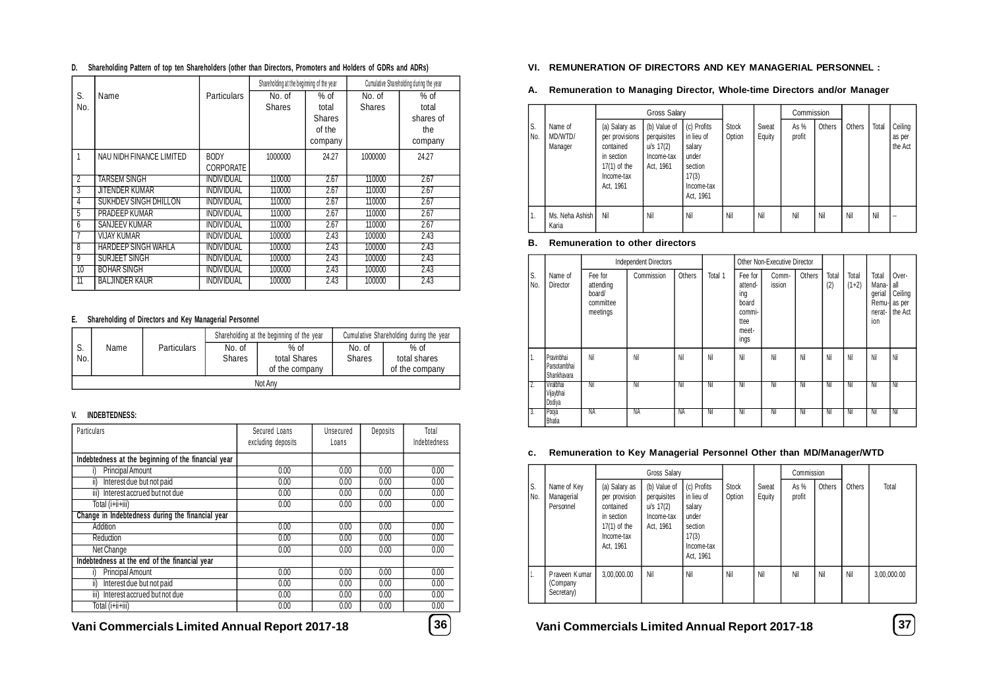| D. |  |  | Shareholding Pattern of top ten Shareholders (other than Directors, Promoters and Holders of GDRs and ADRs) |  |
|----|--|--|-------------------------------------------------------------------------------------------------------------|--|
|    |  |  |                                                                                                             |  |

|                |                            |                    | Shareholding at the beginning of the year |               |               | Cumulative Shareholding during the year |
|----------------|----------------------------|--------------------|-------------------------------------------|---------------|---------------|-----------------------------------------|
| S.             | Name                       | <b>Particulars</b> | No. of                                    | $%$ of        | No. of        | $%$ of                                  |
| No.            |                            |                    | <b>Shares</b>                             | total         | <b>Shares</b> | total                                   |
|                |                            |                    |                                           | <b>Shares</b> |               | shares of                               |
|                |                            |                    |                                           | of the        |               | the                                     |
|                |                            |                    |                                           | company       |               | company                                 |
|                | NAU NIDH FINANCE LIMITED   | <b>BODY</b>        | 1000000                                   | 24.27         | 1000000       | 24.27                                   |
|                |                            | CORPORATE          |                                           |               |               |                                         |
| $\overline{2}$ | <b>TARSEM SINGH</b>        | <b>INDIVIDUAL</b>  | 110000                                    | 2.67          | 110000        | 2.67                                    |
| 3              | JITENDER KUMAR             | <b>INDIVIDUAL</b>  | 110000                                    | 2.67          | 110000        | 2.67                                    |
| 4              | SUKHDEV SINGH DHILLON      | INDIVIDUAL         | 110000                                    | 2.67          | 110000        | 2.67                                    |
| 5              | PRADEEP KUMAR              | <b>INDIVIDUAL</b>  | 110000                                    | 2.67          | 110000        | 2.67                                    |
| 6              | <b>SANJEEV KUMAR</b>       | <b>INDIVIDUAL</b>  | 110000                                    | 2.67          | 110000        | 2.67                                    |
|                | <b>VIJAY KUMAR</b>         | <b>INDIVIDUAL</b>  | 100000                                    | 2.43          | 100000        | 2.43                                    |
| 8              | <b>HARDEEP SINGH WAHLA</b> | <b>INDIVIDUAL</b>  | 100000                                    | 2.43          | 100000        | 2.43                                    |
| 9              | SURJEET SINGH              | <b>INDIVIDUAL</b>  | 100000                                    | 2.43          | 100000        | 2.43                                    |
| 10             | <b>BOHAR SINGH</b>         | <b>INDIVIDUAL</b>  | 100000                                    | 2.43          | 100000        | 2.43                                    |
| 11             | <b>BALJINDER KAUR</b>      | INDIVIDUAL         | 100000                                    | 2.43          | 100000        | 2.43                                    |

#### **E. Shareholding of Directors and Key Managerial Personnel**

|           |         |                    |                                                                     | Shareholding at the beginning of the year | Cumulative Shareholding during the year |                                          |  |  |  |
|-----------|---------|--------------------|---------------------------------------------------------------------|-------------------------------------------|-----------------------------------------|------------------------------------------|--|--|--|
| J.<br>No. | Name    | <b>Particulars</b> | $%$ of<br>No. of<br>total Shares<br><b>Shares</b><br>of the company |                                           | No. of<br><b>Shares</b>                 | $%$ of<br>total shares<br>of the company |  |  |  |
|           | Not Any |                    |                                                                     |                                           |                                         |                                          |  |  |  |

#### **V. INDEBTEDNESS:**

| Particulars                                         | Secured Loans<br>excluding deposits | Unsecured<br>Loans | Deposits | Total<br>Indebtedness |
|-----------------------------------------------------|-------------------------------------|--------------------|----------|-----------------------|
| Indebtedness at the beginning of the financial year |                                     |                    |          |                       |
| Principal Amount<br>i)                              | 0.00                                | 0.00               | 0.00     | 0.00                  |
| Interest due but not paid<br>ii)                    | 0.00                                | 0.00               | 0.00     | 0.00                  |
| Interest accrued but not due<br>iii)                | 0.00                                | 0.00               | 0.00     | 0.00                  |
| Total (i+ii+iii)                                    | 0.00                                | 0.00               | 0.00     | 0.00                  |
| Change in Indebtedness during the financial year    |                                     |                    |          |                       |
| Addition                                            | 0.00                                | 0.00               | 0.00     | 0.00                  |
| Reduction                                           | 0.00                                | 0.00               | 0.00     | 0.00                  |
| Net Change                                          | 0.00                                | 0.00               | 0.00     | 0.00                  |
| Indebtedness at the end of the financial year       |                                     |                    |          |                       |
| Principal Amount                                    | 0.00                                | 0.00               | 0.00     | 0.00                  |
| Interest due but not paid<br>ii)                    | 0.00                                | 0.00               | 0.00     | 0.00                  |
| iii) Interest accrued but not due                   | 0.00                                | 0.00               | 0.00     | 0.00                  |
| Total (i+ii+iii)                                    | 0.00                                | 0.00               | 0.00     | 0.00                  |
|                                                     |                                     |                    |          |                       |

**Vani Commercials Limited Annual Report 2017-18 36 Vani Commercials Limited Annual Report 2017-18 37**

#### **VI. REMUNERATION OF DIRECTORS AND KEY MANAGERIAL PERSONNEL :**

#### **A. Remuneration to Managing Director, Whole-time Directors and/or Manager**

|                  |                               |                                                                                                         | <b>Gross Salary</b>                                                   |                                                                                             |                        |                 | Commission     |        |        |       |                              |
|------------------|-------------------------------|---------------------------------------------------------------------------------------------------------|-----------------------------------------------------------------------|---------------------------------------------------------------------------------------------|------------------------|-----------------|----------------|--------|--------|-------|------------------------------|
| S.<br>No.        | Name of<br>MD/WTD/<br>Manager | (a) Salary as<br>per provisions<br>contained<br>in section<br>$17(1)$ of the<br>Income-tax<br>Act, 1961 | (b) Value of<br>perquisites<br>$u/s$ 17(2)<br>Income-tax<br>Act, 1961 | (c) Profits<br>in lieu of<br>salary<br>under<br>section<br>17(3)<br>Income-tax<br>Act, 1961 | <b>Stock</b><br>Option | Sweat<br>Equity | As %<br>profit | Others | Others | Total | Ceiling<br>as per<br>the Act |
| $\overline{1}$ . | Ms. Neha Ashish<br>Karia      | Nil                                                                                                     | Nil                                                                   | Nil                                                                                         | Nil                    | Nil             | Nil            | Nil    | Nil    | Nil   |                              |

#### **B. Remuneration to other directors**

|           |                                           |                                                         | <b>Independent Directors</b> |        |         |                                                                       | Other Non-Executive Director |        |              |                  |                                                     |                                              |
|-----------|-------------------------------------------|---------------------------------------------------------|------------------------------|--------|---------|-----------------------------------------------------------------------|------------------------------|--------|--------------|------------------|-----------------------------------------------------|----------------------------------------------|
| S.<br>No. | Name of<br>Director                       | Fee for<br>attending<br>board/<br>committee<br>meetings | Commission                   | Others | Total 1 | Fee for<br>attend-<br>ing<br>board<br>commi-<br>ttee<br>meet-<br>ings | Comm-<br>ission              | Others | Total<br>(2) | Total<br>$(1+2)$ | Total<br>Mana-I<br>qerial<br>Remu-<br>nerat-<br>ion | Over-<br>all<br>Ceiling<br>as per<br>the Act |
| ι.        | Pravinbhai<br>Parsotambhai<br>Shankhavara | Nil                                                     | Nil                          | Nil    | Nil     | Nil                                                                   | Nil                          | Nil    | Nil          | Nil              | Nil                                                 | Nil                                          |
| 7.        | Viralbhai<br>Vijaybhai<br>Dodiya          | Nil                                                     | Nil                          | Nil    | Nil     | Nil                                                                   | Nil                          | Nil    | Ni           | Nil              | Nil                                                 | Nil                                          |
| 3.        | Pooja<br><b>Bhatia</b>                    | NA                                                      | NA                           | NA     | Nil     | Nil                                                                   | Nil                          | Nil    | Nil          | Nil              | Nil                                                 | Nil                                          |

#### **c. Remuneration to Key Managerial Personnel Other than MD/Manager/WTD**

|           |                                         |                                                                                                                                                                                                                                                                                   |  |                                        |                        |                 | Commission     |        |        |             |
|-----------|-----------------------------------------|-----------------------------------------------------------------------------------------------------------------------------------------------------------------------------------------------------------------------------------------------------------------------------------|--|----------------------------------------|------------------------|-----------------|----------------|--------|--------|-------------|
| S.<br>No. | Name of Key<br>Managerial<br>Personnel  | Gross Salary<br>(b) Value of<br>(a) Salary as<br>in lieu of<br>perquisites<br>per provision<br>$u/s$ 17(2)<br>salary<br>contained<br>under<br>Income-tax<br>in section<br>$17(1)$ of the<br>Act, 1961<br>section<br>17(3)<br>Income-tax<br>Act, 1961<br>Nil<br>Nil<br>3,00,000.00 |  | (c) Profits<br>Income-tax<br>Act, 1961 | <b>Stock</b><br>Option | Sweat<br>Equity | As %<br>profit | Others | Others | Total       |
| ٠.        | Praveen Kumar<br>(Company<br>Secretary) |                                                                                                                                                                                                                                                                                   |  |                                        | Nil                    | Nil             | Nil            | Nil    | Nil    | 3,00,000.00 |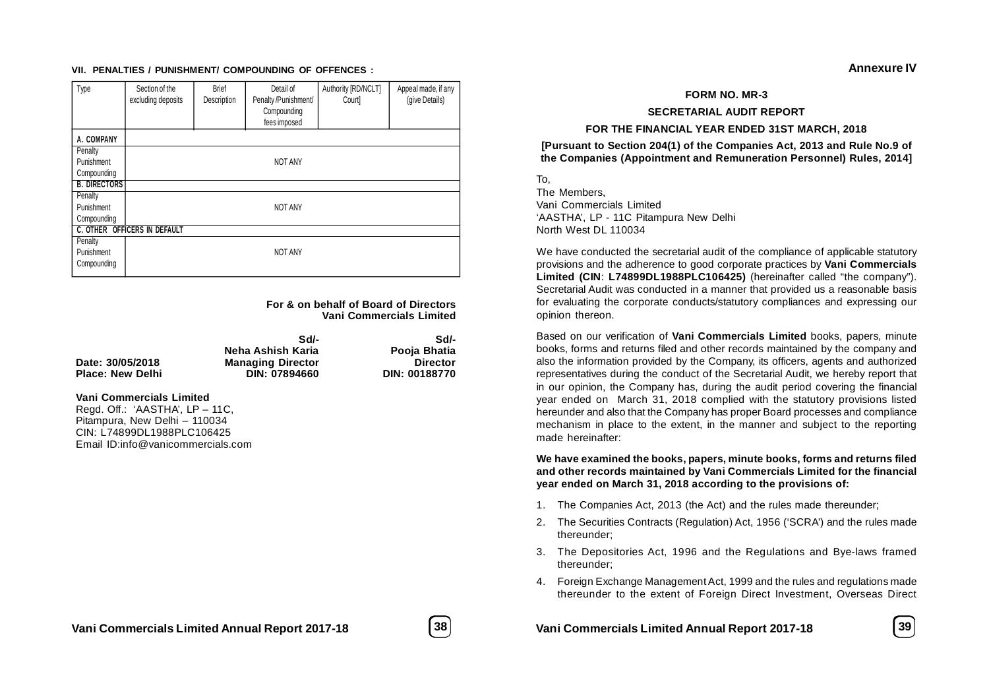#### **VII. PENALTIES / PUNISHMENT/ COMPOUNDING OF OFFENCES :**

| Type                | Section of the<br>excluding deposits | <b>Brief</b><br>Description | Detail of<br>Penalty /Punishment/<br>Compounding<br>fees imposed | Authority [RD/NCLT]<br>Court | Appeal made, if any<br>(give Details) |  |
|---------------------|--------------------------------------|-----------------------------|------------------------------------------------------------------|------------------------------|---------------------------------------|--|
| A. COMPANY          |                                      |                             |                                                                  |                              |                                       |  |
| Penalty             |                                      |                             |                                                                  |                              |                                       |  |
| Punishment          |                                      |                             | <b>NOT ANY</b>                                                   |                              |                                       |  |
| Compounding         |                                      |                             |                                                                  |                              |                                       |  |
| <b>B. DIRECTORS</b> |                                      |                             |                                                                  |                              |                                       |  |
| Penalty             |                                      |                             |                                                                  |                              |                                       |  |
| Punishment          |                                      |                             | <b>NOT ANY</b>                                                   |                              |                                       |  |
| Compounding         |                                      |                             |                                                                  |                              |                                       |  |
|                     | <b>C. OTHER OFFICERS IN DEFAULT</b>  |                             |                                                                  |                              |                                       |  |
| Penalty             |                                      |                             |                                                                  |                              |                                       |  |
| Punishment          |                                      |                             | <b>NOT ANY</b>                                                   |                              |                                       |  |
| Compounding         |                                      |                             |                                                                  |                              |                                       |  |

**For & on behalf of Board of Directors Vani Commercials Limited**

|                         | Sd/-                     | Sd/-            |
|-------------------------|--------------------------|-----------------|
|                         | Neha Ashish Karia        | Pooja Bhatia    |
| Date: 30/05/2018        | <b>Managing Director</b> | <b>Director</b> |
| <b>Place: New Delhi</b> | DIN: 07894660            | DIN: 00188770   |

#### **Vani Commercials Limited**

Regd. Off.: 'AASTHA', LP – 11C, Pitampura, New Delhi – 110034 CIN: L74899DL1988PLC106425 Email ID:info@vanicommercials.com

#### **SECRETARIAL AUDIT REPORT**

#### **FOR THE FINANCIAL YEAR ENDED 31ST MARCH, 2018**

**[Pursuant to Section 204(1) of the Companies Act, 2013 and Rule No.9 of the Companies (Appointment and Remuneration Personnel) Rules, 2014]**

To,

The Members, Vani Commercials Limited 'AASTHA', LP - 11C Pitampura New Delhi North West DL 110034

We have conducted the secretarial audit of the compliance of applicable statutory provisions and the adherence to good corporate practices by **Vani Commercials Limited (CIN**: **L74899DL1988PLC106425)** (hereinafter called "the company"). Secretarial Audit was conducted in a manner that provided us a reasonable basis for evaluating the corporate conducts/statutory compliances and expressing our opinion thereon.

Based on our verification of **Vani Commercials Limited** books, papers, minute books, forms and returns filed and other records maintained by the company and also the information provided by the Company, its officers, agents and authorized representatives during the conduct of the Secretarial Audit, we hereby report that in our opinion, the Company has, during the audit period covering the financial year ended on March 31, 2018 complied with the statutory provisions listed hereunder and also that the Company has proper Board processes and compliance mechanism in place to the extent, in the manner and subject to the reporting made hereinafter:

**We have examined the books, papers, minute books, forms and returns filed and other records maintained by Vani Commercials Limited for the financial year ended on March 31, 2018 according to the provisions of:**

- 1. The Companies Act, 2013 (the Act) and the rules made thereunder;
- 2. The Securities Contracts (Regulation) Act, 1956 ('SCRA') and the rules made thereunder;
- 3. The Depositories Act, 1996 and the Regulations and Bye-laws framed thereunder;
- 4. Foreign Exchange Management Act, 1999 and the rules and regulations made thereunder to the extent of Foreign Direct Investment, Overseas Direct



**Annexure IV**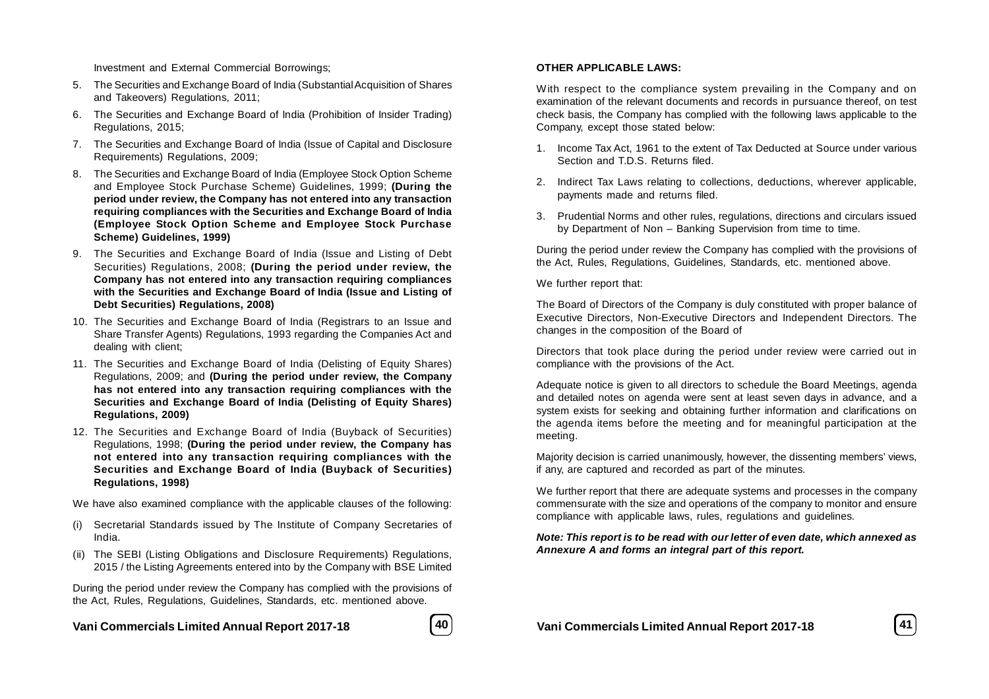Investment and External Commercial Borrowings;

- 5. The Securities and Exchange Board of India (Substantial Acquisition of Shares and Takeovers) Regulations, 2011;
- 6. The Securities and Exchange Board of India (Prohibition of Insider Trading) Regulations, 2015;
- 7. The Securities and Exchange Board of India (Issue of Capital and Disclosure Requirements) Regulations, 2009;
- 8. The Securities and Exchange Board of India (Employee Stock Option Scheme and Employee Stock Purchase Scheme) Guidelines, 1999; **(During the period under review, the Company has not entered into any transaction requiring compliances with the Securities and Exchange Board of India (Employee Stock Option Scheme and Employee Stock Purchase Scheme) Guidelines, 1999)**
- 9. The Securities and Exchange Board of India (Issue and Listing of Debt Securities) Regulations, 2008; **(During the period under review, the Company has not entered into any transaction requiring compliances with the Securities and Exchange Board of India (Issue and Listing of Debt Securities) Regulations, 2008)**
- 10. The Securities and Exchange Board of India (Registrars to an Issue and Share Transfer Agents) Regulations, 1993 regarding the Companies Act and dealing with client;
- 11. The Securities and Exchange Board of India (Delisting of Equity Shares) Regulations, 2009; and **(During the period under review, the Company has not entered into any transaction requiring compliances with the Securities and Exchange Board of India (Delisting of Equity Shares) Regulations, 2009)**
- 12. The Securities and Exchange Board of India (Buyback of Securities) Regulations, 1998; **(During the period under review, the Company has not entered into any transaction requiring compliances with the Securities and Exchange Board of India (Buyback of Securities) Regulations, 1998)**

We have also examined compliance with the applicable clauses of the following:

- (i) Secretarial Standards issued by The Institute of Company Secretaries of India.
- (ii) The SEBI (Listing Obligations and Disclosure Requirements) Regulations, 2015 / the Listing Agreements entered into by the Company with BSE Limited

During the period under review the Company has complied with the provisions of the Act, Rules, Regulations, Guidelines, Standards, etc. mentioned above.

**Vani Commercials Limited Annual Report 2017-18 40 Vani Commercials Limited Annual Report 2017-18 41**



#### **OTHER APPLICABLE LAWS:**

With respect to the compliance system prevailing in the Company and on examination of the relevant documents and records in pursuance thereof, on test check basis, the Company has complied with the following laws applicable to the Company, except those stated below:

- 1. Income Tax Act, 1961 to the extent of Tax Deducted at Source under various Section and T.D.S. Returns filed.
- 2. Indirect Tax Laws relating to collections, deductions, wherever applicable, payments made and returns filed.
- 3. Prudential Norms and other rules, regulations, directions and circulars issued by Department of Non – Banking Supervision from time to time.

During the period under review the Company has complied with the provisions of the Act, Rules, Regulations, Guidelines, Standards, etc. mentioned above.

We further report that:

The Board of Directors of the Company is duly constituted with proper balance of Executive Directors, Non-Executive Directors and Independent Directors. The changes in the composition of the Board of

Directors that took place during the period under review were carried out in compliance with the provisions of the Act.

Adequate notice is given to all directors to schedule the Board Meetings, agenda and detailed notes on agenda were sent at least seven days in advance, and a system exists for seeking and obtaining further information and clarifications on the agenda items before the meeting and for meaningful participation at the meeting.

Majority decision is carried unanimously, however, the dissenting members' views, if any, are captured and recorded as part of the minutes.

We further report that there are adequate systems and processes in the company commensurate with the size and operations of the company to monitor and ensure compliance with applicable laws, rules, regulations and guidelines.

#### *Note: This report is to be read with our letter of even date, which annexed as Annexure A and forms an integral part of this report.*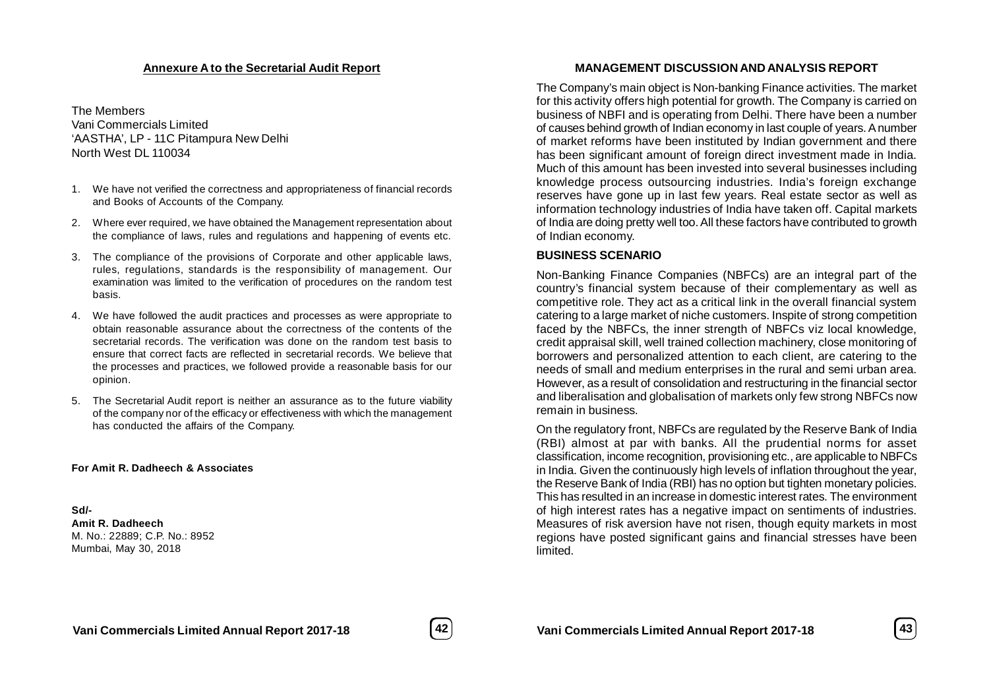#### **Annexure A to the Secretarial Audit Report**

The Members Vani Commercials Limited 'AASTHA', LP - 11C Pitampura New Delhi North West DL 110034

- 1. We have not verified the correctness and appropriateness of financial records and Books of Accounts of the Company.
- 2. Where ever required, we have obtained the Management representation about the compliance of laws, rules and regulations and happening of events etc.
- 3. The compliance of the provisions of Corporate and other applicable laws, rules, regulations, standards is the responsibility of management. Our examination was limited to the verification of procedures on the random test basis.
- 4. We have followed the audit practices and processes as were appropriate to obtain reasonable assurance about the correctness of the contents of the secretarial records. The verification was done on the random test basis to ensure that correct facts are reflected in secretarial records. We believe that the processes and practices, we followed provide a reasonable basis for our opinion.
- 5. The Secretarial Audit report is neither an assurance as to the future viability of the company nor of the efficacy or effectiveness with which the management has conducted the affairs of the Company.

#### **For Amit R. Dadheech & Associates**

**Sd/- Amit R. Dadheech** M. No.: 22889; C.P. No.: 8952 Mumbai, May 30, 2018

#### **MANAGEMENT DISCUSSION AND ANALYSIS REPORT**

The Company's main object is Non-banking Finance activities. The market for this activity offers high potential for growth. The Company is carried on business of NBFI and is operating from Delhi. There have been a number of causes behind growth of Indian economy in last couple of years. A number of market reforms have been instituted by Indian government and there has been significant amount of foreign direct investment made in India. Much of this amount has been invested into several businesses including knowledge process outsourcing industries. India's foreign exchange reserves have gone up in last few years. Real estate sector as well as information technology industries of India have taken off. Capital markets of India are doing pretty well too. All these factors have contributed to growth of Indian economy.

#### **BUSINESS SCENARIO**

Non-Banking Finance Companies (NBFCs) are an integral part of the country's financial system because of their complementary as well as competitive role. They act as a critical link in the overall financial system catering to a large market of niche customers. Inspite of strong competition faced by the NBFCs, the inner strength of NBFCs viz local knowledge, credit appraisal skill, well trained collection machinery, close monitoring of borrowers and personalized attention to each client, are catering to the needs of small and medium enterprises in the rural and semi urban area. However, as a result of consolidation and restructuring in the financial sector and liberalisation and globalisation of markets only few strong NBFCs now remain in business.

On the regulatory front, NBFCs are regulated by the Reserve Bank of India (RBI) almost at par with banks. All the prudential norms for asset classification, income recognition, provisioning etc., are applicable to NBFCs in India. Given the continuously high levels of inflation throughout the year, the Reserve Bank of India (RBI) has no option but tighten monetary policies. This has resulted in an increase in domestic interest rates. The environment of high interest rates has a negative impact on sentiments of industries. Measures of risk aversion have not risen, though equity markets in most regions have posted significant gains and financial stresses have been limited.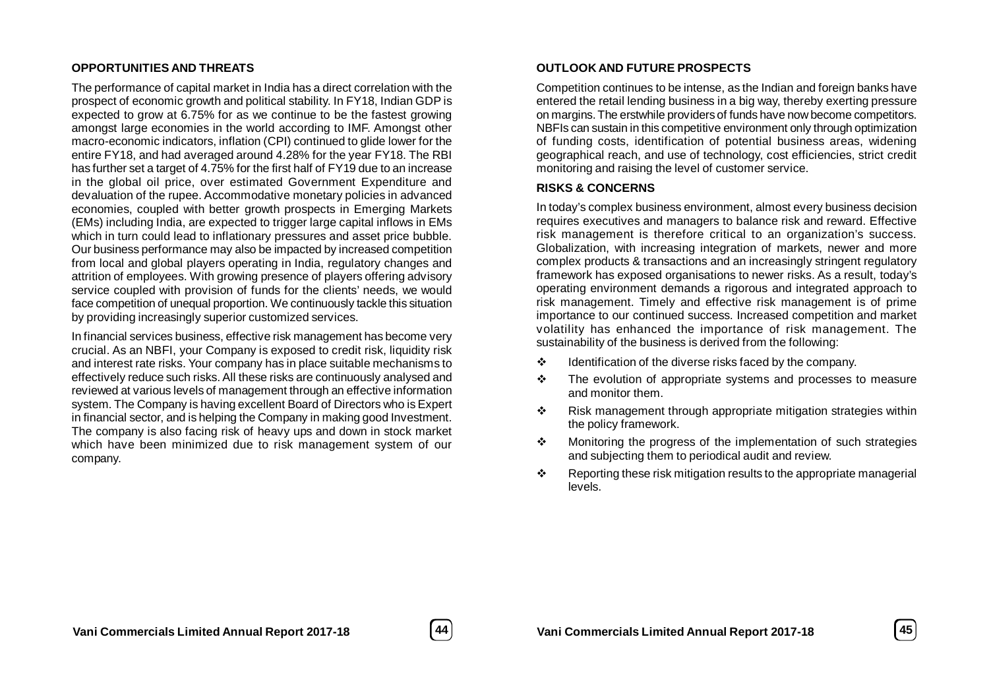#### **OPPORTUNITIES AND THREATS**

The performance of capital market in India has a direct correlation with the prospect of economic growth and political stability. In FY18, Indian GDP is expected to grow at 6.75% for as we continue to be the fastest growing amongst large economies in the world according to IMF. Amongst other macro-economic indicators, inflation (CPI) continued to glide lower for the entire FY18, and had averaged around 4.28% for the year FY18. The RBI has further set a target of 4.75% for the first half of FY19 due to an increase in the global oil price, over estimated Government Expenditure and devaluation of the rupee. Accommodative monetary policies in advanced economies, coupled with better growth prospects in Emerging Markets (EMs) including India, are expected to trigger large capital inflows in EMs which in turn could lead to inflationary pressures and asset price bubble. Our business performance may also be impacted by increased competition from local and global players operating in India, regulatory changes and attrition of employees. With growing presence of players offering advisory service coupled with provision of funds for the clients' needs, we would face competition of unequal proportion. We continuously tackle this situation by providing increasingly superior customized services.

In financial services business, effective risk management has become very crucial. As an NBFI, your Company is exposed to credit risk, liquidity risk and interest rate risks. Your company has in place suitable mechanisms to effectively reduce such risks. All these risks are continuously analysed and reviewed at various levels of management through an effective information system. The Company is having excellent Board of Directors who is Expert in financial sector, and is helping the Company in making good Investment. The company is also facing risk of heavy ups and down in stock market which have been minimized due to risk management system of our company.

#### **OUTLOOK AND FUTURE PROSPECTS**

Competition continues to be intense, as the Indian and foreign banks have entered the retail lending business in a big way, thereby exerting pressure on margins. The erstwhile providers of funds have now become competitors. NBFIs can sustain in this competitive environment only through optimization of funding costs, identification of potential business areas, widening geographical reach, and use of technology, cost efficiencies, strict credit monitoring and raising the level of customer service.

#### **RISKS & CONCERNS**

In today's complex business environment, almost every business decision requires executives and managers to balance risk and reward. Effective risk management is therefore critical to an organization's success. Globalization, with increasing integration of markets, newer and more complex products & transactions and an increasingly stringent regulatory framework has exposed organisations to newer risks. As a result, today's operating environment demands a rigorous and integrated approach to risk management. Timely and effective risk management is of prime importance to our continued success. Increased competition and market volatility has enhanced the importance of risk management. The sustainability of the business is derived from the following:

- $\cdot \cdot$  Identification of the diverse risks faced by the company.
- $\div$  The evolution of appropriate systems and processes to measure and monitor them.
- $\cdot \cdot$  Risk management through appropriate mitigation strategies within the policy framework.
- $\div$  Monitoring the progress of the implementation of such strategies and subjecting them to periodical audit and review.
- $\div$  Reporting these risk mitigation results to the appropriate managerial levels.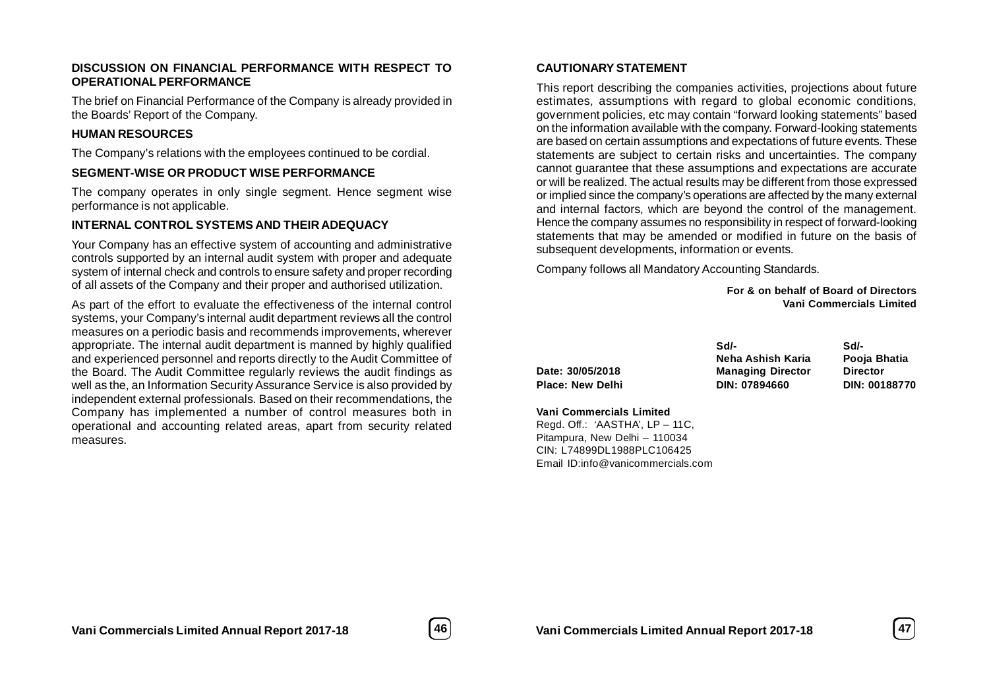#### **DISCUSSION ON FINANCIAL PERFORMANCE WITH RESPECT TO OPERATIONAL PERFORMANCE**

The brief on Financial Performance of the Company is already provided in the Boards' Report of the Company.

### **HUMAN RESOURCES**

The Company's relations with the employees continued to be cordial.

### **SEGMENT-WISE OR PRODUCT WISE PERFORMANCE**

The company operates in only single segment. Hence segment wise performance is not applicable.

### **INTERNAL CONTROL SYSTEMS AND THEIR ADEQUACY**

Your Company has an effective system of accounting and administrative controls supported by an internal audit system with proper and adequate system of internal check and controls to ensure safety and proper recording of all assets of the Company and their proper and authorised utilization.

As part of the effort to evaluate the effectiveness of the internal control systems, your Company's internal audit department reviews all the control measures on a periodic basis and recommends improvements, wherever appropriate. The internal audit department is manned by highly qualified and experienced personnel and reports directly to the Audit Committee of the Board. The Audit Committee regularly reviews the audit findings as well as the, an Information Security Assurance Service is also provided by independent external professionals. Based on their recommendations, the Company has implemented a number of control measures both in operational and accounting related areas, apart from security related measures.

### **CAUTIONARY STATEMENT**

This report describing the companies activities, projections about future estimates, assumptions with regard to global economic conditions, government policies, etc may contain "forward looking statements" based on the information available with the company. Forward-looking statements are based on certain assumptions and expectations of future events. These statements are subject to certain risks and uncertainties. The company cannot guarantee that these assumptions and expectations are accurate or will be realized. The actual results may be different from those expressed or implied since the company's operations are affected by the many external and internal factors, which are beyond the control of the management. Hence the company assumes no responsibility in respect of forward-looking statements that may be amended or modified in future on the basis of subsequent developments, information or events.

Company follows all Mandatory Accounting Standards.

**For & on behalf of Board of Directors Vani Commercials Limited**

**Sd/- Sd/- Neha Ashish Karia Pooja Bhatia Date: 30/05/2018 Managing Director Director Place: New Delhi DIN: 07894660 DIN: 00188770**

#### **Vani Commercials Limited**

Regd. Off.: 'AASTHA', LP – 11C, Pitampura, New Delhi – 110034 CIN: L74899DL1988PLC106425 Email ID:info@vanicommercials.com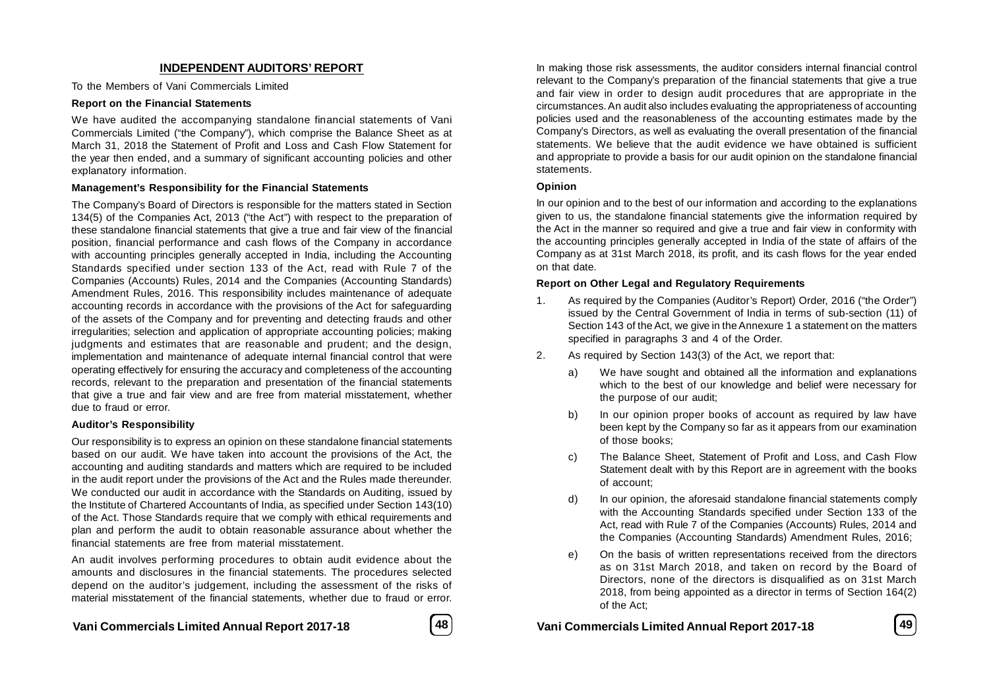### **INDEPENDENT AUDITORS' REPORT**

To the Members of Vani Commercials Limited

#### **Report on the Financial Statements**

We have audited the accompanying standalone financial statements of Vani Commercials Limited ("the Company"), which comprise the Balance Sheet as at March 31, 2018 the Statement of Profit and Loss and Cash Flow Statement for the year then ended, and a summary of significant accounting policies and other explanatory information.

#### **Management's Responsibility for the Financial Statements**

The Company's Board of Directors is responsible for the matters stated in Section 134(5) of the Companies Act, 2013 ("the Act") with respect to the preparation of these standalone financial statements that give a true and fair view of the financial position, financial performance and cash flows of the Company in accordance with accounting principles generally accepted in India, including the Accounting Standards specified under section 133 of the Act, read with Rule 7 of the Companies (Accounts) Rules, 2014 and the Companies (Accounting Standards) Amendment Rules, 2016. This responsibility includes maintenance of adequate accounting records in accordance with the provisions of the Act for safeguarding of the assets of the Company and for preventing and detecting frauds and other irregularities; selection and application of appropriate accounting policies; making judgments and estimates that are reasonable and prudent; and the design, implementation and maintenance of adequate internal financial control that were operating effectively for ensuring the accuracy and completeness of the accounting records, relevant to the preparation and presentation of the financial statements that give a true and fair view and are free from material misstatement, whether due to fraud or error.

#### **Auditor's Responsibility**

Our responsibility is to express an opinion on these standalone financial statements based on our audit. We have taken into account the provisions of the Act, the accounting and auditing standards and matters which are required to be included in the audit report under the provisions of the Act and the Rules made thereunder. We conducted our audit in accordance with the Standards on Auditing, issued by the Institute of Chartered Accountants of India, as specified under Section 143(10) of the Act. Those Standards require that we comply with ethical requirements and plan and perform the audit to obtain reasonable assurance about whether the financial statements are free from material misstatement.

An audit involves performing procedures to obtain audit evidence about the amounts and disclosures in the financial statements. The procedures selected depend on the auditor's judgement, including the assessment of the risks of material misstatement of the financial statements, whether due to fraud or error.

**Vani Commercials Limited Annual Report 2017-18 48 Vani Commercials Limited Annual Report 2017-18 49**



In making those risk assessments, the auditor considers internal financial control relevant to the Company's preparation of the financial statements that give a true and fair view in order to design audit procedures that are appropriate in the circumstances. An audit also includes evaluating the appropriateness of accounting policies used and the reasonableness of the accounting estimates made by the Company's Directors, as well as evaluating the overall presentation of the financial statements. We believe that the audit evidence we have obtained is sufficient and appropriate to provide a basis for our audit opinion on the standalone financial statements.

#### **Opinion**

In our opinion and to the best of our information and according to the explanations given to us, the standalone financial statements give the information required by the Act in the manner so required and give a true and fair view in conformity with the accounting principles generally accepted in India of the state of affairs of the Company as at 31st March 2018, its profit, and its cash flows for the year ended on that date.

#### **Report on Other Legal and Regulatory Requirements**

- 1. As required by the Companies (Auditor's Report) Order, 2016 ("the Order") issued by the Central Government of India in terms of sub-section (11) of Section 143 of the Act, we give in the Annexure 1 a statement on the matters specified in paragraphs 3 and 4 of the Order.
- 2. As required by Section 143(3) of the Act, we report that:
	- a) We have sought and obtained all the information and explanations which to the best of our knowledge and belief were necessary for the purpose of our audit;
	- b) In our opinion proper books of account as required by law have been kept by the Company so far as it appears from our examination of those books;
	- c) The Balance Sheet, Statement of Profit and Loss, and Cash Flow Statement dealt with by this Report are in agreement with the books of account;
	- d) In our opinion, the aforesaid standalone financial statements comply with the Accounting Standards specified under Section 133 of the Act, read with Rule 7 of the Companies (Accounts) Rules, 2014 and the Companies (Accounting Standards) Amendment Rules, 2016;
	- e) On the basis of written representations received from the directors as on 31st March 2018, and taken on record by the Board of Directors, none of the directors is disqualified as on 31st March 2018, from being appointed as a director in terms of Section 164(2) of the Act;

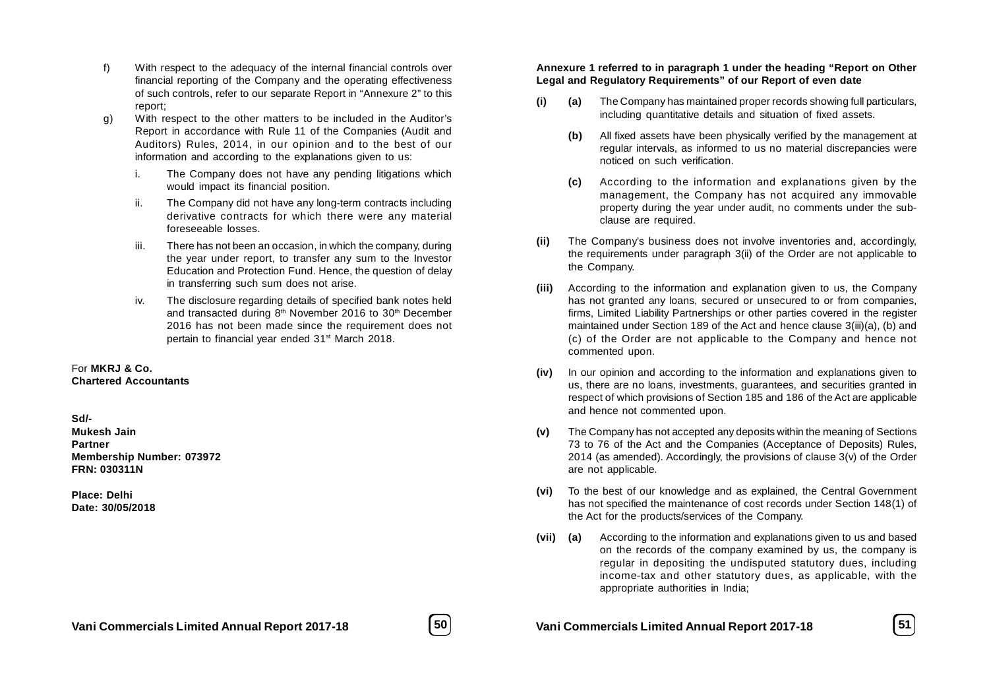- f) With respect to the adequacy of the internal financial controls over financial reporting of the Company and the operating effectiveness of such controls, refer to our separate Report in "Annexure 2" to this report;
- g) With respect to the other matters to be included in the Auditor's Report in accordance with Rule 11 of the Companies (Audit and Auditors) Rules, 2014, in our opinion and to the best of our information and according to the explanations given to us:
	- i. The Company does not have any pending litigations which would impact its financial position.
	- ii. The Company did not have any long-term contracts including derivative contracts for which there were any material foreseeable losses.
	- iii. There has not been an occasion, in which the company, during the year under report, to transfer any sum to the Investor Education and Protection Fund. Hence, the question of delay in transferring such sum does not arise.
	- iv. The disclosure regarding details of specified bank notes held and transacted during 8<sup>th</sup> November 2016 to 30<sup>th</sup> December 2016 has not been made since the requirement does not pertain to financial year ended 31<sup>st</sup> March 2018.

#### For **MKRJ & Co. Chartered Accountants**

#### **Sd/-**

**Mukesh Jain Partner Membership Number: 073972 FRN: 030311N**

**Place: Delhi Date: 30/05/2018**

#### **Annexure 1 referred to in paragraph 1 under the heading "Report on Other Legal and Regulatory Requirements" of our Report of even date**

- **(i) (a)** The Company has maintained proper records showing full particulars, including quantitative details and situation of fixed assets.
	- **(b)** All fixed assets have been physically verified by the management at regular intervals, as informed to us no material discrepancies were noticed on such verification.
	- **(c)** According to the information and explanations given by the management, the Company has not acquired any immovable property during the year under audit, no comments under the subclause are required.
- **(ii)** The Company's business does not involve inventories and, accordingly, the requirements under paragraph 3(ii) of the Order are not applicable to the Company.
- **(iii)** According to the information and explanation given to us, the Company has not granted any loans, secured or unsecured to or from companies, firms, Limited Liability Partnerships or other parties covered in the register maintained under Section 189 of the Act and hence clause 3(iii)(a), (b) and (c) of the Order are not applicable to the Company and hence not commented upon.
- **(iv)** In our opinion and according to the information and explanations given to us, there are no loans, investments, guarantees, and securities granted in respect of which provisions of Section 185 and 186 of the Act are applicable and hence not commented upon.
- **(v)** The Company has not accepted any deposits within the meaning of Sections 73 to 76 of the Act and the Companies (Acceptance of Deposits) Rules, 2014 (as amended). Accordingly, the provisions of clause 3(v) of the Order are not applicable.
- **(vi)** To the best of our knowledge and as explained, the Central Government has not specified the maintenance of cost records under Section 148(1) of the Act for the products/services of the Company.
- **(vii) (a)** According to the information and explanations given to us and based on the records of the company examined by us, the company is regular in depositing the undisputed statutory dues, including income-tax and other statutory dues, as applicable, with the appropriate authorities in India;



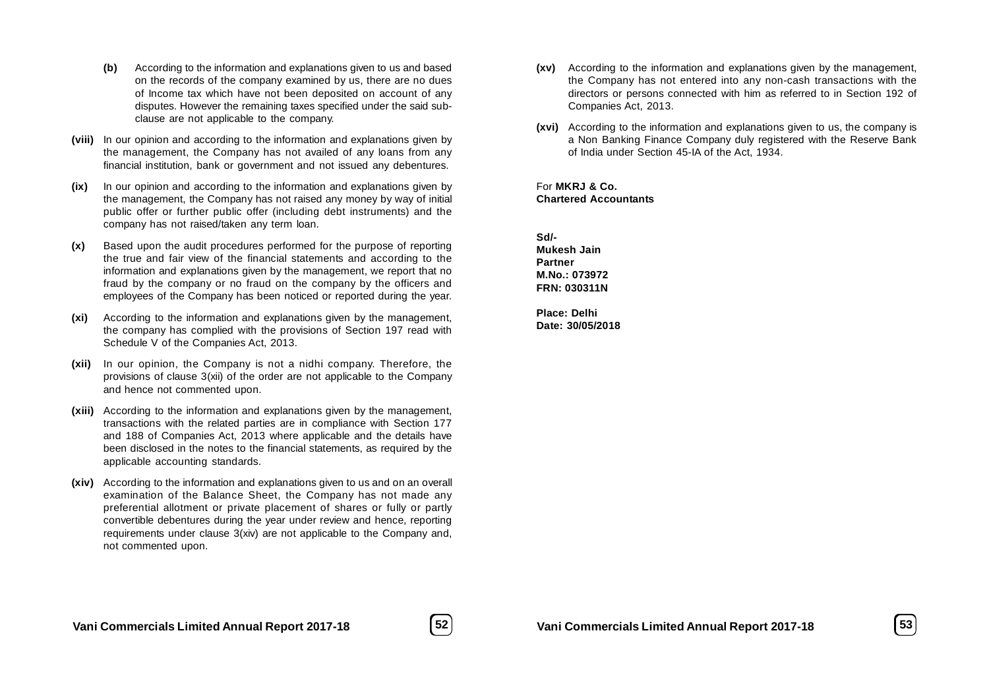- **(b)** According to the information and explanations given to us and based on the records of the company examined by us, there are no dues of Income tax which have not been deposited on account of any disputes. However the remaining taxes specified under the said subclause are not applicable to the company.
- **(viii)** In our opinion and according to the information and explanations given by the management, the Company has not availed of any loans from any financial institution, bank or government and not issued any debentures.
- **(ix)** In our opinion and according to the information and explanations given by the management, the Company has not raised any money by way of initial public offer or further public offer (including debt instruments) and the company has not raised/taken any term loan.
- **(x)** Based upon the audit procedures performed for the purpose of reporting the true and fair view of the financial statements and according to the information and explanations given by the management, we report that no fraud by the company or no fraud on the company by the officers and employees of the Company has been noticed or reported during the year.
- **(xi)** According to the information and explanations given by the management, the company has complied with the provisions of Section 197 read with Schedule V of the Companies Act, 2013.
- **(xii)** In our opinion, the Company is not a nidhi company. Therefore, the provisions of clause 3(xii) of the order are not applicable to the Company and hence not commented upon.
- **(xiii)** According to the information and explanations given by the management, transactions with the related parties are in compliance with Section 177 and 188 of Companies Act, 2013 where applicable and the details have been disclosed in the notes to the financial statements, as required by the applicable accounting standards.
- **(xiv)** According to the information and explanations given to us and on an overall examination of the Balance Sheet, the Company has not made any preferential allotment or private placement of shares or fully or partly convertible debentures during the year under review and hence, reporting requirements under clause 3(xiv) are not applicable to the Company and, not commented upon.
- **(xv)** According to the information and explanations given by the management, the Company has not entered into any non-cash transactions with the directors or persons connected with him as referred to in Section 192 of Companies Act, 2013.
- **(xvi)** According to the information and explanations given to us, the company is a Non Banking Finance Company duly registered with the Reserve Bank of India under Section 45-IA of the Act, 1934.

For **MKRJ & Co. Chartered Accountants**

**Sd/- Mukesh Jain Partner M.No.: 073972 FRN: 030311N**

**Place: Delhi Date: 30/05/2018**

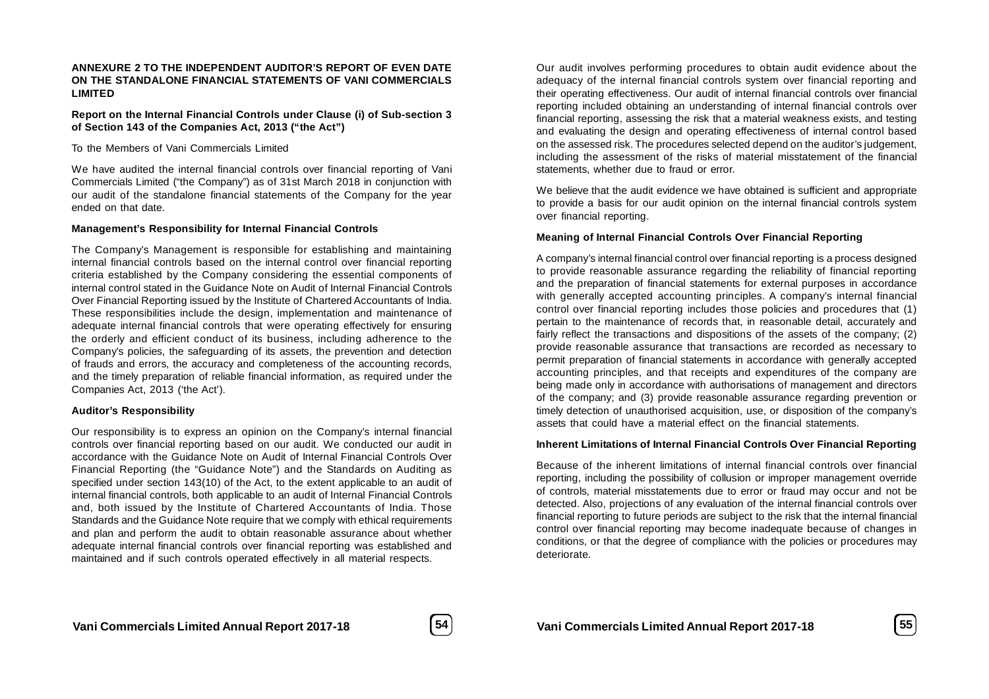#### **ANNEXURE 2 TO THE INDEPENDENT AUDITOR'S REPORT OF EVEN DATE ON THE STANDALONE FINANCIAL STATEMENTS OF VANI COMMERCIALS LIMITED**

**Report on the Internal Financial Controls under Clause (i) of Sub-section 3 of Section 143 of the Companies Act, 2013 ("the Act")**

To the Members of Vani Commercials Limited

We have audited the internal financial controls over financial reporting of Vani Commercials Limited ("the Company") as of 31st March 2018 in conjunction with our audit of the standalone financial statements of the Company for the year ended on that date.

#### **Management's Responsibility for Internal Financial Controls**

The Company's Management is responsible for establishing and maintaining internal financial controls based on the internal control over financial reporting criteria established by the Company considering the essential components of internal control stated in the Guidance Note on Audit of Internal Financial Controls Over Financial Reporting issued by the Institute of Chartered Accountants of India. These responsibilities include the design, implementation and maintenance of adequate internal financial controls that were operating effectively for ensuring the orderly and efficient conduct of its business, including adherence to the Company's policies, the safeguarding of its assets, the prevention and detection of frauds and errors, the accuracy and completeness of the accounting records, and the timely preparation of reliable financial information, as required under the Companies Act, 2013 ('the Act').

#### **Auditor's Responsibility**

Our responsibility is to express an opinion on the Company's internal financial controls over financial reporting based on our audit. We conducted our audit in accordance with the Guidance Note on Audit of Internal Financial Controls Over Financial Reporting (the "Guidance Note") and the Standards on Auditing as specified under section 143(10) of the Act, to the extent applicable to an audit of internal financial controls, both applicable to an audit of Internal Financial Controls and, both issued by the Institute of Chartered Accountants of India. Those Standards and the Guidance Note require that we comply with ethical requirements and plan and perform the audit to obtain reasonable assurance about whether adequate internal financial controls over financial reporting was established and maintained and if such controls operated effectively in all material respects.

Our audit involves performing procedures to obtain audit evidence about the adequacy of the internal financial controls system over financial reporting and their operating effectiveness. Our audit of internal financial controls over financial reporting included obtaining an understanding of internal financial controls over financial reporting, assessing the risk that a material weakness exists, and testing and evaluating the design and operating effectiveness of internal control based on the assessed risk. The procedures selected depend on the auditor's judgement, including the assessment of the risks of material misstatement of the financial statements, whether due to fraud or error.

We believe that the audit evidence we have obtained is sufficient and appropriate to provide a basis for our audit opinion on the internal financial controls system over financial reporting.

#### **Meaning of Internal Financial Controls Over Financial Reporting**

A company's internal financial control over financial reporting is a process designed to provide reasonable assurance regarding the reliability of financial reporting and the preparation of financial statements for external purposes in accordance with generally accepted accounting principles. A company's internal financial control over financial reporting includes those policies and procedures that (1) pertain to the maintenance of records that, in reasonable detail, accurately and fairly reflect the transactions and dispositions of the assets of the company; (2) provide reasonable assurance that transactions are recorded as necessary to permit preparation of financial statements in accordance with generally accepted accounting principles, and that receipts and expenditures of the company are being made only in accordance with authorisations of management and directors of the company; and (3) provide reasonable assurance regarding prevention or timely detection of unauthorised acquisition, use, or disposition of the company's assets that could have a material effect on the financial statements.

#### **Inherent Limitations of Internal Financial Controls Over Financial Reporting**

Because of the inherent limitations of internal financial controls over financial reporting, including the possibility of collusion or improper management override of controls, material misstatements due to error or fraud may occur and not be detected. Also, projections of any evaluation of the internal financial controls over financial reporting to future periods are subject to the risk that the internal financial control over financial reporting may become inadequate because of changes in conditions, or that the degree of compliance with the policies or procedures may deteriorate.

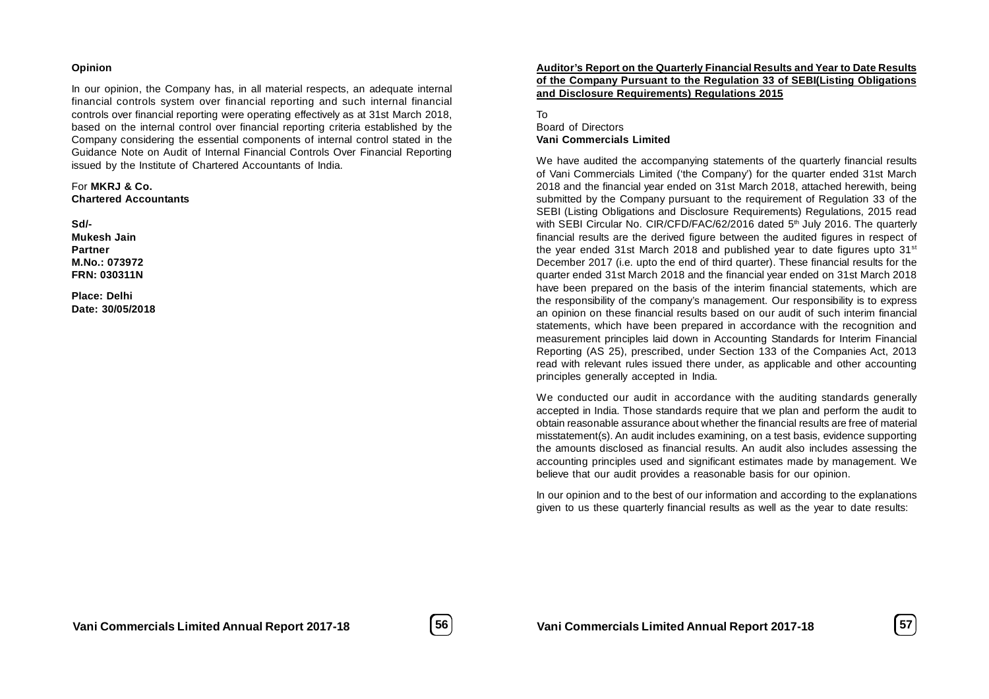#### **Opinion**

In our opinion, the Company has, in all material respects, an adequate internal financial controls system over financial reporting and such internal financial controls over financial reporting were operating effectively as at 31st March 2018, based on the internal control over financial reporting criteria established by the Company considering the essential components of internal control stated in the Guidance Note on Audit of Internal Financial Controls Over Financial Reporting issued by the Institute of Chartered Accountants of India.

For **MKRJ & Co. Chartered Accountants**

**Sd/-**

**Mukesh Jain Partner M.No.: 073972 FRN: 030311N**

**Place: Delhi Date: 30/05/2018**

#### **Auditor's Report on the Quarterly Financial Results and Year to Date Results of the Company Pursuant to the Regulation 33 of SEBI(Listing Obligations and Disclosure Requirements) Regulations 2015**

To

#### Board of Directors **Vani Commercials Limited**

We have audited the accompanying statements of the quarterly financial results of Vani Commercials Limited ('the Company') for the quarter ended 31st March 2018 and the financial year ended on 31st March 2018, attached herewith, being submitted by the Company pursuant to the requirement of Regulation 33 of the SEBI (Listing Obligations and Disclosure Requirements) Regulations, 2015 read with SEBI Circular No. CIR/CFD/FAC/62/2016 dated 5<sup>th</sup> July 2016. The quarterly financial results are the derived figure between the audited figures in respect of the year ended 31st March 2018 and published year to date figures upto  $31<sup>st</sup>$ December 2017 (i.e. upto the end of third quarter). These financial results for the quarter ended 31st March 2018 and the financial year ended on 31st March 2018 have been prepared on the basis of the interim financial statements, which are the responsibility of the company's management. Our responsibility is to express an opinion on these financial results based on our audit of such interim financial statements, which have been prepared in accordance with the recognition and measurement principles laid down in Accounting Standards for Interim Financial Reporting (AS 25), prescribed, under Section 133 of the Companies Act, 2013 read with relevant rules issued there under, as applicable and other accounting principles generally accepted in India.

We conducted our audit in accordance with the auditing standards generally accepted in India. Those standards require that we plan and perform the audit to obtain reasonable assurance about whether the financial results are free of material misstatement(s). An audit includes examining, on a test basis, evidence supporting the amounts disclosed as financial results. An audit also includes assessing the accounting principles used and significant estimates made by management. We believe that our audit provides a reasonable basis for our opinion.

In our opinion and to the best of our information and according to the explanations given to us these quarterly financial results as well as the year to date results:

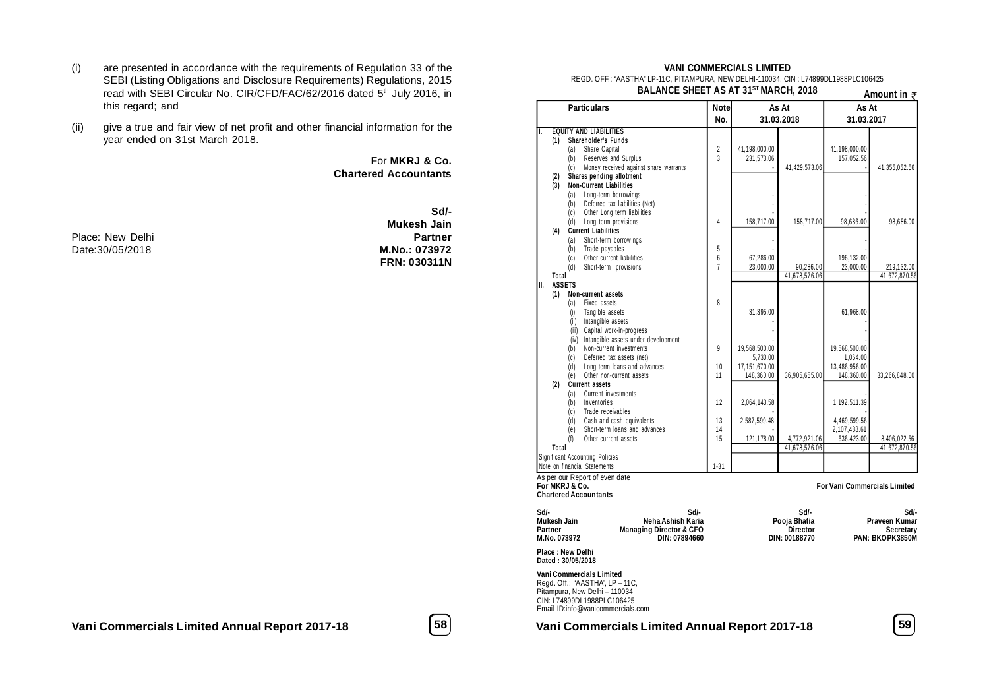- (i) are presented in accordance with the requirements of Regulation 33 of the SEBI (Listing Obligations and Disclosure Requirements) Regulations, 2015 read with SEBI Circular No. CIR/CFD/FAC/62/2016 dated 5<sup>th</sup> July 2016, in this regard; and
- (ii) give a true and fair view of net profit and other financial information for the year ended on 31st March 2018.

For **MKRJ & Co. Chartered Accountants**

Place: New Delhi **Place:** New Delhi **Place: New Delhi 1998**<br>Date:30/05/2018 **M.No.: 073972** Date:30/05/2018

**Sd/- Mukesh Jain FRN: 030311N**

#### **VANI COMMERCIALS LIMITED**

REGD. OFF.: "AASTHA" LP-11C, PITAMPURA, NEW DELHI-110034. CIN : L74899DL1988PLC106425 **BALANCE SHEET AS AT 31ST MARCH, 2018**

|              | <b>DALANGE SHEET AS AT SIT MARGH, 2018</b>                      |                     |               |                            |               | Amount in $\bar{z}$                 |
|--------------|-----------------------------------------------------------------|---------------------|---------------|----------------------------|---------------|-------------------------------------|
|              | <b>Particulars</b>                                              |                     | Notel         | As At                      | As At         |                                     |
|              |                                                                 | No.                 |               | 31.03.2018                 | 31.03.2017    |                                     |
| I.           | <b>EQUITY AND LIABILITIES</b>                                   |                     |               |                            |               |                                     |
| (1)          | Shareholder's Funds                                             |                     |               |                            |               |                                     |
|              | (a)<br>Share Capital                                            | $\sqrt{2}$          | 41,198,000.00 |                            | 41,198,000.00 |                                     |
|              | Reserves and Surplus<br>(b)                                     | $\overline{3}$      | 231,573.06    |                            | 157,052.56    |                                     |
|              | Money received against share warrants<br>(c)                    |                     |               | 41,429,573.06              |               | 41,355,052.56                       |
| (2)          | Shares pending allotment                                        |                     |               |                            |               |                                     |
| (3)          | <b>Non-Current Liabilities</b>                                  |                     |               |                            |               |                                     |
|              | Long-term borrowings<br>(a)                                     |                     |               |                            |               |                                     |
|              | Deferred tax liabilities (Net)<br>(b)                           |                     |               |                            |               |                                     |
|              | Other Long term liabilities<br>(c)                              |                     |               |                            |               |                                     |
|              | Long term provisions<br>(d)                                     | 4                   | 158,717.00    | 158,717.00                 | 98,686.00     | 98,686.00                           |
| (4)          | <b>Current Liabilities</b>                                      |                     |               |                            |               |                                     |
|              | Short-term borrowings<br>(a)                                    |                     |               |                            |               |                                     |
|              | Trade payables<br>(b)                                           | 5                   |               |                            |               |                                     |
|              | Other current liabilities<br>(c)                                | 6<br>$\overline{1}$ | 67,286.00     |                            | 196,132.00    |                                     |
| <b>Total</b> | Short-term provisions<br>(d)                                    |                     | 23,000.00     | 90,286.00<br>41,678,576.06 | 23,000.00     | 219,132.00<br>41,672,870.56         |
| II.          | <b>ASSETS</b>                                                   |                     |               |                            |               |                                     |
| (1)          | Non-current assets                                              |                     |               |                            |               |                                     |
|              | Fixed assets<br>(a)                                             | 8                   |               |                            |               |                                     |
|              | Tangible assets<br>(i)                                          |                     | 31.395.00     |                            | 61.968.00     |                                     |
|              | Intangible assets<br>(ii)                                       |                     |               |                            |               |                                     |
|              | Capital work-in-progress<br>(iii)                               |                     |               |                            |               |                                     |
|              | (iv) Intangible assets under development                        |                     |               |                            |               |                                     |
|              | Non-current investments<br>(b)                                  | 9                   | 19.568.500.00 |                            | 19.568.500.00 |                                     |
|              | (c)<br>Deferred tax assets (net)                                |                     | 5,730.00      |                            | 1,064.00      |                                     |
|              | (d)<br>Long term loans and advances                             | 10                  | 17,151,670.00 |                            | 13,486,956.00 |                                     |
|              | Other non-current assets<br>(e)                                 | 11                  | 148,360.00    | 36,905,655.00              | 148,360.00    | 33,266,848.00                       |
| (2)          | <b>Current assets</b>                                           |                     |               |                            |               |                                     |
|              | Current investments<br>(a)                                      |                     |               |                            |               |                                     |
|              | Inventories<br>(b)                                              | 12                  | 2,064,143.58  |                            | 1,192,511.39  |                                     |
|              | (c)<br>Trade receivables                                        |                     |               |                            |               |                                     |
|              | Cash and cash equivalents<br>(d)                                | 13                  | 2,587,599.48  |                            | 4,469,599.56  |                                     |
|              | Short-term loans and advances<br>(e)                            | 14                  |               |                            | 2,107,488.61  |                                     |
|              | Other current assets<br>(f)                                     | 15                  | 121,178.00    | 4,772,921.06               | 636,423.00    | 8,406,022.56                        |
| <b>Total</b> |                                                                 |                     |               | 41,678,576.06              |               | 41,672,870.56                       |
|              | <b>Significant Accounting Policies</b>                          |                     |               |                            |               |                                     |
|              | Note on financial Statements                                    | $1 - 31$            |               |                            |               |                                     |
|              | As per our Report of even date                                  |                     |               |                            |               |                                     |
|              | For MKRJ & Co.                                                  |                     |               |                            |               | <b>For Vani Commercials Limited</b> |
|              | <b>Chartered Accountants</b>                                    |                     |               |                            |               |                                     |
| Sd/-         | Sd/-                                                            |                     |               | Sd/-                       |               | Sd/-                                |
| Mukesh Jain  | Neha Ashish Karia                                               |                     |               | Pooja Bhatia               |               | Praveen Kumar                       |
| Partner      | <b>Managing Director &amp; CFO</b>                              |                     |               | <b>Director</b>            |               | Secretary                           |
| M.No. 073972 | DIN: 07894660                                                   |                     |               | DIN: 00188770              |               | PAN: BKOPK3850M                     |
|              | Place : New Delhi                                               |                     |               |                            |               |                                     |
|              | Dated: 30/05/2018                                               |                     |               |                            |               |                                     |
|              | Vani Commercials Limited                                        |                     |               |                            |               |                                     |
|              | Regd. Off.: 'AASTHA', LP - 11C,                                 |                     |               |                            |               |                                     |
|              | Pitampura, New Delhi - 110034                                   |                     |               |                            |               |                                     |
|              | CIN: L74899DL1988PLC106425<br>Email ID:info@vanicommercials.com |                     |               |                            |               |                                     |
|              |                                                                 |                     |               |                            |               |                                     |

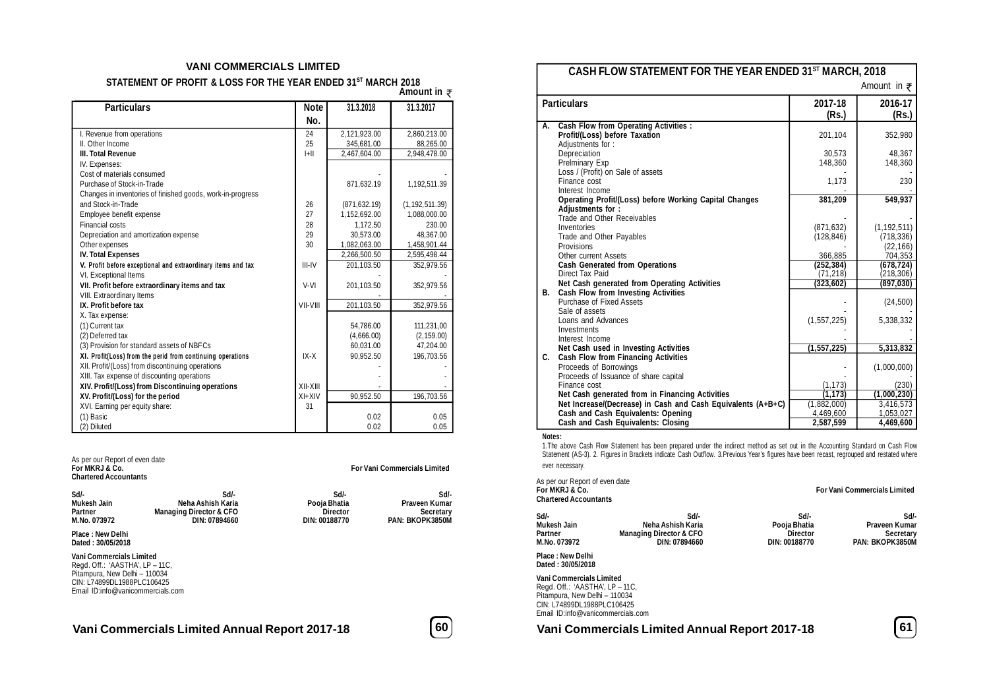#### **VANI COMMERCIALS LIMITED**

**STATEMENT OF PROFIT & LOSS FOR THE YEAR ENDED 31ST MARCH 2018**

|  |  |  | Amount in ह |  |
|--|--|--|-------------|--|
|  |  |  |             |  |

| <b>Particulars</b>                                           | <b>Note</b> | 31.3.2018      | 31.3.2017        |
|--------------------------------------------------------------|-------------|----------------|------------------|
|                                                              | No.         |                |                  |
| I. Revenue from operations                                   | 24          | 2,121,923.00   | 2,860,213.00     |
| II. Other Income                                             | 25          | 345,681.00     | 88,265.00        |
| <b>III. Total Revenue</b>                                    | $ +  $      | 2,467,604.00   | 2,948,478.00     |
| IV. Expenses:                                                |             |                |                  |
| Cost of materials consumed                                   |             |                |                  |
| Purchase of Stock-in-Trade                                   |             | 871,632.19     | 1,192,511.39     |
| Changes in inventories of finished goods, work-in-progress   |             |                |                  |
| and Stock-in-Trade                                           | 26          | (871, 632, 19) | (1, 192, 511.39) |
| Employee benefit expense                                     | 27          | 1.152.692.00   | 1,088,000.00     |
| Financial costs                                              | 28          | 1,172.50       | 230.00           |
| Depreciation and amortization expense                        | 29          | 30.573.00      | 48,367.00        |
| Other expenses                                               | 30          | 1,082,063.00   | 1,458,901.44     |
| <b>IV. Total Expenses</b>                                    |             | 2,266,500.50   | 2,595,498.44     |
| V. Profit before exceptional and extraordinary items and tax | $III - IV$  | 201,103.50     | 352,979.56       |
| VI. Exceptional Items                                        |             |                |                  |
| VII. Profit before extraordinary items and tax               | V-VI        | 201,103.50     | 352,979.56       |
| VIII. Extraordinary Items                                    |             |                |                  |
| IX. Profit before tax                                        | VII-VIII    | 201,103.50     | 352,979.56       |
| X. Tax expense:                                              |             |                |                  |
| (1) Current tax                                              |             | 54,786.00      | 111,231,00       |
| (2) Deferred tax                                             |             | (4,666.00)     | (2, 159.00)      |
| (3) Provision for standard assets of NBFCs                   |             | 60,031.00      | 47,204.00        |
| XI. Profit(Loss) from the perid from continuing operations   | $IX - X$    | 90,952.50      | 196,703.56       |
| XII. Profit/(Loss) from discontinuing operations             |             |                |                  |
| XIII. Tax expense of discounting operations                  |             |                |                  |
| XIV. Profit/(Loss) from Discontinuing operations             | XII-XIII    |                |                  |
| XV. Profit/(Loss) for the period                             | $XI+XIV$    | 90,952.50      | 196,703.56       |
| XVI. Earning per equity share:                               | 31          |                |                  |
| (1) Basic                                                    |             | 0.02           | 0.05             |
| (2) Diluted                                                  |             | 0.02           | 0.05             |

| As per our Report of even date<br>For MKRJ & Co.<br><b>Chartered Accountants</b>                                                                                       |                                                                                  |                                                          | <b>For Vani Commercials Limited</b>                          |
|------------------------------------------------------------------------------------------------------------------------------------------------------------------------|----------------------------------------------------------------------------------|----------------------------------------------------------|--------------------------------------------------------------|
| Sd/-<br><b>Mukesh Jain</b><br>Partner<br>M.No. 073972                                                                                                                  | Sd/-<br>Neha Ashish Karia<br><b>Managing Director &amp; CFO</b><br>DIN: 07894660 | Sd/-<br>Pooja Bhatia<br><b>Director</b><br>DIN: 00188770 | Sd/-<br><b>Praveen Kumar</b><br>Secretary<br>PAN: BKOPK3850M |
| <b>Place: New Delhi</b><br>Dated: 30/05/2018                                                                                                                           |                                                                                  |                                                          |                                                              |
| <b>Vani Commercials Limited</b><br>Regd. Off.: 'AASTHA', LP - 11C,<br>Pitampura, New Delhi - 110034<br>CIN: L74899DL1988PLC106425<br>Email ID:info@vanicommercials.com |                                                                                  |                                                          |                                                              |

|    | CASH FLOW STATEMENT FOR THE YEAR ENDED 31ST MARCH, 2018                             |               |                     |  |  |
|----|-------------------------------------------------------------------------------------|---------------|---------------------|--|--|
|    |                                                                                     |               | Amount in $\bar{z}$ |  |  |
|    | <b>Particulars</b>                                                                  | 2017-18       | 2016-17             |  |  |
|    |                                                                                     | (Rs.)         | (Rs.)               |  |  |
| A. | <b>Cash Flow from Operating Activities:</b>                                         |               |                     |  |  |
|    | Profit/(Loss) before Taxation                                                       | 201,104       | 352,980             |  |  |
|    | Adjustments for:                                                                    |               |                     |  |  |
|    | Depreciation                                                                        | 30.573        | 48,367              |  |  |
|    | Prelminary Exp                                                                      | 148.360       | 148.360             |  |  |
|    | Loss / (Profit) on Sale of assets<br>Finance cost                                   |               | 230                 |  |  |
|    | Interest Income                                                                     | 1,173         |                     |  |  |
|    | Operating Profit/(Loss) before Working Capital Changes                              | 381,209       | 549,937             |  |  |
|    | Adjustments for:                                                                    |               |                     |  |  |
|    | Trade and Other Receivables                                                         |               |                     |  |  |
|    | Inventories                                                                         | (871, 632)    | (1, 192, 511)       |  |  |
|    | Trade and Other Payables                                                            | (128, 846)    | (718, 336)          |  |  |
|    | Provisions                                                                          |               | (22, 166)           |  |  |
|    | Other current Assets                                                                | 366.885       | 704,353             |  |  |
|    | <b>Cash Generated from Operations</b>                                               | (252, 384)    | (678, 724)          |  |  |
|    | Direct Tax Paid                                                                     | (71, 218)     | (218, 306)          |  |  |
|    | Net Cash generated from Operating Activities                                        | (323, 602)    | (897, 030)          |  |  |
| В. | <b>Cash Flow from Investing Activities</b>                                          |               |                     |  |  |
|    | Purchase of Fixed Assets                                                            |               | (24, 500)           |  |  |
|    | Sale of assets                                                                      |               |                     |  |  |
|    | Loans and Advances                                                                  | (1, 557, 225) | 5,338,332           |  |  |
|    | Investments                                                                         |               |                     |  |  |
|    | Interest Income                                                                     |               |                     |  |  |
| C. | Net Cash used in Investing Activities<br><b>Cash Flow from Financing Activities</b> | (1, 557, 225) | 5,313,832           |  |  |
|    | Proceeds of Borrowings                                                              |               | (1,000,000)         |  |  |
|    | Proceeds of Issuance of share capital                                               |               |                     |  |  |
|    | Finance cost                                                                        | (1, 173)      | (230)               |  |  |
|    | Net Cash generated from in Financing Activities                                     | (1, 173)      | (1,000,230)         |  |  |
|    | Net Increase/(Decrease) in Cash and Cash Equivalents (A+B+C)                        | (1,882,000)   | 3,416,573           |  |  |
|    | Cash and Cash Equivalents: Opening                                                  | 4,469,600     | 1,053,027           |  |  |
|    | <b>Cash and Cash Equivalents: Closing</b>                                           | 2,587,599     | 4,469,600           |  |  |

#### **Notes:**

**Notes forming part of the financial statements 1-17**

1.The above Cash Flow Statement has been prepared under the indirect method as set out in the Accounting Standard on Cash Flow Statement (AS-3). 2. Figures in Brackets indicate Cash Outflow. 3.Previous Year's figures have been recast, regrouped and restated where ever necessary.

| As per our Report of even date<br>For MKRJ & Co.<br><b>Chartered Accountants</b>                                                                                       |                                                                                  |                                                          | <b>For Vani Commercials Limited</b>                          |
|------------------------------------------------------------------------------------------------------------------------------------------------------------------------|----------------------------------------------------------------------------------|----------------------------------------------------------|--------------------------------------------------------------|
| Sd/-<br><b>Mukesh Jain</b><br>Partner<br>M.No. 073972                                                                                                                  | Sd/-<br>Neha Ashish Karia<br><b>Managing Director &amp; CFO</b><br>DIN: 07894660 | Sd/-<br>Pooja Bhatia<br><b>Director</b><br>DIN: 00188770 | Sd/-<br><b>Praveen Kumar</b><br>Secretary<br>PAN: BKOPK3850M |
| <b>Place: New Delhi</b><br>Dated: 30/05/2018                                                                                                                           |                                                                                  |                                                          |                                                              |
| <b>Vani Commercials Limited</b><br>Regd. Off.: 'AASTHA', LP - 11C,<br>Pitampura, New Delhi - 110034<br>CIN: L74899DL1988PLC106425<br>Email ID:info@vanicommercials.com |                                                                                  |                                                          |                                                              |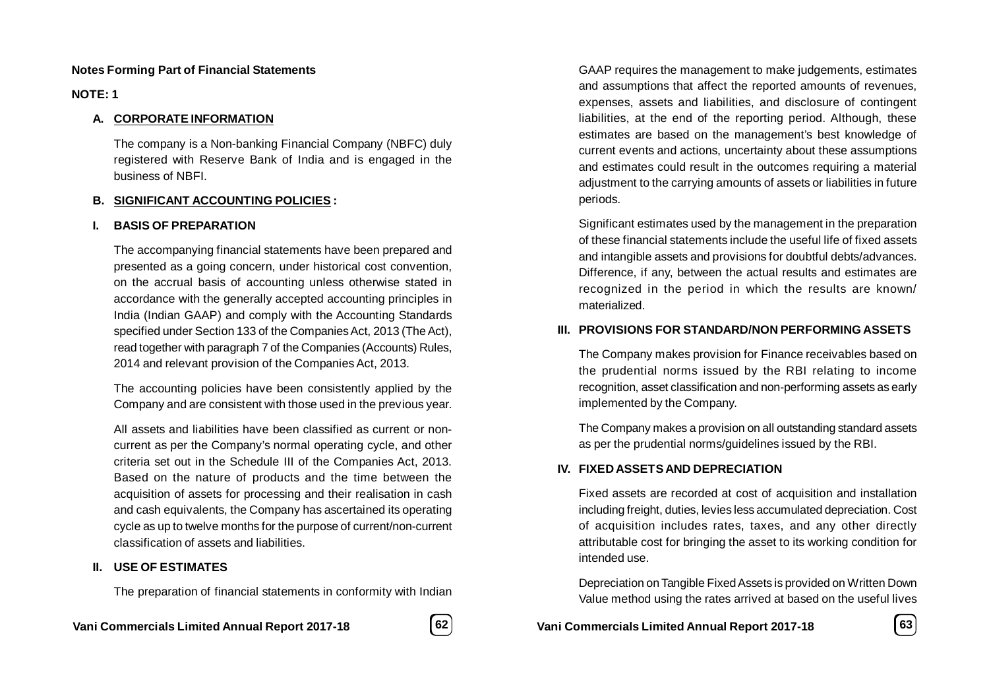### **Notes Forming Part of Financial Statements**

**NOTE: 1**

### **A. CORPORATE INFORMATION**

The company is a Non-banking Financial Company (NBFC) duly registered with Reserve Bank of India and is engaged in the business of NBFI.

### **B. SIGNIFICANT ACCOUNTING POLICIES :**

### **I. BASIS OF PREPARATION**

The accompanying financial statements have been prepared and presented as a going concern, under historical cost convention, on the accrual basis of accounting unless otherwise stated in accordance with the generally accepted accounting principles in India (Indian GAAP) and comply with the Accounting Standards specified under Section 133 of the Companies Act, 2013 (The Act), read together with paragraph 7 of the Companies (Accounts) Rules, 2014 and relevant provision of the Companies Act, 2013.

The accounting policies have been consistently applied by the Company and are consistent with those used in the previous year.

All assets and liabilities have been classified as current or noncurrent as per the Company's normal operating cycle, and other criteria set out in the Schedule III of the Companies Act, 2013. Based on the nature of products and the time between the acquisition of assets for processing and their realisation in cash and cash equivalents, the Company has ascertained its operating cycle as up to twelve months for the purpose of current/non-current classification of assets and liabilities.

### **II. USE OF ESTIMATES**

The preparation of financial statements in conformity with Indian

**Vani Commercials Limited Annual Report 2017-18 62 Vani Commercials Limited Annual Report 2017-18 63**



GAAP requires the management to make judgements, estimates and assumptions that affect the reported amounts of revenues, expenses, assets and liabilities, and disclosure of contingent liabilities, at the end of the reporting period. Although, these estimates are based on the management's best knowledge of current events and actions, uncertainty about these assumptions and estimates could result in the outcomes requiring a material adjustment to the carrying amounts of assets or liabilities in future periods.

Significant estimates used by the management in the preparation of these financial statements include the useful life of fixed assets and intangible assets and provisions for doubtful debts/advances. Difference, if any, between the actual results and estimates are recognized in the period in which the results are known/ materialized.

### **III. PROVISIONS FOR STANDARD/NON PERFORMING ASSETS**

The Company makes provision for Finance receivables based on the prudential norms issued by the RBI relating to income recognition, asset classification and non-performing assets as early implemented by the Company.

The Company makes a provision on all outstanding standard assets as per the prudential norms/guidelines issued by the RBI.

### **IV. FIXED ASSETS AND DEPRECIATION**

Fixed assets are recorded at cost of acquisition and installation including freight, duties, levies less accumulated depreciation. Cost of acquisition includes rates, taxes, and any other directly attributable cost for bringing the asset to its working condition for intended use.

Depreciation on Tangible Fixed Assets is provided on Written Down Value method using the rates arrived at based on the useful lives

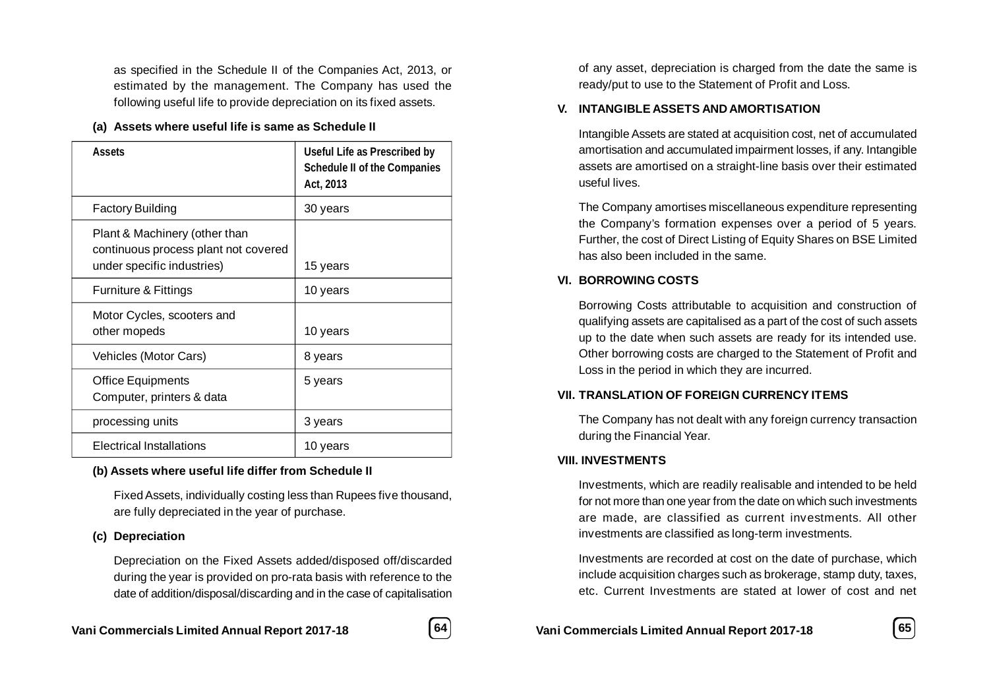as specified in the Schedule II of the Companies Act, 2013, or estimated by the management. The Company has used the following useful life to provide depreciation on its fixed assets.

### **(a) Assets where useful life is same as Schedule II**

| <b>Assets</b>                                                                                       | <b>Useful Life as Prescribed by</b><br><b>Schedule II of the Companies</b><br>Act, 2013 |
|-----------------------------------------------------------------------------------------------------|-----------------------------------------------------------------------------------------|
| <b>Factory Building</b>                                                                             | 30 years                                                                                |
| Plant & Machinery (other than<br>continuous process plant not covered<br>under specific industries) | 15 years                                                                                |
| Furniture & Fittings                                                                                | 10 years                                                                                |
| Motor Cycles, scooters and<br>other mopeds                                                          | 10 years                                                                                |
| Vehicles (Motor Cars)                                                                               | 8 years                                                                                 |
| <b>Office Equipments</b><br>Computer, printers & data                                               | 5 years                                                                                 |
| processing units                                                                                    | 3 years                                                                                 |
| Electrical Installations                                                                            | 10 years                                                                                |

### **(b) Assets where useful life differ from Schedule II**

Fixed Assets, individually costing less than Rupees five thousand, are fully depreciated in the year of purchase.

### **(c) Depreciation**

Depreciation on the Fixed Assets added/disposed off/discarded during the year is provided on pro-rata basis with reference to the date of addition/disposal/discarding and in the case of capitalisation

of any asset, depreciation is charged from the date the same is ready/put to use to the Statement of Profit and Loss.

### **V. INTANGIBLE ASSETS AND AMORTISATION**

Intangible Assets are stated at acquisition cost, net of accumulated amortisation and accumulated impairment losses, if any. Intangible assets are amortised on a straight-line basis over their estimated useful lives.

The Company amortises miscellaneous expenditure representing the Company's formation expenses over a period of 5 years. Further, the cost of Direct Listing of Equity Shares on BSE Limited has also been included in the same.

### **VI. BORROWING COSTS**

Borrowing Costs attributable to acquisition and construction of qualifying assets are capitalised as a part of the cost of such assets up to the date when such assets are ready for its intended use. Other borrowing costs are charged to the Statement of Profit and Loss in the period in which they are incurred.

### **VII. TRANSLATION OF FOREIGN CURRENCY ITEMS**

The Company has not dealt with any foreign currency transaction during the Financial Year.

### **VIII. INVESTMENTS**

Investments, which are readily realisable and intended to be held for not more than one year from the date on which such investments are made, are classified as current investments. All other investments are classified as long-term investments.

Investments are recorded at cost on the date of purchase, which include acquisition charges such as brokerage, stamp duty, taxes, etc. Current Investments are stated at lower of cost and net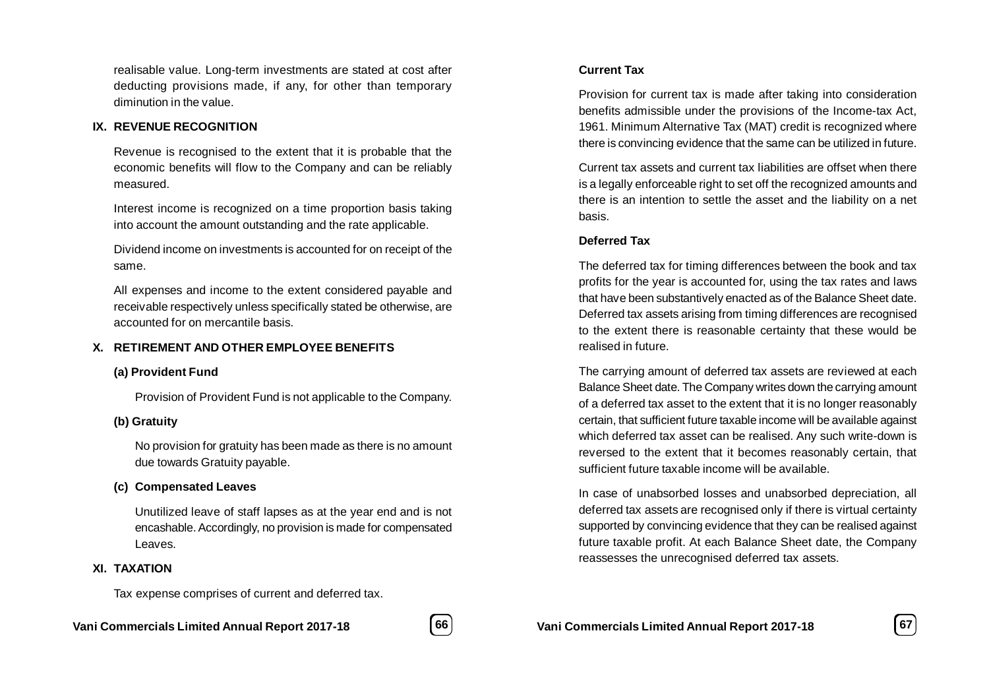realisable value. Long-term investments are stated at cost after deducting provisions made, if any, for other than temporary diminution in the value.

### **IX. REVENUE RECOGNITION**

Revenue is recognised to the extent that it is probable that the economic benefits will flow to the Company and can be reliably measured.

Interest income is recognized on a time proportion basis taking into account the amount outstanding and the rate applicable.

Dividend income on investments is accounted for on receipt of the same.

All expenses and income to the extent considered payable and receivable respectively unless specifically stated be otherwise, are accounted for on mercantile basis.

### **X. RETIREMENT AND OTHER EMPLOYEE BENEFITS**

### **(a) Provident Fund**

Provision of Provident Fund is not applicable to the Company.

### **(b) Gratuity**

No provision for gratuity has been made as there is no amount due towards Gratuity payable.

### **(c) Compensated Leaves**

Unutilized leave of staff lapses as at the year end and is not encashable. Accordingly, no provision is made for compensated Leaves.

### **XI. TAXATION**

Tax expense comprises of current and deferred tax.



Provision for current tax is made after taking into consideration benefits admissible under the provisions of the Income-tax Act, 1961. Minimum Alternative Tax (MAT) credit is recognized where there is convincing evidence that the same can be utilized in future.

Current tax assets and current tax liabilities are offset when there is a legally enforceable right to set off the recognized amounts and there is an intention to settle the asset and the liability on a net basis.

### **Deferred Tax**

The deferred tax for timing differences between the book and tax profits for the year is accounted for, using the tax rates and laws that have been substantively enacted as of the Balance Sheet date. Deferred tax assets arising from timing differences are recognised to the extent there is reasonable certainty that these would be realised in future.

The carrying amount of deferred tax assets are reviewed at each Balance Sheet date. The Company writes down the carrying amount of a deferred tax asset to the extent that it is no longer reasonably certain, that sufficient future taxable income will be available against which deferred tax asset can be realised. Any such write-down is reversed to the extent that it becomes reasonably certain, that sufficient future taxable income will be available.

In case of unabsorbed losses and unabsorbed depreciation, all deferred tax assets are recognised only if there is virtual certainty supported by convincing evidence that they can be realised against future taxable profit. At each Balance Sheet date, the Company reassesses the unrecognised deferred tax assets.

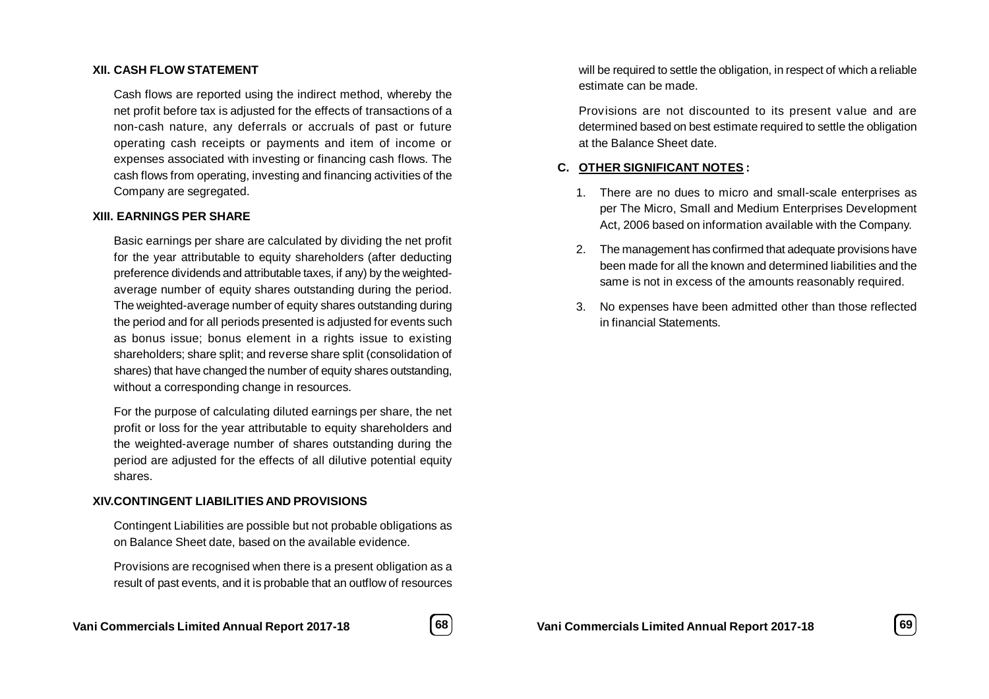#### **XII. CASH FLOW STATEMENT**

Cash flows are reported using the indirect method, whereby the net profit before tax is adjusted for the effects of transactions of a non-cash nature, any deferrals or accruals of past or future operating cash receipts or payments and item of income or expenses associated with investing or financing cash flows. The cash flows from operating, investing and financing activities of the Company are segregated.

### **XIII. EARNINGS PER SHARE**

Basic earnings per share are calculated by dividing the net profit for the year attributable to equity shareholders (after deducting preference dividends and attributable taxes, if any) by the weightedaverage number of equity shares outstanding during the period. The weighted-average number of equity shares outstanding during the period and for all periods presented is adjusted for events such as bonus issue; bonus element in a rights issue to existing shareholders; share split; and reverse share split (consolidation of shares) that have changed the number of equity shares outstanding, without a corresponding change in resources.

For the purpose of calculating diluted earnings per share, the net profit or loss for the year attributable to equity shareholders and the weighted-average number of shares outstanding during the period are adjusted for the effects of all dilutive potential equity shares.

#### **XIV.CONTINGENT LIABILITIES AND PROVISIONS**

Contingent Liabilities are possible but not probable obligations as on Balance Sheet date, based on the available evidence.

Provisions are recognised when there is a present obligation as a result of past events, and it is probable that an outflow of resources



will be required to settle the obligation, in respect of which a reliable estimate can be made.

Provisions are not discounted to its present value and are determined based on best estimate required to settle the obligation at the Balance Sheet date.

### **C. OTHER SIGNIFICANT NOTES :**

- 1. There are no dues to micro and small-scale enterprises as per The Micro, Small and Medium Enterprises Development Act, 2006 based on information available with the Company.
- 2. The management has confirmed that adequate provisions have been made for all the known and determined liabilities and the same is not in excess of the amounts reasonably required.
- 3. No expenses have been admitted other than those reflected in financial Statements.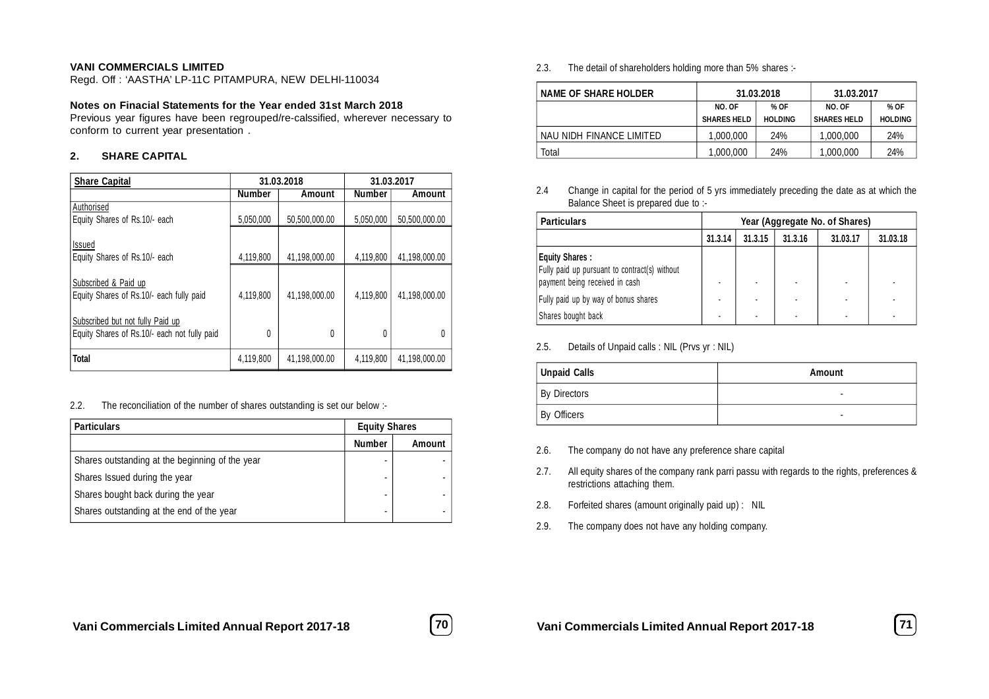#### **VANI COMMERCIALS LIMITED**

Regd. Off : 'AASTHA' LP-11C PITAMPURA, NEW DELHI-110034

#### **Notes on Finacial Statements for the Year ended 31st March 2018**

Previous year figures have been regrouped/re-calssified, wherever necessary to conform to current year presentation .

#### **2. SHARE CAPITAL**

| <b>Share Capital</b>                                                             |               | 31.03.2018    | 31.03.2017    |               |
|----------------------------------------------------------------------------------|---------------|---------------|---------------|---------------|
|                                                                                  | <b>Number</b> | Amount        | <b>Number</b> | Amount        |
| Authorised<br>Equity Shares of Rs.10/- each                                      | 5,050,000     | 50.500.000.00 | 5,050,000     | 50,500,000.00 |
|                                                                                  |               |               |               |               |
| <b>Issued</b>                                                                    |               |               |               |               |
| Equity Shares of Rs.10/- each                                                    | 4,119,800     | 41.198.000.00 | 4,119,800     | 41.198.000.00 |
| Subscribed & Paid up<br>Equity Shares of Rs.10/- each fully paid                 | 4,119,800     | 41.198.000.00 | 4,119,800     | 41.198.000.00 |
| Subscribed but not fully Paid up<br>Equity Shares of Rs.10/- each not fully paid | 0             | 0             | O             | $\theta$      |
| <b>Total</b>                                                                     | 4,119,800     | 41.198.000.00 | 4.119.800     | 41.198.000.00 |

#### 2.2. The reconciliation of the number of shares outstanding is set our below :-

| <b>Particulars</b>                              | <b>Equity Shares</b> |               |
|-------------------------------------------------|----------------------|---------------|
|                                                 | <b>Number</b>        | <b>Amount</b> |
| Shares outstanding at the beginning of the year |                      |               |
| Shares Issued during the year                   |                      |               |
| Shares bought back during the year              |                      |               |
| Shares outstanding at the end of the year       | ۰                    |               |

2.3. The detail of shareholders holding more than 5% shares :-

| <b>NAME OF SHARE HOLDER</b> | 31.03.2018         |                | 31.03.2017         |                |
|-----------------------------|--------------------|----------------|--------------------|----------------|
|                             | NO. OF             | % OF           | NO. OF             | % OF           |
|                             | <b>SHARES HELD</b> | <b>HOLDING</b> | <b>SHARES HELD</b> | <b>HOLDING</b> |
| NAU NIDH FINANCE LIMITED    | 1.000.000          | 24%            | 1.000.000          | 24%            |
| Total                       | 1.000.000          | 24%            | 1.000.000          | 24%            |

2.4 Change in capital for the period of 5 yrs immediately preceding the date as at which the Balance Sheet is prepared due to :-

| <b>Particulars</b>                                                                                       | Year (Aggregate No. of Shares) |         |         |          |          |  |
|----------------------------------------------------------------------------------------------------------|--------------------------------|---------|---------|----------|----------|--|
|                                                                                                          | 31.3.14                        | 31.3.15 | 31.3.16 | 31.03.17 | 31.03.18 |  |
| <b>Equity Shares:</b><br>Fully paid up pursuant to contract(s) without<br>payment being received in cash |                                |         |         |          |          |  |
| Fully paid up by way of bonus shares<br>Shares bought back                                               |                                |         |         |          |          |  |

2.5. Details of Unpaid calls : NIL (Prvs yr : NIL)

| Unpaid Calls        | <b>Amount</b> |
|---------------------|---------------|
| <b>By Directors</b> |               |
| By Officers         |               |

- 2.6. The company do not have any preference share capital
- 2.7. All equity shares of the company rank parri passu with regards to the rights, preferences & restrictions attaching them.
- 2.8. Forfeited shares (amount originally paid up) : NIL
- 2.9. The company does not have any holding company.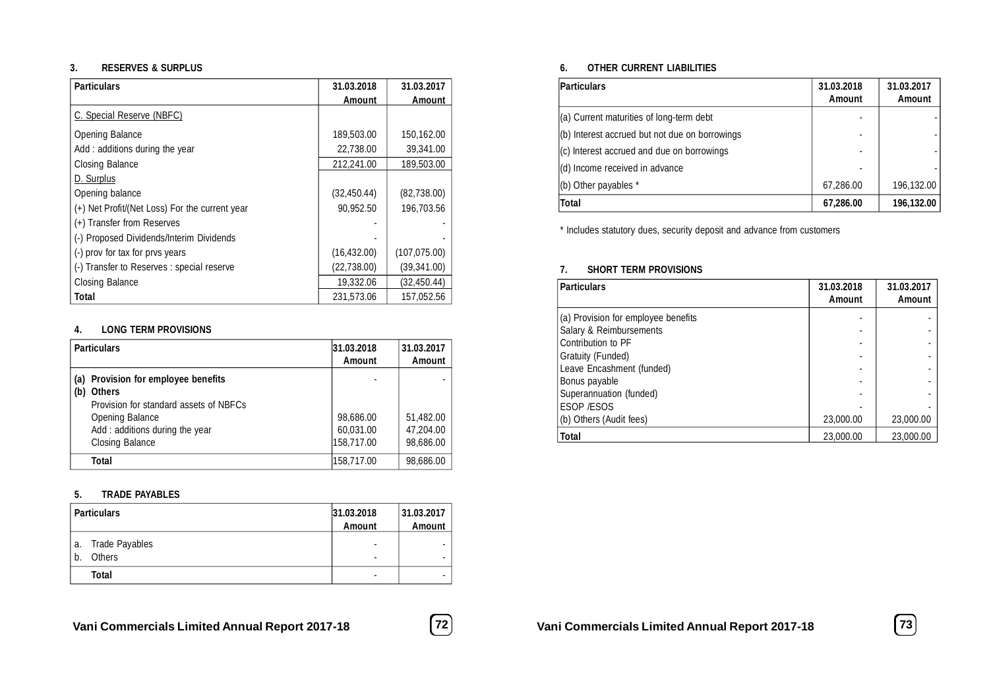#### **3. RESERVES & SURPLUS**

| <b>Particulars</b>                             | 31.03.2018   | 31.03.2017    |
|------------------------------------------------|--------------|---------------|
|                                                | Amount       | Amount        |
| C. Special Reserve (NBFC)                      |              |               |
| Opening Balance                                | 189,503.00   | 150,162.00    |
| Add: additions during the year                 | 22.738.00    | 39,341.00     |
| Closing Balance                                | 212,241.00   | 189,503.00    |
| D. Surplus                                     |              |               |
| Opening balance                                | (32, 450.44) | (82, 738.00)  |
| (+) Net Profit/(Net Loss) For the current year | 90.952.50    | 196.703.56    |
| (+) Transfer from Reserves                     |              |               |
| (-) Proposed Dividends/Interim Dividends       |              |               |
| (-) prov for tax for prvs years                | (16, 432.00) | (107, 075.00) |
| (-) Transfer to Reserves : special reserve     | (22,738.00)  | (39, 341.00)  |
| Closing Balance                                | 19,332.06    | (32, 450.44)  |
| <b>Total</b>                                   | 231.573.06   | 157,052.56    |

### **4. LONG TERM PROVISIONS**

| <b>Particulars</b>                                                                                                                                                                   | 31.03.2018<br><b>Amount</b>          | 31.03.2017<br><b>Amount</b>         |
|--------------------------------------------------------------------------------------------------------------------------------------------------------------------------------------|--------------------------------------|-------------------------------------|
| (a) Provision for employee benefits<br><b>Others</b><br>(b)<br>Provision for standard assets of NBFCs<br>Opening Balance<br>Add: additions during the year<br><b>Closing Balance</b> | 98,686.00<br>60,031.00<br>158,717.00 | 51,482.00<br>47.204.00<br>98,686.00 |
| Total                                                                                                                                                                                | 158,717.00                           | 98,686.00                           |

#### **5. TRADE PAYABLES**

|             | Particulars                            | 31.03.2018<br><b>Amount</b> | 31.03.2017<br><b>Amount</b> |
|-------------|----------------------------------------|-----------------------------|-----------------------------|
| l a.<br>$b$ | <b>Trade Payables</b><br><b>Others</b> | ۰                           | ۰                           |
|             | <b>Total</b>                           |                             |                             |

## **Vani Commercials Limited Annual Report 2017-18 72 Vani Commercials Limited Annual Report 2017-18 73**



### **6. OTHER CURRENT LIABILITIES**

| Particulars                                    | 31.03.2018<br><b>Amount</b> | 31.03.2017<br><b>Amount</b> |
|------------------------------------------------|-----------------------------|-----------------------------|
| (a) Current maturities of long-term debt       |                             |                             |
| (b) Interest accrued but not due on borrowings |                             |                             |
| $ $ (c) Interest accrued and due on borrowings |                             |                             |
| (d) Income received in advance                 |                             |                             |
| (b) Other payables *                           | 67,286.00                   | 196,132.00                  |
| <b>Total</b>                                   | 67,286.00                   | 196,132.00                  |

\* Includes statutory dues, security deposit and advance from customers

#### **7. SHORT TERM PROVISIONS**

| <b>Particulars</b>                  | 31.03.2018<br>Amount | 31.03.2017<br>Amount |
|-------------------------------------|----------------------|----------------------|
| (a) Provision for employee benefits |                      |                      |
| Salary & Reimbursements             |                      |                      |
| Contribution to PF                  |                      |                      |
| Gratuity (Funded)                   |                      |                      |
| Leave Encashment (funded)           |                      |                      |
| Bonus payable                       |                      |                      |
| Superannuation (funded)             |                      |                      |
| <b>ESOP /ESOS</b>                   |                      |                      |
| (b) Others (Audit fees)             | 23,000.00            | 23,000.00            |
| Total                               | 23,000.00            | 23,000.00            |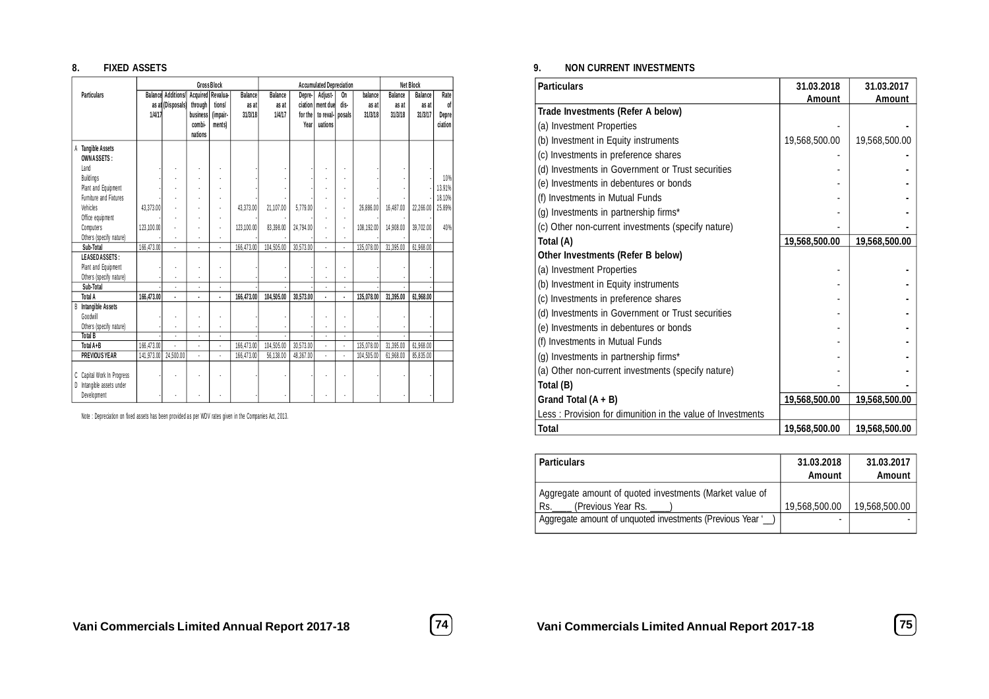#### **8. FIXED ASSETS**

|                                                                        |            |                             |                   | <b>Gross Block</b> |                |                | <b>Accumulated Depreciation</b> |                    |      |            | <b>Net Block</b> |           |              |
|------------------------------------------------------------------------|------------|-----------------------------|-------------------|--------------------|----------------|----------------|---------------------------------|--------------------|------|------------|------------------|-----------|--------------|
| <b>Particulars</b>                                                     |            | <b>Balancel Additions/I</b> | Acquired Revalua- |                    | <b>Balance</b> | <b>Balance</b> | Depre-                          | Adjust-            | On   | balance    | <b>Balance</b>   | Balance   | Rate         |
|                                                                        |            | as at (Disposals)           | through           | tions/             | as at          | as at          | ciation                         | ment due           | dis- | as at      | as at            | as at     | of           |
|                                                                        | 1/4/17     |                             | business          | (impair-           | 31/3/18        | 1/4/17         | for the                         | to reval-   posals |      | 31/3/18    | 31/3/18          | 31/3/17   | <b>Depre</b> |
|                                                                        |            |                             | combi-            | ments)             |                |                | Year                            | uations            |      |            |                  |           | ciation      |
|                                                                        |            |                             | nations           |                    |                |                |                                 |                    |      |            |                  |           |              |
| <b>Tangible Assets</b><br>A<br><b>OWNASSETS:</b>                       |            |                             |                   |                    |                |                |                                 |                    |      |            |                  |           |              |
| Land                                                                   |            |                             |                   |                    |                |                |                                 |                    |      |            |                  |           |              |
| <b>Buildings</b>                                                       |            |                             |                   |                    |                |                |                                 |                    |      |            |                  |           | 10%          |
| Plant and Equipment                                                    |            |                             |                   |                    |                |                |                                 |                    |      |            |                  |           | 13.91%       |
| Furniture and Fixtures                                                 |            |                             |                   |                    |                |                |                                 |                    |      |            |                  |           | 18.10%       |
| Vehicles                                                               | 43.373.00  |                             |                   |                    | 43.373.00      | 21.107.00      | 5.779.00                        |                    | ÷,   | 26.886.00  | 16.487.00        | 22,266.00 | 25.89%       |
| Office equipment                                                       |            |                             |                   |                    |                |                |                                 |                    |      |            |                  |           |              |
| Computers                                                              | 123.100.00 |                             |                   |                    | 123.100.00     | 83.398.00      | 24.794.00                       |                    | ÷,   | 108.192.00 | 14.908.00        | 39.702.00 | 40%          |
| Others (specify nature)                                                |            |                             |                   |                    |                |                |                                 |                    |      |            |                  |           |              |
| Sub-Total                                                              | 166,473.00 |                             |                   |                    | 166,473.00     | 104,505.00     | 30,573.00                       |                    |      | 135.078.00 | 31,395.00        | 61,968.00 |              |
| LEASEDASSETS:                                                          |            |                             |                   |                    |                |                |                                 |                    |      |            |                  |           |              |
| Plant and Equipment                                                    |            |                             |                   |                    |                |                |                                 |                    |      |            |                  |           |              |
| Others (specify nature)                                                |            |                             |                   | $\overline{a}$     |                |                |                                 |                    |      |            |                  |           |              |
| Sub-Total                                                              |            |                             |                   | ÷,                 |                |                |                                 |                    |      |            |                  |           |              |
| <b>Total A</b>                                                         | 166,473.00 | ä,                          |                   |                    | 166,473.00     | 104,505.00     | 30,573.00                       | ä,                 |      | 135,078.00 | 31,395.00        | 61,968.00 |              |
| <b>B</b> Intangible Assets                                             |            |                             |                   |                    |                |                |                                 |                    |      |            |                  |           |              |
| Goodwill                                                               |            |                             |                   |                    |                |                |                                 |                    |      |            |                  |           |              |
| Others (specify nature)                                                |            |                             |                   |                    |                |                |                                 |                    |      |            |                  |           |              |
| <b>Total B</b>                                                         |            |                             |                   | $\overline{a}$     |                |                |                                 |                    |      |            |                  |           |              |
| Total A+B                                                              | 166,473.00 |                             |                   | l,                 | 166,473.00     | 104,505.00     | 30,573.00                       | $\overline{a}$     | Ĭ.   | 135,078.00 | 31,395.00        | 61,968.00 |              |
| <b>PREVIOUS YEAR</b>                                                   | 141,973.00 | 24,500.00                   |                   |                    | 166,473.00     | 56.138.00      | 48.367.00                       |                    |      | 104,505.00 | 61.968.00        | 85,835.00 |              |
| C Capital Work In Progress<br>D Intangible assets under<br>Development |            |                             |                   |                    |                |                |                                 |                    |      |            |                  |           |              |

Note : Depreciation on fixed assets has been provided as per WDV rates given in the Companies Act, 2 013.

#### **9. NON CURRENT INVESTMENTS**

| <b>Particulars</b>                                         | 31.03.2018    | 31.03.2017    |
|------------------------------------------------------------|---------------|---------------|
|                                                            | <b>Amount</b> | Amount        |
| Trade Investments (Refer A below)                          |               |               |
| (a) Investment Properties                                  |               |               |
| (b) Investment in Equity instruments                       | 19,568,500.00 | 19,568,500.00 |
| (c) Investments in preference shares                       |               |               |
| (d) Investments in Government or Trust securities          |               |               |
| (e) Investments in debentures or bonds                     |               |               |
| (f) Investments in Mutual Funds                            |               |               |
| (g) Investments in partnership firms*                      |               |               |
| (c) Other non-current investments (specify nature)         |               |               |
| Total (A)                                                  | 19,568,500.00 | 19,568,500.00 |
| Other Investments (Refer B below)                          |               |               |
| (a) Investment Properties                                  |               |               |
| (b) Investment in Equity instruments                       |               |               |
| (c) Investments in preference shares                       |               |               |
| (d) Investments in Government or Trust securities          |               |               |
| (e) Investments in debentures or bonds                     |               |               |
| (f) Investments in Mutual Funds                            |               |               |
| (g) Investments in partnership firms*                      |               |               |
| (a) Other non-current investments (specify nature)         |               |               |
| Total (B)                                                  |               |               |
| Grand Total $(A + B)$                                      | 19,568,500.00 | 19,568,500.00 |
| Less: Provision for dimunition in the value of Investments |               |               |
| <b>Total</b>                                               | 19,568,500.00 | 19,568,500.00 |

| 31.03.2018<br><b>Amount</b> | 31.03.2017<br>Amount |
|-----------------------------|----------------------|
|                             | 19,568,500.00        |
|                             |                      |
|                             | 19,568,500.00        |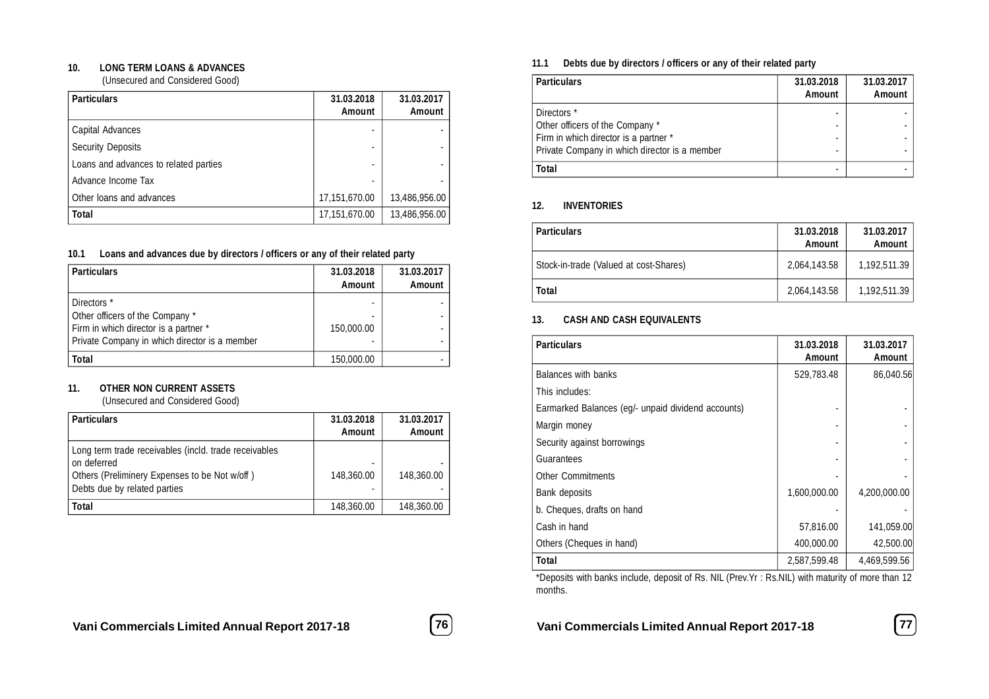#### **10. LONG TERM LOANS & ADVANCES**

(Unsecured and Considered Good)

| <b>Particulars</b>                    | 31.03.2018<br><b>Amount</b> | 31.03.2017<br><b>Amount</b> |
|---------------------------------------|-----------------------------|-----------------------------|
| Capital Advances                      |                             |                             |
| <b>Security Deposits</b>              |                             |                             |
| Loans and advances to related parties |                             |                             |
| Advance Income Tax                    |                             |                             |
| Other loans and advances              | 17,151,670.00               | 13,486,956.00               |
| <b>Total</b>                          | 17,151,670.00               | 13,486,956.00               |

#### **10.1 Loans and advances due by directors / officers or any of their related party**

| <b>Particulars</b>                                                                                                                       | 31.03.2018<br><b>Amount</b> | 31.03.2017<br><b>Amount</b> |
|------------------------------------------------------------------------------------------------------------------------------------------|-----------------------------|-----------------------------|
| Directors *<br>Other officers of the Company *<br>Firm in which director is a partner *<br>Private Company in which director is a member | 150,000.00                  | ۰<br>۰                      |
| <b>Total</b>                                                                                                                             | 150,000.00                  |                             |

#### **11. OTHER NON CURRENT ASSETS**

(Unsecured and Considered Good)

| <b>Particulars</b>                                                                                                                                    | 31.03.2018<br>Amount | 31.03.2017<br>Amount |
|-------------------------------------------------------------------------------------------------------------------------------------------------------|----------------------|----------------------|
| Long term trade receivables (incld. trade receivables<br>on deferred<br>Others (Preliminery Expenses to be Not w/off)<br>Debts due by related parties | 148,360.00           | 148,360.00           |
| Total                                                                                                                                                 | 148,360.00           | 148,360.00           |

#### **11.1 Debts due by directors / officers or any of their related party**

| <b>Particulars</b>                            | 31.03.2018    | 31.03.2017    |
|-----------------------------------------------|---------------|---------------|
|                                               | <b>Amount</b> | <b>Amount</b> |
| Directors *                                   |               |               |
| Other officers of the Company *               |               |               |
| Firm in which director is a partner *         |               |               |
| Private Company in which director is a member |               |               |
| <b>Total</b>                                  |               |               |

#### **12. INVENTORIES**

| <b>Particulars</b>                     | 31.03.2018<br>Amount | 31.03.2017<br><b>Amount</b> |
|----------------------------------------|----------------------|-----------------------------|
| Stock-in-trade (Valued at cost-Shares) | 2.064.143.58         | 1,192,511.39                |
| <b>Total</b>                           | 2,064,143.58         | 1,192,511.39                |

#### **13. CASH AND CASH EQUIVALENTS**

| <b>Particulars</b>                                 | 31.03.2018<br>Amount | 31.03.2017<br><b>Amount</b> |
|----------------------------------------------------|----------------------|-----------------------------|
| Balances with banks                                | 529,783.48           | 86,040.56                   |
| This includes:                                     |                      |                             |
| Earmarked Balances (eg/- unpaid dividend accounts) |                      |                             |
| Margin money                                       |                      |                             |
| Security against borrowings                        |                      |                             |
| Guarantees                                         |                      |                             |
| <b>Other Commitments</b>                           |                      |                             |
| Bank deposits                                      | 1,600,000.00         | 4,200,000.00                |
| b. Cheques, drafts on hand                         |                      |                             |
| Cash in hand                                       | 57,816.00            | 141,059.00                  |
| Others (Cheques in hand)                           | 400,000.00           | 42,500.00                   |
| <b>Total</b>                                       | 2,587,599.48         | 4,469,599.56                |

\*Deposits with banks include, deposit of Rs. NIL (Prev.Yr : Rs.NIL) with maturity of more than 12 months.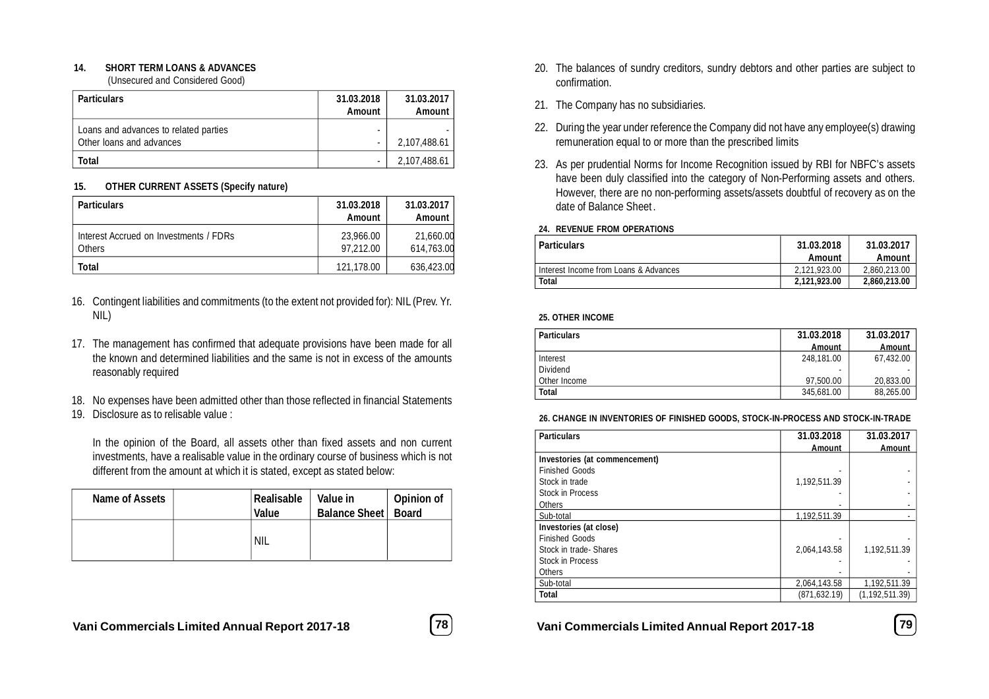#### **14. SHORT TERM LOANS & ADVANCES**

(Unsecured and Considered Good)

| <b>Particulars</b>                                                | 31.03.2018<br>Amount | 31.03.2017<br>Amount |
|-------------------------------------------------------------------|----------------------|----------------------|
| Loans and advances to related parties<br>Other loans and advances |                      | 2,107,488.61         |
| Total                                                             |                      | 2,107,488.61         |

#### **15. OTHER CURRENT ASSETS (Specify nature)**

| <b>Particulars</b>                                      | 31.03.2018<br><b>Amount</b> | 31.03.2017<br>Amount    |
|---------------------------------------------------------|-----------------------------|-------------------------|
| Interest Accrued on Investments / FDRs<br><b>Others</b> | 23,966.00<br>97.212.00      | 21,660.00<br>614.763.00 |
| Total                                                   | 121,178.00                  | 636,423.00              |

- 16. Contingent liabilities and commitments (to the extent not provided for): NIL (Prev. Yr. NIL)
- 17. The management has confirmed that adequate provisions have been made for all the known and determined liabilities and the same is not in excess of the amounts reasonably required
- 18. No expenses have been admitted other than those reflected in financial Statements
- 19. Disclosure as to relisable value :

In the opinion of the Board, all assets other than fixed assets and non current investments, have a realisable value in the ordinary course of business which is not different from the amount at which it is stated, except as stated below:

| Name of Assets | Realisable  <br><b>Value</b> | Value in<br><b>Balance Sheet</b> | <b>Opinion of</b><br><b>Board</b> |
|----------------|------------------------------|----------------------------------|-----------------------------------|
|                | 'NIL                         |                                  |                                   |



- 20. The balances of sundry creditors, sundry debtors and other parties are subject to confirmation.
- 21. The Company has no subsidiaries.
- 22. During the year under reference the Company did not have any employee(s) drawing remuneration equal to or more than the prescribed limits
- 23. As per prudential Norms for Income Recognition issued by RBI for NBFC's assets have been duly classified into the category of Non-Performing assets and others. However, there are no non-performing assets/assets doubtful of recovery as on the date of Balance Sheet .

#### **24. REVENUE FROM OPERATIONS**

| <b>Particulars</b>                    | 31.03.2018<br>Amount | 31.03.2017<br>Amount |
|---------------------------------------|----------------------|----------------------|
| Interest Income from Loans & Advances | 2.121.923.00         | 2.860.213.00         |
| Total                                 | 2,121,923.00         | 2,860,213.00         |

#### **25. OTHER INCOME**

| <b>Particulars</b> | 31.03.2018               | 31.03.2017 |
|--------------------|--------------------------|------------|
|                    | Amount                   | Amount     |
| Interest           | 248.181.00               | 67.432.00  |
| Dividend           | $\overline{\phantom{a}}$ |            |
| Other Income       | 97.500.00                | 20.833.00  |
| <b>Total</b>       | 345,681.00               | 88,265.00  |

#### **26. CHANGE IN INVENTORIES OF FINISHED GOODS, STOCK-IN-PROCESS AND STOCK-IN-TRADE**

| <b>Particulars</b>            | 31.03.2018    | 31.03.2017       |
|-------------------------------|---------------|------------------|
|                               | <b>Amount</b> | Amount           |
| Investories (at commencement) |               |                  |
| <b>Finished Goods</b>         |               |                  |
| Stock in trade                | 1,192,511.39  |                  |
| <b>Stock in Process</b>       |               |                  |
| <b>Others</b>                 |               |                  |
| Sub-total                     | 1.192.511.39  |                  |
| Investories (at close)        |               |                  |
| <b>Finished Goods</b>         |               |                  |
| Stock in trade-Shares         | 2.064.143.58  | 1,192,511.39     |
| <b>Stock in Process</b>       |               |                  |
| <b>Others</b>                 |               |                  |
| Sub-total                     | 2,064,143.58  | 1,192,511.39     |
| <b>Total</b>                  | (871, 632.19) | (1, 192, 511.39) |

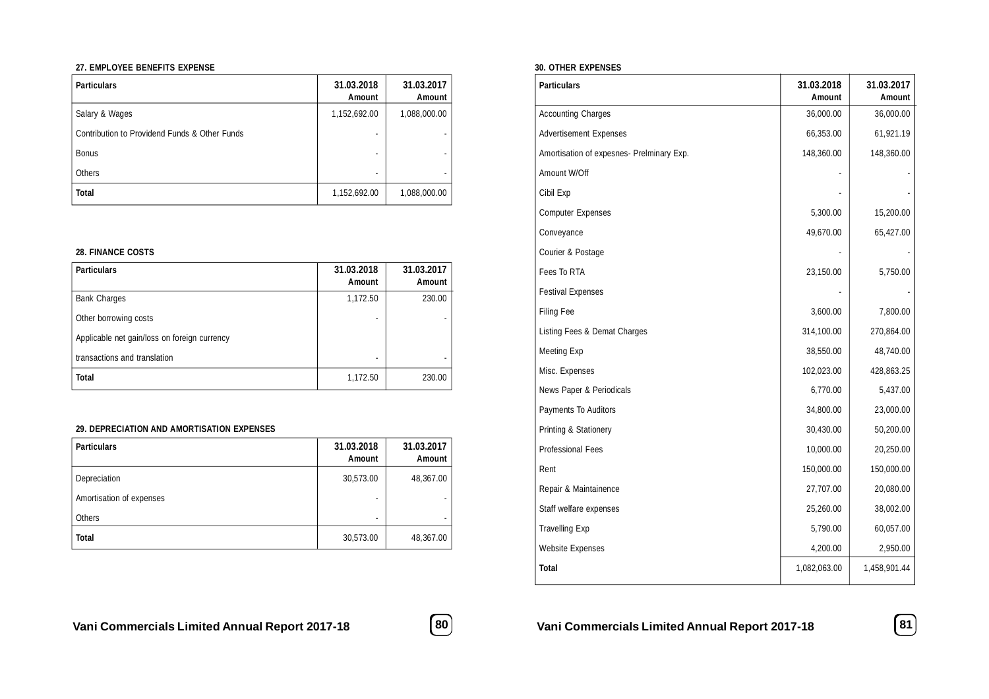#### **27. EMPLOYEE BENEFITS EXPENSE**

| <b>Particulars</b>                            | 31.03.2018<br>Amount     | 31.03.2017<br><b>Amount</b> |
|-----------------------------------------------|--------------------------|-----------------------------|
| Salary & Wages                                | 1,152,692.00             | 1,088,000.00                |
| Contribution to Providend Funds & Other Funds |                          |                             |
| <b>Bonus</b>                                  |                          |                             |
| Others                                        | $\overline{\phantom{a}}$ |                             |
| <b>Total</b>                                  | 1,152,692.00             | 1,088,000.00                |

#### **28. FINANCE COSTS**

| <b>Particulars</b>                           | 31.03.2018<br>Amount | 31.03.2017<br><b>Amount</b> |
|----------------------------------------------|----------------------|-----------------------------|
| <b>Bank Charges</b>                          | 1,172.50             | 230.00                      |
| Other borrowing costs                        |                      |                             |
| Applicable net gain/loss on foreign currency |                      |                             |
| transactions and translation                 |                      |                             |
| <b>Total</b>                                 | 1,172.50             | 230.00                      |

#### **29. DEPRECIATION AND AMORTISATION EXPENSES**

| <b>Particulars</b>       | 31.03.2018<br>Amount | 31.03.2017<br>Amount |
|--------------------------|----------------------|----------------------|
| Depreciation             | 30,573.00            | 48,367.00            |
| Amortisation of expenses | ٠                    |                      |
| <b>Others</b>            | ۰                    |                      |
| <b>Total</b>             | 30,573.00            | 48,367.00            |

#### **30. OTHER EXPENSES**

| <b>Particulars</b>                        | 31.03.2018<br>Amount | 31.03.2017<br>Amount |
|-------------------------------------------|----------------------|----------------------|
| <b>Accounting Charges</b>                 | 36,000.00            | 36,000.00            |
| <b>Advertisement Expenses</b>             | 66,353.00            | 61,921.19            |
| Amortisation of expesnes- Prelminary Exp. | 148,360.00           | 148,360.00           |
| Amount W/Off                              |                      |                      |
| Cibil Exp                                 |                      |                      |
| <b>Computer Expenses</b>                  | 5,300.00             | 15,200.00            |
| Conveyance                                | 49,670.00            | 65,427.00            |
| Courier & Postage                         |                      |                      |
| Fees To RTA                               | 23,150.00            | 5,750.00             |
| <b>Festival Expenses</b>                  |                      |                      |
| <b>Filing Fee</b>                         | 3,600.00             | 7,800.00             |
| Listing Fees & Demat Charges              | 314,100.00           | 270,864.00           |
| Meeting Exp                               | 38,550.00            | 48,740.00            |
| Misc. Expenses                            | 102,023.00           | 428,863.25           |
| News Paper & Periodicals                  | 6,770.00             | 5,437.00             |
| Payments To Auditors                      | 34,800.00            | 23,000.00            |
| Printing & Stationery                     | 30,430.00            | 50,200.00            |
| <b>Professional Fees</b>                  | 10,000.00            | 20,250.00            |
| Rent                                      | 150,000.00           | 150,000.00           |
| Repair & Maintainence                     | 27,707.00            | 20,080.00            |
| Staff welfare expenses                    | 25,260.00            | 38,002.00            |
| <b>Travelling Exp</b>                     | 5,790.00             | 60,057.00            |
| <b>Website Expenses</b>                   | 4,200.00             | 2,950.00             |
| <b>Total</b>                              | 1,082,063.00         | 1,458,901.44         |



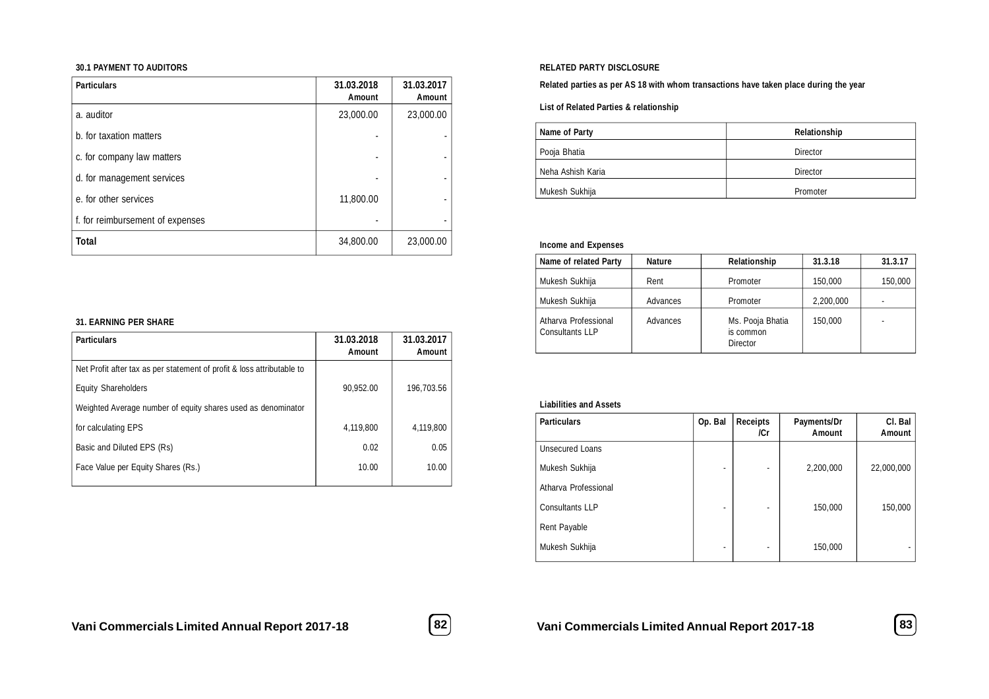#### **30.1 PAYMENT TO AUDITORS**

| <b>Particulars</b>               | 31.03.2018<br>Amount | 31.03.2017<br><b>Amount</b> |
|----------------------------------|----------------------|-----------------------------|
| a. auditor                       | 23,000.00            | 23,000.00                   |
| b. for taxation matters          |                      |                             |
| c. for company law matters       |                      |                             |
| d. for management services       |                      |                             |
| e, for other services            | 11,800.00            |                             |
| f. for reimbursement of expenses |                      |                             |
| <b>Total</b>                     | 34,800.00            | 23,000.00                   |

#### **31. EARNING PER SHARE**

| <b>Particulars</b>                                                     | 31.03.2018<br>Amount | 31.03.2017<br>Amount |
|------------------------------------------------------------------------|----------------------|----------------------|
| Net Profit after tax as per statement of profit & loss attributable to |                      |                      |
| <b>Equity Shareholders</b>                                             | 90,952.00            | 196.703.56           |
| Weighted Average number of equity shares used as denominator           |                      |                      |
| for calculating EPS                                                    | 4.119.800            | 4.119.800            |
| Basic and Diluted EPS (Rs)                                             | 0.02                 | 0.05                 |
| Face Value per Equity Shares (Rs.)                                     | 10.00                | 10.00                |
|                                                                        |                      |                      |

#### **RELATED PARTY DISCLOSURE**

#### **Related parties as per AS 18 with whom transactions have taken place during the year**

**List of Related Parties & relationship**

| Name of Party     | Relationship |
|-------------------|--------------|
| Pooja Bhatia      | Director     |
| Neha Ashish Karia | Director     |
| Mukesh Sukhija    | Promoter     |

#### **Income and Expenses**

| Name of related Party                   | <b>Nature</b> | Relationship                              | 31.3.18   | 31.3.17 |
|-----------------------------------------|---------------|-------------------------------------------|-----------|---------|
| Mukesh Sukhija                          | Rent          | Promoter                                  | 150,000   | 150,000 |
| Mukesh Sukhija                          | Advances      | Promoter                                  | 2.200.000 |         |
| Atharva Professional<br>Consultants LLP | Advances      | Ms. Pooja Bhatia<br>is common<br>Director | 150,000   |         |

#### **Liabilities and Assets**

| <b>Particulars</b>     | Op. Bal                  | <b>Receipts</b><br>/Cr | Payments/Dr<br>Amount | CI. Bal<br><b>Amount</b> |
|------------------------|--------------------------|------------------------|-----------------------|--------------------------|
| <b>Unsecured Loans</b> |                          |                        |                       |                          |
| Mukesh Sukhija         | ٠                        | ٠                      | 2,200,000             | 22,000,000               |
| Atharva Professional   |                          |                        |                       |                          |
| Consultants LLP        | $\overline{\phantom{a}}$ | ٠                      | 150,000               | 150,000                  |
| Rent Payable           |                          |                        |                       |                          |
| Mukesh Sukhija         | $\overline{\phantom{a}}$ | ٠                      | 150,000               |                          |